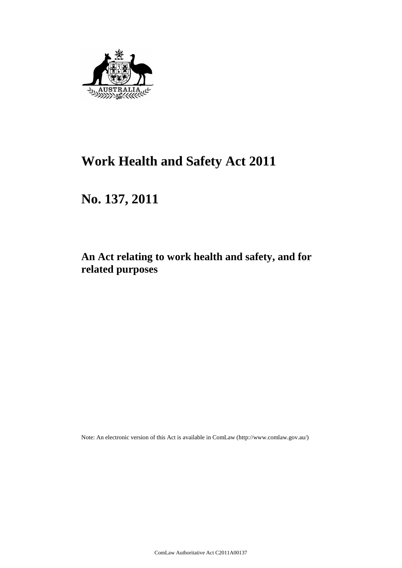

# **Work Health and Safety Act 2011**

# **No. 137, 2011**

## **An Act relating to work health and safety, and for related purposes**

Note: An electronic version of this Act is available in ComLaw (http://www.comlaw.gov.au/)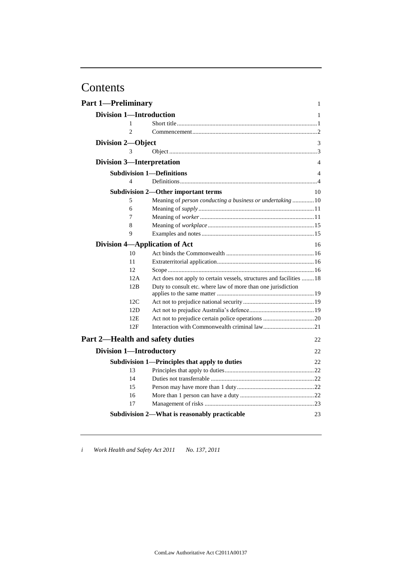# Contents

| <b>Part 1-Preliminary</b>      |                                                                      | $\mathbf{1}$ |
|--------------------------------|----------------------------------------------------------------------|--------------|
| <b>Division 1-Introduction</b> |                                                                      | 1            |
| 1                              |                                                                      |              |
| $\overline{c}$                 |                                                                      |              |
| Division 2-Object              |                                                                      | 3            |
| 3                              |                                                                      |              |
|                                | <b>Division 3-Interpretation</b>                                     | 4            |
|                                | <b>Subdivision 1-Definitions</b>                                     | 4            |
| 4                              |                                                                      |              |
|                                | <b>Subdivision 2-Other important terms</b>                           | 10           |
| 5                              | Meaning of person conducting a business or undertaking  10           |              |
| 6                              |                                                                      |              |
| 7                              |                                                                      |              |
| 8                              |                                                                      |              |
| 9                              |                                                                      |              |
|                                | Division 4-Application of Act                                        | 16           |
| 10                             |                                                                      |              |
| 11                             |                                                                      |              |
| 12                             |                                                                      |              |
| 12A                            | Act does not apply to certain vessels, structures and facilities  18 |              |
| 12B                            | Duty to consult etc. where law of more than one jurisdiction         |              |
|                                |                                                                      |              |
| 12C                            |                                                                      |              |
| 12D                            |                                                                      |              |
| 12E                            |                                                                      |              |
| 12F                            |                                                                      |              |
|                                | Part 2-Health and safety duties                                      | 22           |
| <b>Division 1-Introductory</b> |                                                                      | 22           |
|                                | Subdivision 1—Principles that apply to duties                        | 22           |
| 13                             |                                                                      |              |
| 14                             |                                                                      |              |
| 15                             |                                                                      |              |
| 16                             |                                                                      |              |
| 17                             |                                                                      |              |
|                                | Subdivision 2—What is reasonably practicable                         | 23           |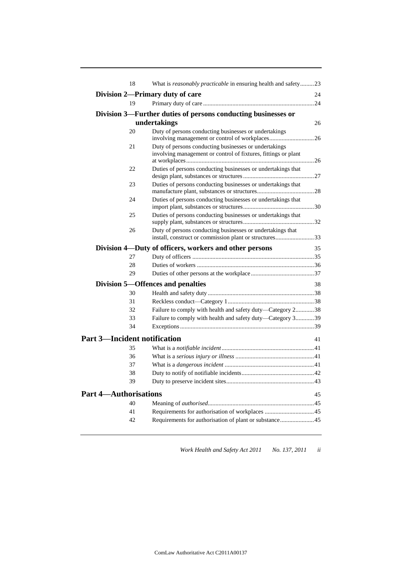| 18                                  | What is <i>reasonably practicable</i> in ensuring health and safety23                                                   |    |
|-------------------------------------|-------------------------------------------------------------------------------------------------------------------------|----|
|                                     | Division 2—Primary duty of care                                                                                         | 24 |
| 19                                  |                                                                                                                         |    |
|                                     | Division 3—Further duties of persons conducting businesses or                                                           |    |
|                                     | undertakings                                                                                                            | 26 |
| 20                                  | Duty of persons conducting businesses or undertakings                                                                   |    |
|                                     | involving management or control of workplaces26                                                                         |    |
| 21                                  | Duty of persons conducting businesses or undertakings<br>involving management or control of fixtures, fittings or plant |    |
| 22                                  |                                                                                                                         |    |
|                                     | Duties of persons conducting businesses or undertakings that                                                            |    |
| 23                                  | Duties of persons conducting businesses or undertakings that                                                            |    |
| 24                                  | Duties of persons conducting businesses or undertakings that                                                            |    |
| 25                                  | Duties of persons conducting businesses or undertakings that                                                            |    |
|                                     |                                                                                                                         |    |
| 26                                  | Duty of persons conducting businesses or undertakings that<br>install, construct or commission plant or structures33    |    |
|                                     | Division 4—Duty of officers, workers and other persons                                                                  | 35 |
| 27                                  |                                                                                                                         |    |
| 28                                  |                                                                                                                         |    |
| 29                                  |                                                                                                                         |    |
|                                     | Division 5-Offences and penalties                                                                                       | 38 |
| 30                                  |                                                                                                                         |    |
| 31                                  |                                                                                                                         |    |
| 32                                  | Failure to comply with health and safety duty-Category 238                                                              |    |
| 33                                  | Failure to comply with health and safety duty—Category 339                                                              |    |
| 34                                  |                                                                                                                         |    |
| <b>Part 3-Incident notification</b> |                                                                                                                         | 41 |
| 35                                  |                                                                                                                         |    |
| 36                                  |                                                                                                                         |    |
| 37                                  |                                                                                                                         |    |
| 38                                  |                                                                                                                         |    |
| 39                                  |                                                                                                                         |    |
| <b>Part 4—Authorisations</b>        |                                                                                                                         | 45 |
| 40                                  |                                                                                                                         |    |
| 41                                  |                                                                                                                         |    |
| 42                                  | Requirements for authorisation of plant or substance45                                                                  |    |
|                                     |                                                                                                                         |    |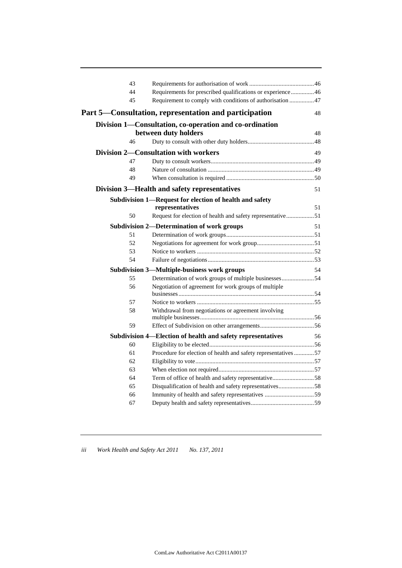| 43 |                                                                |    |
|----|----------------------------------------------------------------|----|
| 44 | Requirements for prescribed qualifications or experience  46   |    |
| 45 | Requirement to comply with conditions of authorisation  47     |    |
|    | Part 5—Consultation, representation and participation          | 48 |
|    | Division 1—Consultation, co-operation and co-ordination        |    |
|    | between duty holders                                           | 48 |
| 46 |                                                                |    |
|    | <b>Division 2—Consultation with workers</b>                    | 49 |
| 47 |                                                                |    |
| 48 |                                                                |    |
| 49 |                                                                |    |
|    | Division 3-Health and safety representatives                   | 51 |
|    | Subdivision 1-Request for election of health and safety        |    |
|    | representatives                                                | 51 |
| 50 | Request for election of health and safety representative51     |    |
|    | <b>Subdivision 2-Determination of work groups</b>              | 51 |
| 51 |                                                                |    |
| 52 |                                                                |    |
| 53 |                                                                |    |
| 54 |                                                                |    |
|    | <b>Subdivision 3-Multiple-business work groups</b>             | 54 |
| 55 | Determination of work groups of multiple businesses54          |    |
| 56 | Negotiation of agreement for work groups of multiple           |    |
| 57 |                                                                |    |
| 58 | Withdrawal from negotiations or agreement involving            |    |
|    |                                                                |    |
| 59 |                                                                |    |
|    | Subdivision 4—Election of health and safety representatives    | 56 |
| 60 |                                                                |    |
| 61 | Procedure for election of health and safety representatives 57 |    |
| 62 |                                                                |    |
| 63 |                                                                |    |
| 64 | Term of office of health and safety representative58           |    |
| 65 | Disqualification of health and safety representatives58        |    |
| 66 |                                                                |    |
| 67 |                                                                |    |
|    |                                                                |    |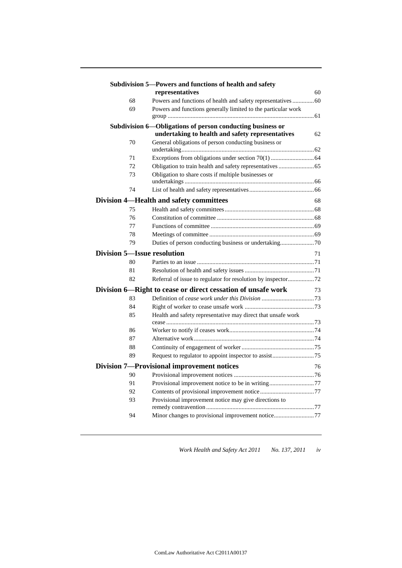|                             | Subdivision 5-Powers and functions of health and safety       |    |
|-----------------------------|---------------------------------------------------------------|----|
|                             | representatives                                               | 60 |
| 68                          | Powers and functions of health and safety representatives  60 |    |
| 69                          | Powers and functions generally limited to the particular work |    |
|                             | Subdivision 6—Obligations of person conducting business or    |    |
|                             | undertaking to health and safety representatives              | 62 |
| 70                          | General obligations of person conducting business or          |    |
|                             |                                                               |    |
| 71                          |                                                               |    |
| 72                          |                                                               |    |
| 73                          | Obligation to share costs if multiple businesses or           |    |
| 74                          |                                                               |    |
|                             | <b>Division 4—Health and safety committees</b>                | 68 |
| 75                          |                                                               |    |
| 76                          |                                                               |    |
| 77                          |                                                               |    |
| 78                          |                                                               |    |
| 79                          |                                                               |    |
| Division 5—Issue resolution |                                                               | 71 |
| 80                          |                                                               |    |
| 81                          |                                                               |    |
| 82                          | Referral of issue to regulator for resolution by inspector72  |    |
|                             | Division 6-Right to cease or direct cessation of unsafe work  | 73 |
| 83                          |                                                               |    |
| 84                          |                                                               |    |
| 85                          | Health and safety representative may direct that unsafe work  |    |
| 86                          |                                                               |    |
| 87                          |                                                               |    |
| 88                          |                                                               |    |
| 89                          |                                                               |    |
|                             | <b>Division 7-Provisional improvement notices</b>             | 76 |
| 90                          |                                                               |    |
| 91                          | Provisional improvement notice to be in writing77             |    |
| 92                          |                                                               |    |
| 93                          | Provisional improvement notice may give directions to         |    |
|                             |                                                               |    |
| 94                          | Minor changes to provisional improvement notice77             |    |
|                             |                                                               |    |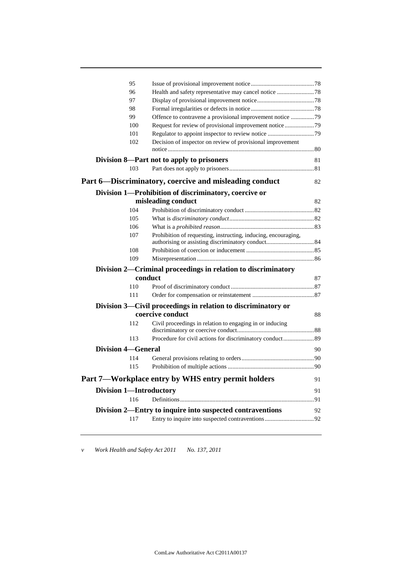|                                | 95         |                                                                          |    |
|--------------------------------|------------|--------------------------------------------------------------------------|----|
|                                | 96         | Health and safety representative may cancel notice 78                    |    |
|                                | 97         |                                                                          |    |
|                                | 98         |                                                                          |    |
|                                | 99         | Offence to contravene a provisional improvement notice 79                |    |
|                                | 100        | Request for review of provisional improvement notice 79                  |    |
|                                | 101        |                                                                          |    |
|                                | 102        | Decision of inspector on review of provisional improvement               |    |
|                                |            | Division 8—Part not to apply to prisoners                                | 81 |
|                                | 103        |                                                                          |    |
|                                |            | Part 6—Discriminatory, coercive and misleading conduct                   | 82 |
|                                |            | Division 1-Prohibition of discriminatory, coercive or                    |    |
|                                |            | misleading conduct                                                       | 82 |
|                                | 104        |                                                                          |    |
|                                | 105        |                                                                          |    |
|                                | 106        |                                                                          |    |
|                                | 107        | Prohibition of requesting, instructing, inducing, encouraging,           |    |
|                                |            |                                                                          |    |
|                                | 108<br>109 |                                                                          |    |
|                                |            |                                                                          |    |
|                                |            | Division 2-Criminal proceedings in relation to discriminatory<br>conduct | 87 |
|                                | 110        |                                                                          |    |
|                                | 111        |                                                                          |    |
|                                |            | Division 3—Civil proceedings in relation to discriminatory or            |    |
|                                |            | coercive conduct                                                         | 88 |
|                                | 112        | Civil proceedings in relation to engaging in or inducing                 |    |
|                                | 113        |                                                                          |    |
| <b>Division 4-General</b>      |            |                                                                          | 90 |
|                                | 114        |                                                                          |    |
|                                | 115        |                                                                          |    |
|                                |            | Part 7—Workplace entry by WHS entry permit holders                       | 91 |
| <b>Division 1-Introductory</b> |            |                                                                          | 91 |
|                                | 116        |                                                                          |    |
|                                |            | Division 2—Entry to inquire into suspected contraventions                | 92 |
|                                | 117        |                                                                          |    |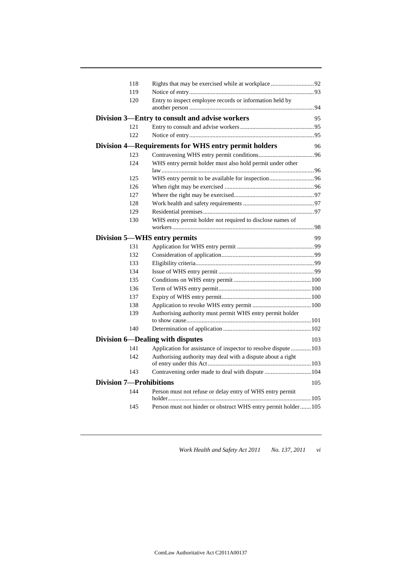| 118                            | Rights that may be exercised while at workplace92                   |     |
|--------------------------------|---------------------------------------------------------------------|-----|
| 119                            |                                                                     |     |
| 120                            | Entry to inspect employee records or information held by            |     |
|                                | Division 3-Entry to consult and advise workers                      | 95  |
| 121                            |                                                                     |     |
| 122                            |                                                                     |     |
|                                | Division 4—Requirements for WHS entry permit holders                | 96  |
| 123                            |                                                                     |     |
| 12.4                           | WHS entry permit holder must also hold permit under other           |     |
| 125                            |                                                                     |     |
| 126                            |                                                                     |     |
| 127                            |                                                                     |     |
| 128                            |                                                                     |     |
| 129                            |                                                                     |     |
| 130                            | WHS entry permit holder not required to disclose names of           |     |
|                                | Division 5-WHS entry permits                                        | 99  |
| 131                            |                                                                     |     |
| 132                            |                                                                     |     |
| 133                            |                                                                     |     |
| 134                            |                                                                     |     |
| 135                            |                                                                     |     |
| 136                            |                                                                     |     |
| 137                            |                                                                     |     |
| 138                            |                                                                     |     |
| 139                            | Authorising authority must permit WHS entry permit holder           |     |
|                                |                                                                     |     |
| 140                            |                                                                     |     |
|                                | Division 6-Dealing with disputes                                    | 103 |
| 141                            | Application for assistance of inspector to resolve dispute  103     |     |
| 142                            | Authorising authority may deal with a dispute about a right         |     |
| 143                            | Contravening order made to deal with dispute  104                   |     |
| <b>Division 7-Prohibitions</b> |                                                                     | 105 |
| 144                            | Person must not refuse or delay entry of WHS entry permit<br>holder |     |
| 145                            | Person must not hinder or obstruct WHS entry permit holder  105     |     |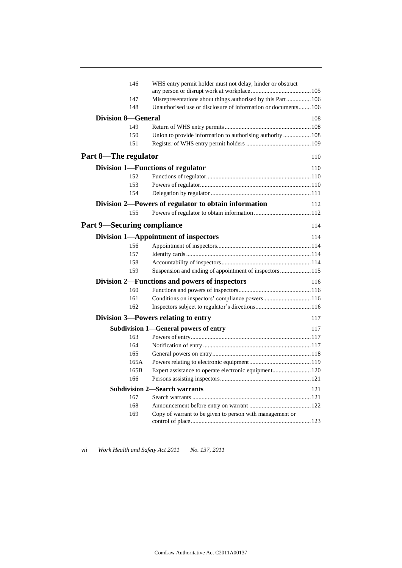| 146                                | WHS entry permit holder must not delay, hinder or obstruct    |     |
|------------------------------------|---------------------------------------------------------------|-----|
| 147                                | Misrepresentations about things authorised by this Part 106   |     |
| 148                                | Unauthorised use or disclosure of information or documents106 |     |
| <b>Division 8-General</b>          |                                                               | 108 |
| 149                                |                                                               |     |
| 150                                | Union to provide information to authorising authority 108     |     |
| 151                                |                                                               |     |
| Part 8-The regulator               |                                                               | 110 |
|                                    | <b>Division 1-Functions of regulator</b>                      | 110 |
| 152                                |                                                               |     |
| 153                                |                                                               |     |
| 154                                |                                                               |     |
|                                    | Division 2-Powers of regulator to obtain information          | 112 |
| 155                                |                                                               |     |
| <b>Part 9</b> —Securing compliance |                                                               | 114 |
|                                    | Division 1-Appointment of inspectors                          | 114 |
| 156                                |                                                               |     |
| 157                                |                                                               |     |
| 158                                |                                                               |     |
| 159                                | Suspension and ending of appointment of inspectors  115       |     |
|                                    | Division 2—Functions and powers of inspectors                 | 116 |
| 160                                |                                                               |     |
| 161                                | Conditions on inspectors' compliance powers 116               |     |
| 162                                |                                                               |     |
|                                    | Division 3—Powers relating to entry                           | 117 |
|                                    | Subdivision 1-General powers of entry                         | 117 |
| 163                                |                                                               |     |
| 164                                |                                                               |     |
| 165                                |                                                               |     |
| 165A                               |                                                               |     |
| 165B                               | Expert assistance to operate electronic equipment 120         |     |
| 166                                |                                                               |     |
|                                    | <b>Subdivision 2—Search warrants</b>                          | 121 |
| 167                                |                                                               |     |
| 168                                |                                                               |     |
| 169                                | Copy of warrant to be given to person with management or      |     |
|                                    |                                                               |     |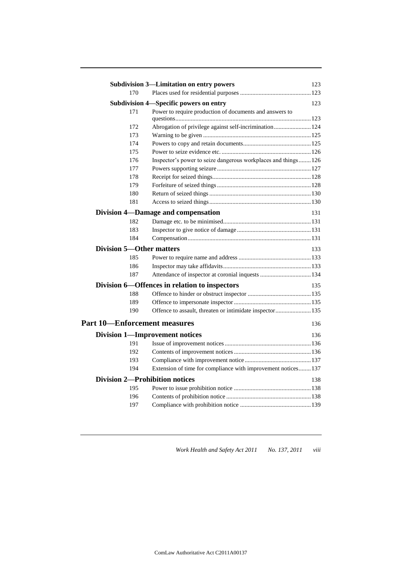|                                       | <b>Subdivision 3—Limitation on entry powers</b>               | 123 |
|---------------------------------------|---------------------------------------------------------------|-----|
| 170                                   |                                                               |     |
|                                       | Subdivision 4-Specific powers on entry                        | 123 |
| 171                                   | Power to require production of documents and answers to       |     |
|                                       |                                                               |     |
| 172                                   | Abrogation of privilege against self-incrimination 124        |     |
| 173                                   |                                                               |     |
| 174                                   |                                                               |     |
| 175                                   |                                                               |     |
| 176                                   | Inspector's power to seize dangerous workplaces and things126 |     |
| 177                                   |                                                               |     |
| 178                                   |                                                               |     |
| 179                                   |                                                               |     |
| 180                                   |                                                               |     |
| 181                                   |                                                               |     |
|                                       | <b>Division 4-Damage and compensation</b>                     | 131 |
| 182                                   |                                                               |     |
| 183                                   |                                                               |     |
| 184                                   |                                                               |     |
| <b>Division 5—Other matters</b>       |                                                               | 133 |
| 185                                   |                                                               |     |
| 186                                   |                                                               |     |
| 187                                   |                                                               |     |
|                                       | Division 6-Offences in relation to inspectors                 | 135 |
| 188                                   |                                                               |     |
| 189                                   |                                                               |     |
| 190                                   | Offence to assault, threaten or intimidate inspector 135      |     |
| <b>Part 10—Enforcement measures</b>   |                                                               | 136 |
| <b>Division 1—Improvement notices</b> |                                                               | 136 |
| 191                                   |                                                               |     |
| 192                                   |                                                               |     |
| 193                                   |                                                               |     |
| 194                                   | Extension of time for compliance with improvement notices 137 |     |
| <b>Division 2-Prohibition notices</b> |                                                               | 138 |
| 195                                   |                                                               |     |
| 196                                   |                                                               |     |
| 197                                   |                                                               |     |
|                                       |                                                               |     |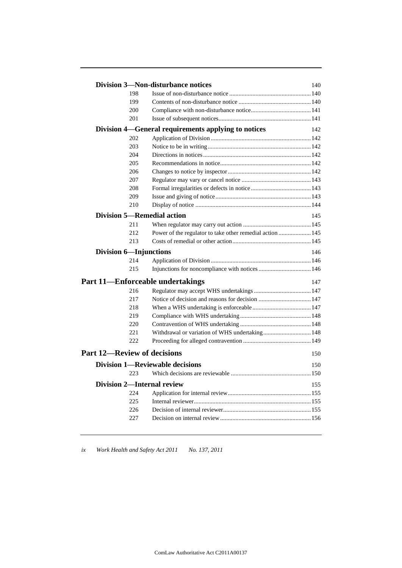|                                    | <b>Division 3-Non-disturbance notices</b>                 | 140 |
|------------------------------------|-----------------------------------------------------------|-----|
| 198                                |                                                           |     |
| 199                                |                                                           |     |
| 200                                |                                                           |     |
| 201                                |                                                           |     |
|                                    | Division 4—General requirements applying to notices       | 142 |
| 202                                |                                                           |     |
| 203                                |                                                           |     |
| 204                                |                                                           |     |
| 205                                |                                                           |     |
| 206                                |                                                           |     |
| 207                                |                                                           |     |
| 208                                |                                                           |     |
| 209                                |                                                           |     |
| 210                                |                                                           |     |
| Division 5—Remedial action         |                                                           | 145 |
| 211                                |                                                           |     |
| 212                                | Power of the regulator to take other remedial action  145 |     |
| 213                                |                                                           |     |
| <b>Division 6-Injunctions</b>      |                                                           | 146 |
| 214                                |                                                           |     |
| 215                                |                                                           |     |
|                                    | Part 11—Enforceable undertakings                          | 147 |
| 216                                |                                                           |     |
| 217                                |                                                           |     |
| 218                                |                                                           |     |
| 219                                |                                                           |     |
| 220                                |                                                           |     |
| 221                                | Withdrawal or variation of WHS undertaking 148            |     |
| 222                                |                                                           |     |
| <b>Part 12-Review of decisions</b> |                                                           | 150 |
|                                    | <b>Division 1—Reviewable decisions</b>                    | 150 |
| 223                                |                                                           |     |
| <b>Division 2-Internal review</b>  |                                                           | 155 |
| 224                                |                                                           |     |
| 225                                |                                                           |     |
| 226                                |                                                           |     |
| 227                                |                                                           |     |
|                                    |                                                           |     |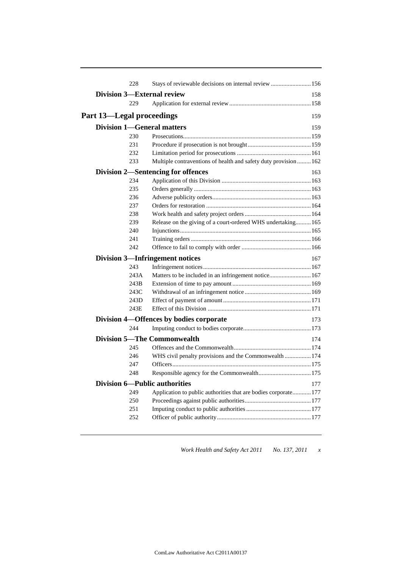| 228                                  | Stays of reviewable decisions on internal review  156            |     |
|--------------------------------------|------------------------------------------------------------------|-----|
| <b>Division 3—External review</b>    |                                                                  | 158 |
| 229                                  |                                                                  |     |
| Part 13—Legal proceedings            |                                                                  | 159 |
| <b>Division 1-General matters</b>    |                                                                  | 159 |
| 230                                  |                                                                  |     |
| 231                                  |                                                                  |     |
| 232                                  |                                                                  |     |
| 233                                  | Multiple contraventions of health and safety duty provision  162 |     |
|                                      | <b>Division 2-Sentencing for offences</b>                        | 163 |
| 234                                  |                                                                  |     |
| 235                                  |                                                                  |     |
| 236                                  |                                                                  |     |
| 237                                  |                                                                  |     |
| 238                                  |                                                                  |     |
| 239                                  | Release on the giving of a court-ordered WHS undertaking 165     |     |
| 240                                  |                                                                  |     |
| 241                                  |                                                                  |     |
| 242                                  |                                                                  |     |
|                                      | <b>Division 3-Infringement notices</b>                           | 167 |
| 243                                  |                                                                  |     |
| 243A                                 |                                                                  |     |
| 243B                                 |                                                                  |     |
| 243C                                 |                                                                  |     |
| 243D                                 |                                                                  |     |
| 243E                                 |                                                                  |     |
|                                      | Division 4-Offences by bodies corporate                          | 173 |
| 244                                  |                                                                  |     |
|                                      | <b>Division 5—The Commonwealth</b>                               | 174 |
| 245                                  |                                                                  |     |
| 246                                  | WHS civil penalty provisions and the Commonwealth  174           |     |
| 247                                  |                                                                  |     |
| 248                                  |                                                                  |     |
| <b>Division 6-Public authorities</b> |                                                                  | 177 |
| 249                                  | Application to public authorities that are bodies corporate 177  |     |
| 250                                  |                                                                  |     |
| 251                                  |                                                                  |     |
| 252                                  |                                                                  |     |
|                                      |                                                                  |     |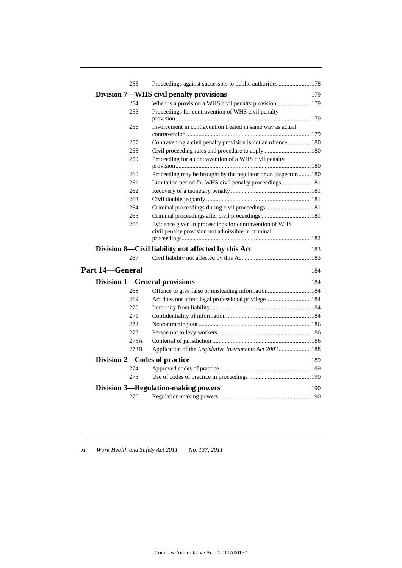| 253                                  | Proceedings against successors to public authorities  178                                                    |     |
|--------------------------------------|--------------------------------------------------------------------------------------------------------------|-----|
|                                      | Division 7—WHS civil penalty provisions                                                                      | 179 |
| 254                                  | When is a provision a WHS civil penalty provision  179                                                       |     |
| 255                                  | Proceedings for contravention of WHS civil penalty                                                           |     |
| 256                                  | Involvement in contravention treated in same way as actual                                                   |     |
| 257                                  | Contravening a civil penalty provision is not an offence 180                                                 |     |
| 258                                  | Civil proceeding rules and procedure to apply  180                                                           |     |
| 259                                  | Proceeding for a contravention of a WHS civil penalty                                                        |     |
| 260                                  | Proceeding may be brought by the regulator or an inspector180                                                |     |
| 261                                  | Limitation period for WHS civil penalty proceedings 181                                                      |     |
| 262                                  |                                                                                                              |     |
| 263                                  |                                                                                                              |     |
| 264                                  | Criminal proceedings during civil proceedings  181                                                           |     |
| 265                                  | Criminal proceedings after civil proceedings  181                                                            |     |
| 266                                  | Evidence given in proceedings for contravention of WHS<br>civil penalty provision not admissible in criminal |     |
|                                      | Division 8—Civil liability not affected by this Act                                                          | 183 |
| 267                                  |                                                                                                              |     |
| <b>Part 14–General</b>               |                                                                                                              | 184 |
| <b>Division 1-General provisions</b> |                                                                                                              | 184 |
| 268                                  | Offence to give false or misleading information 184                                                          |     |
| 269                                  | Act does not affect legal professional privilege 184                                                         |     |
| 270                                  |                                                                                                              |     |
| 271                                  |                                                                                                              |     |
| 272                                  |                                                                                                              |     |
| 273                                  |                                                                                                              |     |
| 273A                                 |                                                                                                              |     |
| 273B                                 | Application of the Legislative Instruments Act 2003  188                                                     |     |
| Division 2—Codes of practice         |                                                                                                              | 189 |
| 274                                  |                                                                                                              |     |
| 275                                  |                                                                                                              |     |
|                                      | <b>Division 3—Regulation-making powers</b>                                                                   | 190 |
| 276                                  |                                                                                                              |     |
|                                      |                                                                                                              |     |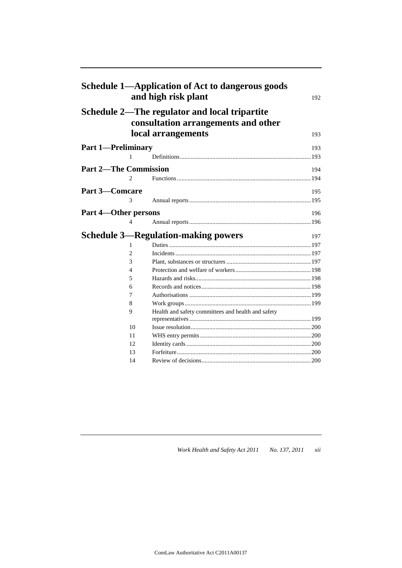|                              |                | Schedule 1—Application of Act to dangerous goods<br>and high risk plant              | 192 |
|------------------------------|----------------|--------------------------------------------------------------------------------------|-----|
|                              |                | Schedule 2—The regulator and local tripartite<br>consultation arrangements and other |     |
|                              |                | local arrangements                                                                   | 193 |
| <b>Part 1-Preliminary</b>    |                |                                                                                      | 193 |
|                              | 1              |                                                                                      |     |
| <b>Part 2-The Commission</b> |                |                                                                                      | 194 |
|                              | 2              |                                                                                      |     |
|                              |                |                                                                                      |     |
| <b>Part 3-Comcare</b>        |                |                                                                                      | 195 |
|                              | 3              |                                                                                      |     |
| Part 4—Other persons         |                |                                                                                      | 196 |
|                              | 4              |                                                                                      |     |
|                              |                | <b>Schedule 3-Regulation-making powers</b>                                           | 197 |
|                              | 1              |                                                                                      |     |
|                              | $\overline{2}$ |                                                                                      |     |
|                              | 3              |                                                                                      |     |
|                              | 4              |                                                                                      |     |
|                              | 5              |                                                                                      |     |
|                              | 6              |                                                                                      |     |
|                              | 7              |                                                                                      |     |
|                              | 8              |                                                                                      |     |
|                              | 9              | Health and safety committees and health and safety                                   |     |
|                              | 10             |                                                                                      |     |
|                              | 11             |                                                                                      |     |
|                              | 12             |                                                                                      |     |
|                              | 13             |                                                                                      |     |
|                              | 14             |                                                                                      |     |
|                              |                |                                                                                      |     |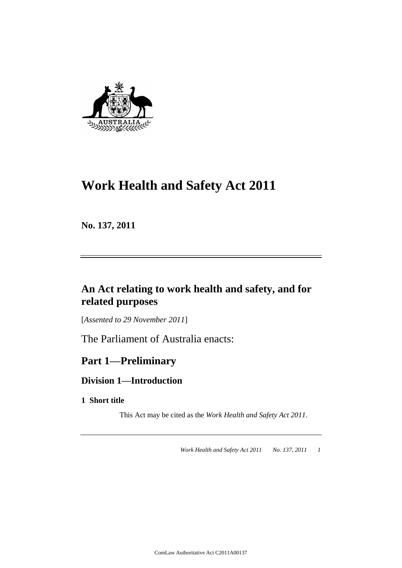

# **Work Health and Safety Act 2011**

**No. 137, 2011**

## **An Act relating to work health and safety, and for related purposes**

[*Assented to 29 November 2011*]

The Parliament of Australia enacts:

## **Part 1—Preliminary**

### **Division 1—Introduction**

### **1 Short title**

This Act may be cited as the *Work Health and Safety Act 2011*.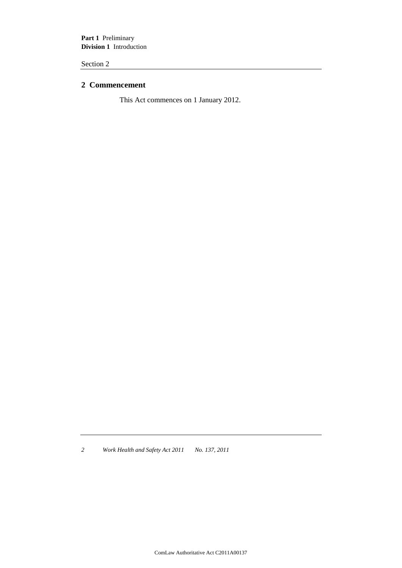**Part 1** Preliminary **Division 1** Introduction

Section 2

### **2 Commencement**

This Act commences on 1 January 2012.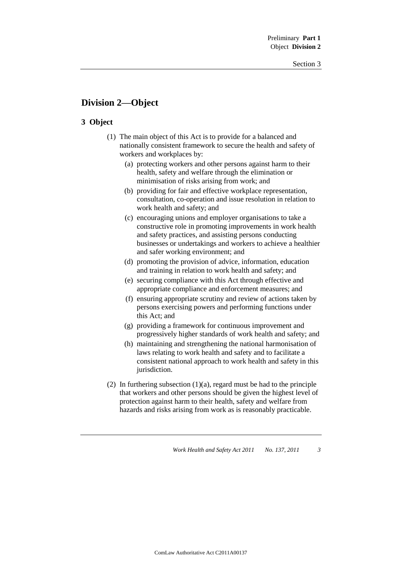### **Division 2—Object**

### **3 Object**

- (1) The main object of this Act is to provide for a balanced and nationally consistent framework to secure the health and safety of workers and workplaces by:
	- (a) protecting workers and other persons against harm to their health, safety and welfare through the elimination or minimisation of risks arising from work; and
	- (b) providing for fair and effective workplace representation, consultation, co-operation and issue resolution in relation to work health and safety; and
	- (c) encouraging unions and employer organisations to take a constructive role in promoting improvements in work health and safety practices, and assisting persons conducting businesses or undertakings and workers to achieve a healthier and safer working environment; and
	- (d) promoting the provision of advice, information, education and training in relation to work health and safety; and
	- (e) securing compliance with this Act through effective and appropriate compliance and enforcement measures; and
	- (f) ensuring appropriate scrutiny and review of actions taken by persons exercising powers and performing functions under this Act; and
	- (g) providing a framework for continuous improvement and progressively higher standards of work health and safety; and
	- (h) maintaining and strengthening the national harmonisation of laws relating to work health and safety and to facilitate a consistent national approach to work health and safety in this jurisdiction.
- (2) In furthering subsection  $(1)(a)$ , regard must be had to the principle that workers and other persons should be given the highest level of protection against harm to their health, safety and welfare from hazards and risks arising from work as is reasonably practicable.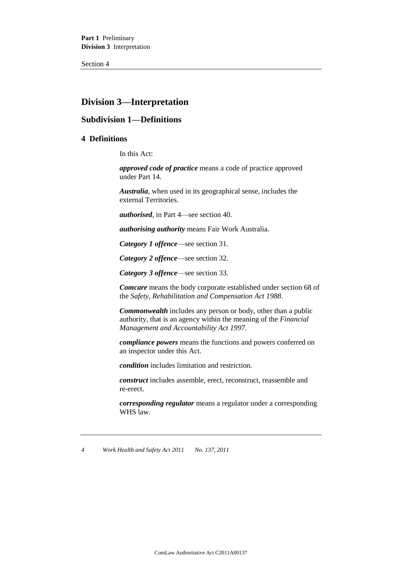**Part 1** Preliminary **Division 3** Interpretation

Section 4

### **Division 3—Interpretation**

### **Subdivision 1—Definitions**

### **4 Definitions**

In this Act:

*approved code of practice* means a code of practice approved under Part 14.

*Australia*, when used in its geographical sense, includes the external Territories.

*authorised*, in Part 4—see section 40.

*authorising authority* means Fair Work Australia.

*Category 1 offence*—see section 31.

*Category 2 offence*—see section 32.

*Category 3 offence*—see section 33.

*Comcare* means the body corporate established under section 68 of the *Safety, Rehabilitation and Compensation Act 1988*.

*Commonwealth* includes any person or body, other than a public authority, that is an agency within the meaning of the *Financial Management and Accountability Act 1997*.

*compliance powers* means the functions and powers conferred on an inspector under this Act.

*condition* includes limitation and restriction.

*construct* includes assemble, erect, reconstruct, reassemble and re-erect.

*corresponding regulator* means a regulator under a corresponding WHS law.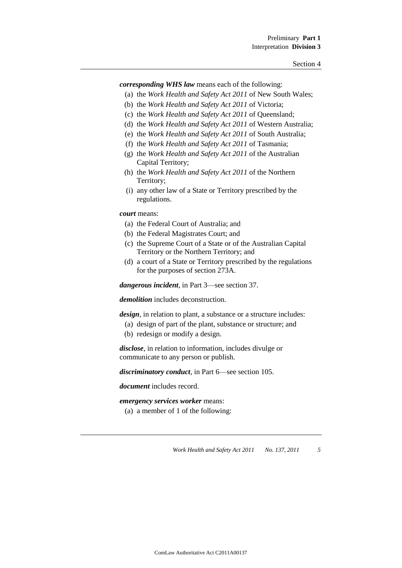*corresponding WHS law* means each of the following:

- (a) the *Work Health and Safety Act 2011* of New South Wales;
- (b) the *Work Health and Safety Act 2011* of Victoria;
- (c) the *Work Health and Safety Act 2011* of Queensland;
- (d) the *Work Health and Safety Act 2011* of Western Australia;
- (e) the *Work Health and Safety Act 2011* of South Australia;
- (f) the *Work Health and Safety Act 2011* of Tasmania;
- (g) the *Work Health and Safety Act 2011* of the Australian Capital Territory;
- (h) the *Work Health and Safety Act 2011* of the Northern Territory;
- (i) any other law of a State or Territory prescribed by the regulations.

*court* means:

- (a) the Federal Court of Australia; and
- (b) the Federal Magistrates Court; and
- (c) the Supreme Court of a State or of the Australian Capital Territory or the Northern Territory; and
- (d) a court of a State or Territory prescribed by the regulations for the purposes of section 273A.

*dangerous incident*, in Part 3—see section 37.

*demolition* includes deconstruction.

*design*, in relation to plant, a substance or a structure includes:

- (a) design of part of the plant, substance or structure; and
- (b) redesign or modify a design.

*disclose*, in relation to information, includes divulge or communicate to any person or publish.

*discriminatory conduct*, in Part 6—see section 105.

*document* includes record.

*emergency services worker* means:

(a) a member of 1 of the following: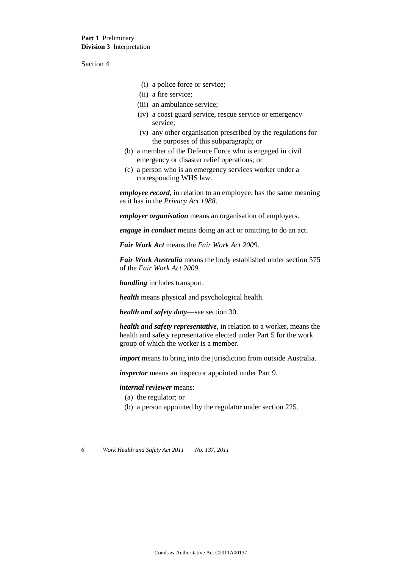- (i) a police force or service;
- (ii) a fire service;
- (iii) an ambulance service;
- (iv) a coast guard service, rescue service or emergency service;
- (v) any other organisation prescribed by the regulations for the purposes of this subparagraph; or
- (b) a member of the Defence Force who is engaged in civil emergency or disaster relief operations; or
- (c) a person who is an emergency services worker under a corresponding WHS law.

*employee record*, in relation to an employee, has the same meaning as it has in the *Privacy Act 1988*.

*employer organisation* means an organisation of employers.

*engage in conduct* means doing an act or omitting to do an act.

*Fair Work Act* means the *Fair Work Act 2009*.

*Fair Work Australia* means the body established under section 575 of the *Fair Work Act 2009*.

*handling* includes transport.

*health* means physical and psychological health.

*health and safety duty*—see section 30.

*health and safety representative*, in relation to a worker, means the health and safety representative elected under Part 5 for the work group of which the worker is a member.

*import* means to bring into the jurisdiction from outside Australia.

*inspector* means an inspector appointed under Part 9.

*internal reviewer* means:

- (a) the regulator; or
- (b) a person appointed by the regulator under section 225.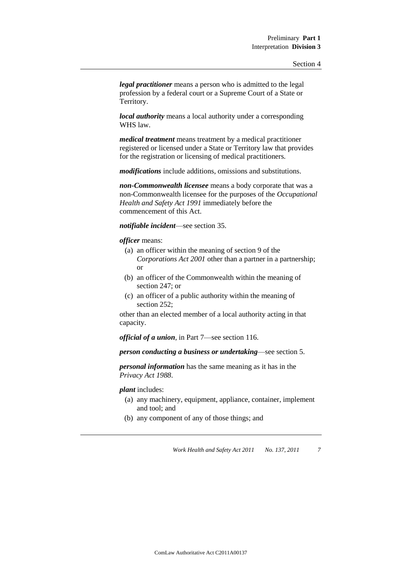*legal practitioner* means a person who is admitted to the legal profession by a federal court or a Supreme Court of a State or Territory.

*local authority* means a local authority under a corresponding WHS law.

*medical treatment* means treatment by a medical practitioner registered or licensed under a State or Territory law that provides for the registration or licensing of medical practitioners.

*modifications* include additions, omissions and substitutions.

*non-Commonwealth licensee* means a body corporate that was a non-Commonwealth licensee for the purposes of the *Occupational Health and Safety Act 1991* immediately before the commencement of this Act.

*notifiable incident*—see section 35.

*officer* means:

- (a) an officer within the meaning of section 9 of the *Corporations Act 2001* other than a partner in a partnership; or
- (b) an officer of the Commonwealth within the meaning of section 247; or
- (c) an officer of a public authority within the meaning of section 252;

other than an elected member of a local authority acting in that capacity.

*official of a union*, in Part 7—see section 116.

*person conducting a business or undertaking*—see section 5.

*personal information* has the same meaning as it has in the *Privacy Act 1988*.

*plant* includes:

- (a) any machinery, equipment, appliance, container, implement and tool; and
- (b) any component of any of those things; and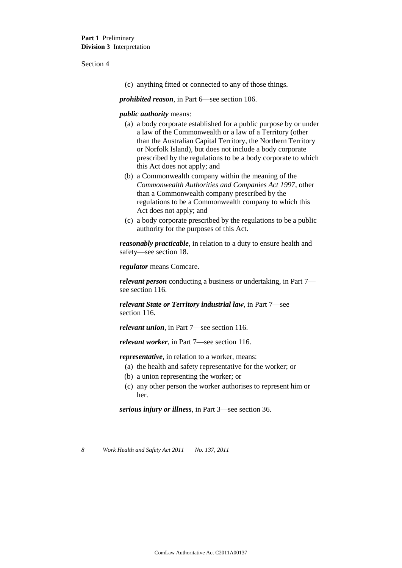#### Section 4

(c) anything fitted or connected to any of those things.

*prohibited reason*, in Part 6—see section 106.

#### *public authority* means:

- (a) a body corporate established for a public purpose by or under a law of the Commonwealth or a law of a Territory (other than the Australian Capital Territory, the Northern Territory or Norfolk Island), but does not include a body corporate prescribed by the regulations to be a body corporate to which this Act does not apply; and
- (b) a Commonwealth company within the meaning of the *Commonwealth Authorities and Companies Act 1997*, other than a Commonwealth company prescribed by the regulations to be a Commonwealth company to which this Act does not apply; and
- (c) a body corporate prescribed by the regulations to be a public authority for the purposes of this Act.

*reasonably practicable*, in relation to a duty to ensure health and safety—see section 18.

*regulator* means Comcare.

*relevant person* conducting a business or undertaking, in Part 7 see section 116.

*relevant State or Territory industrial law*, in Part 7—see section 116.

*relevant union*, in Part 7—see section 116.

*relevant worker*, in Part 7—see section 116.

*representative*, in relation to a worker, means:

- (a) the health and safety representative for the worker; or
- (b) a union representing the worker; or
- (c) any other person the worker authorises to represent him or her.

*serious injury or illness*, in Part 3—see section 36.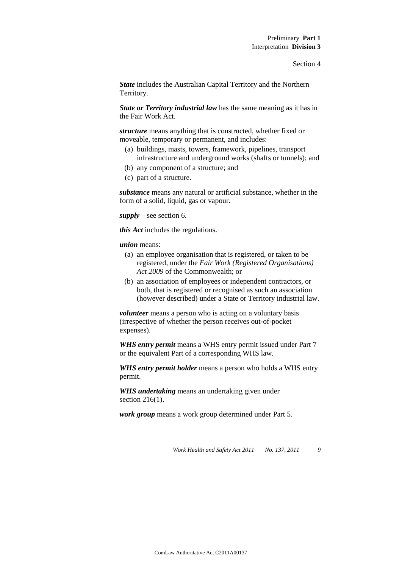*State* includes the Australian Capital Territory and the Northern Territory.

*State or Territory industrial law* has the same meaning as it has in the Fair Work Act.

*structure* means anything that is constructed, whether fixed or moveable, temporary or permanent, and includes:

- (a) buildings, masts, towers, framework, pipelines, transport infrastructure and underground works (shafts or tunnels); and
- (b) any component of a structure; and
- (c) part of a structure.

*substance* means any natural or artificial substance, whether in the form of a solid, liquid, gas or vapour.

*supply*—see section 6.

*this Act* includes the regulations.

*union* means:

- (a) an employee organisation that is registered, or taken to be registered, under the *Fair Work (Registered Organisations) Act 2009* of the Commonwealth; or
- (b) an association of employees or independent contractors, or both, that is registered or recognised as such an association (however described) under a State or Territory industrial law.

*volunteer* means a person who is acting on a voluntary basis (irrespective of whether the person receives out-of-pocket expenses).

*WHS entry permit* means a WHS entry permit issued under Part 7 or the equivalent Part of a corresponding WHS law.

*WHS entry permit holder* means a person who holds a WHS entry permit.

*WHS undertaking* means an undertaking given under section 216(1).

*work group* means a work group determined under Part 5.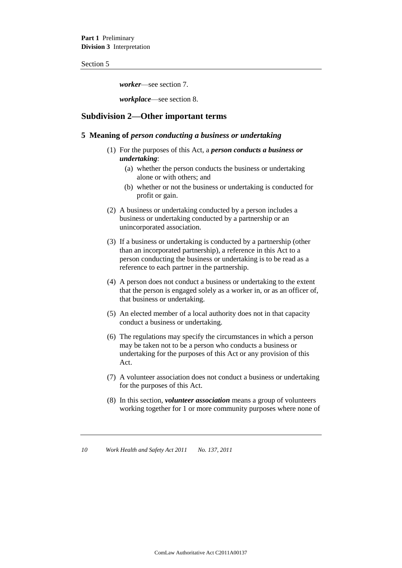Section 5

*worker*—see section 7.

*workplace*—see section 8.

### **Subdivision 2—Other important terms**

### **5 Meaning of** *person conducting a business or undertaking*

- (1) For the purposes of this Act, a *person conducts a business or undertaking*:
	- (a) whether the person conducts the business or undertaking alone or with others; and
	- (b) whether or not the business or undertaking is conducted for profit or gain.
- (2) A business or undertaking conducted by a person includes a business or undertaking conducted by a partnership or an unincorporated association.
- (3) If a business or undertaking is conducted by a partnership (other than an incorporated partnership), a reference in this Act to a person conducting the business or undertaking is to be read as a reference to each partner in the partnership.
- (4) A person does not conduct a business or undertaking to the extent that the person is engaged solely as a worker in, or as an officer of, that business or undertaking.
- (5) An elected member of a local authority does not in that capacity conduct a business or undertaking.
- (6) The regulations may specify the circumstances in which a person may be taken not to be a person who conducts a business or undertaking for the purposes of this Act or any provision of this Act.
- (7) A volunteer association does not conduct a business or undertaking for the purposes of this Act.
- (8) In this section, *volunteer association* means a group of volunteers working together for 1 or more community purposes where none of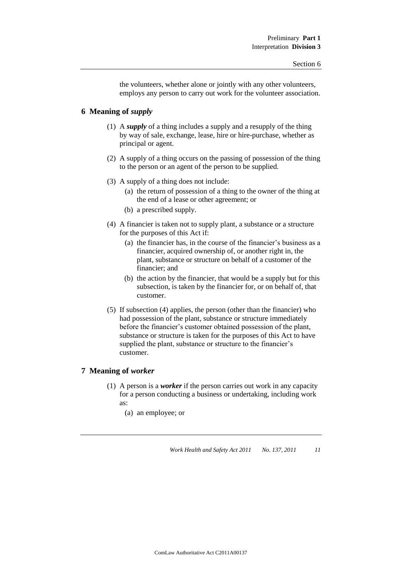the volunteers, whether alone or jointly with any other volunteers, employs any person to carry out work for the volunteer association.

### **6 Meaning of** *supply*

- (1) A *supply* of a thing includes a supply and a resupply of the thing by way of sale, exchange, lease, hire or hire-purchase, whether as principal or agent.
- (2) A supply of a thing occurs on the passing of possession of the thing to the person or an agent of the person to be supplied.
- (3) A supply of a thing does not include:
	- (a) the return of possession of a thing to the owner of the thing at the end of a lease or other agreement; or
	- (b) a prescribed supply.
- (4) A financier is taken not to supply plant, a substance or a structure for the purposes of this Act if:
	- (a) the financier has, in the course of the financier's business as a financier, acquired ownership of, or another right in, the plant, substance or structure on behalf of a customer of the financier; and
	- (b) the action by the financier, that would be a supply but for this subsection, is taken by the financier for, or on behalf of, that customer.
- (5) If subsection (4) applies, the person (other than the financier) who had possession of the plant, substance or structure immediately before the financier's customer obtained possession of the plant, substance or structure is taken for the purposes of this Act to have supplied the plant, substance or structure to the financier's customer.

### **7 Meaning of** *worker*

- (1) A person is a *worker* if the person carries out work in any capacity for a person conducting a business or undertaking, including work as:
	- (a) an employee; or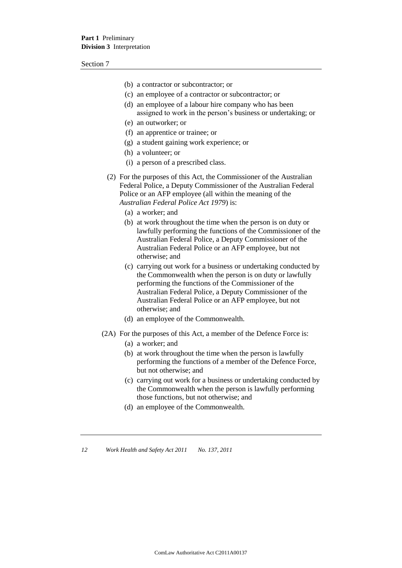Section 7

- (b) a contractor or subcontractor; or
- (c) an employee of a contractor or subcontractor; or
- (d) an employee of a labour hire company who has been assigned to work in the person's business or undertaking; or
- (e) an outworker; or
- (f) an apprentice or trainee; or
- (g) a student gaining work experience; or
- (h) a volunteer; or
- (i) a person of a prescribed class.
- (2) For the purposes of this Act, the Commissioner of the Australian Federal Police, a Deputy Commissioner of the Australian Federal Police or an AFP employee (all within the meaning of the *Australian Federal Police Act 1979*) is:
	- (a) a worker; and
	- (b) at work throughout the time when the person is on duty or lawfully performing the functions of the Commissioner of the Australian Federal Police, a Deputy Commissioner of the Australian Federal Police or an AFP employee, but not otherwise; and
	- (c) carrying out work for a business or undertaking conducted by the Commonwealth when the person is on duty or lawfully performing the functions of the Commissioner of the Australian Federal Police, a Deputy Commissioner of the Australian Federal Police or an AFP employee, but not otherwise; and
	- (d) an employee of the Commonwealth.
- (2A) For the purposes of this Act, a member of the Defence Force is:
	- (a) a worker; and
	- (b) at work throughout the time when the person is lawfully performing the functions of a member of the Defence Force, but not otherwise; and
	- (c) carrying out work for a business or undertaking conducted by the Commonwealth when the person is lawfully performing those functions, but not otherwise; and
	- (d) an employee of the Commonwealth.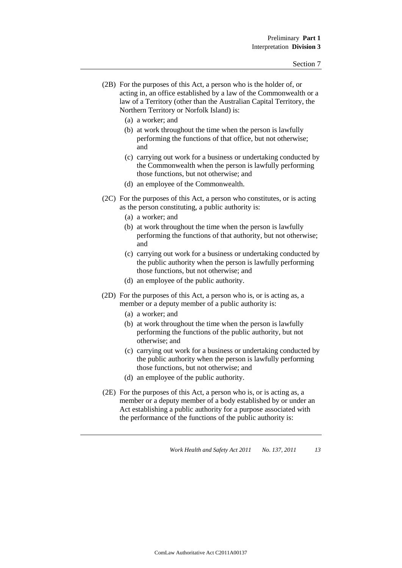- (2B) For the purposes of this Act, a person who is the holder of, or acting in, an office established by a law of the Commonwealth or a law of a Territory (other than the Australian Capital Territory, the Northern Territory or Norfolk Island) is:
	- (a) a worker; and
	- (b) at work throughout the time when the person is lawfully performing the functions of that office, but not otherwise; and
	- (c) carrying out work for a business or undertaking conducted by the Commonwealth when the person is lawfully performing those functions, but not otherwise; and
	- (d) an employee of the Commonwealth.
- (2C) For the purposes of this Act, a person who constitutes, or is acting as the person constituting, a public authority is:
	- (a) a worker; and
	- (b) at work throughout the time when the person is lawfully performing the functions of that authority, but not otherwise; and
	- (c) carrying out work for a business or undertaking conducted by the public authority when the person is lawfully performing those functions, but not otherwise; and
	- (d) an employee of the public authority.
- (2D) For the purposes of this Act, a person who is, or is acting as, a member or a deputy member of a public authority is:
	- (a) a worker; and
	- (b) at work throughout the time when the person is lawfully performing the functions of the public authority, but not otherwise; and
	- (c) carrying out work for a business or undertaking conducted by the public authority when the person is lawfully performing those functions, but not otherwise; and
	- (d) an employee of the public authority.
- (2E) For the purposes of this Act, a person who is, or is acting as, a member or a deputy member of a body established by or under an Act establishing a public authority for a purpose associated with the performance of the functions of the public authority is: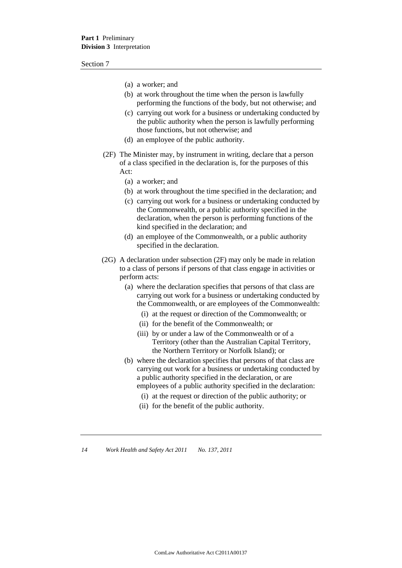Section 7

- (a) a worker; and
- (b) at work throughout the time when the person is lawfully performing the functions of the body, but not otherwise; and
- (c) carrying out work for a business or undertaking conducted by the public authority when the person is lawfully performing those functions, but not otherwise; and
- (d) an employee of the public authority.
- (2F) The Minister may, by instrument in writing, declare that a person of a class specified in the declaration is, for the purposes of this Act:
	- (a) a worker; and
	- (b) at work throughout the time specified in the declaration; and
	- (c) carrying out work for a business or undertaking conducted by the Commonwealth, or a public authority specified in the declaration, when the person is performing functions of the kind specified in the declaration; and
	- (d) an employee of the Commonwealth, or a public authority specified in the declaration.
- (2G) A declaration under subsection (2F) may only be made in relation to a class of persons if persons of that class engage in activities or perform acts:
	- (a) where the declaration specifies that persons of that class are carrying out work for a business or undertaking conducted by the Commonwealth, or are employees of the Commonwealth:
		- (i) at the request or direction of the Commonwealth; or
		- (ii) for the benefit of the Commonwealth; or
		- (iii) by or under a law of the Commonwealth or of a Territory (other than the Australian Capital Territory, the Northern Territory or Norfolk Island); or
	- (b) where the declaration specifies that persons of that class are carrying out work for a business or undertaking conducted by a public authority specified in the declaration, or are employees of a public authority specified in the declaration:
		- (i) at the request or direction of the public authority; or
		- (ii) for the benefit of the public authority.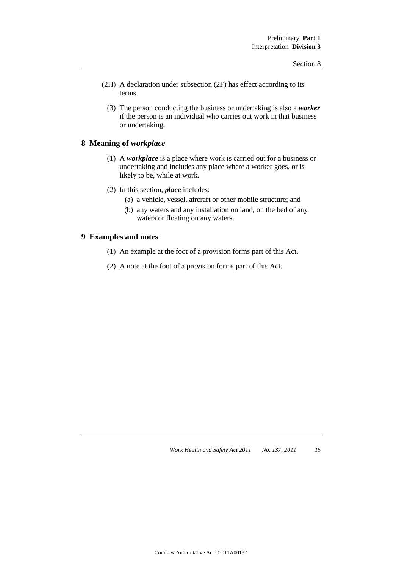- (2H) A declaration under subsection (2F) has effect according to its terms.
	- (3) The person conducting the business or undertaking is also a *worker* if the person is an individual who carries out work in that business or undertaking.

### **8 Meaning of** *workplace*

- (1) A *workplace* is a place where work is carried out for a business or undertaking and includes any place where a worker goes, or is likely to be, while at work.
- (2) In this section, *place* includes:
	- (a) a vehicle, vessel, aircraft or other mobile structure; and
	- (b) any waters and any installation on land, on the bed of any waters or floating on any waters.

### **9 Examples and notes**

- (1) An example at the foot of a provision forms part of this Act.
- (2) A note at the foot of a provision forms part of this Act.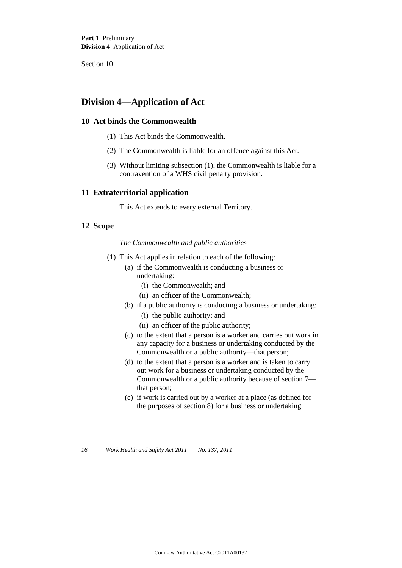Section 10

### **Division 4—Application of Act**

### **10 Act binds the Commonwealth**

- (1) This Act binds the Commonwealth.
- (2) The Commonwealth is liable for an offence against this Act.
- (3) Without limiting subsection (1), the Commonwealth is liable for a contravention of a WHS civil penalty provision.

### **11 Extraterritorial application**

This Act extends to every external Territory.

### **12 Scope**

### *The Commonwealth and public authorities*

- (1) This Act applies in relation to each of the following:
	- (a) if the Commonwealth is conducting a business or undertaking:
		- (i) the Commonwealth; and
		- (ii) an officer of the Commonwealth;
	- (b) if a public authority is conducting a business or undertaking:
		- (i) the public authority; and
		- (ii) an officer of the public authority;
	- (c) to the extent that a person is a worker and carries out work in any capacity for a business or undertaking conducted by the Commonwealth or a public authority—that person;
	- (d) to the extent that a person is a worker and is taken to carry out work for a business or undertaking conducted by the Commonwealth or a public authority because of section 7 that person;
	- (e) if work is carried out by a worker at a place (as defined for the purposes of section 8) for a business or undertaking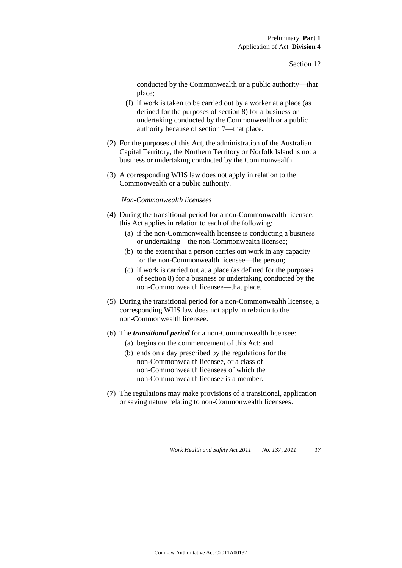conducted by the Commonwealth or a public authority—that place;

- (f) if work is taken to be carried out by a worker at a place (as defined for the purposes of section 8) for a business or undertaking conducted by the Commonwealth or a public authority because of section 7—that place.
- (2) For the purposes of this Act, the administration of the Australian Capital Territory, the Northern Territory or Norfolk Island is not a business or undertaking conducted by the Commonwealth.
- (3) A corresponding WHS law does not apply in relation to the Commonwealth or a public authority.

*Non-Commonwealth licensees*

- (4) During the transitional period for a non-Commonwealth licensee, this Act applies in relation to each of the following:
	- (a) if the non-Commonwealth licensee is conducting a business or undertaking—the non-Commonwealth licensee;
	- (b) to the extent that a person carries out work in any capacity for the non-Commonwealth licensee—the person;
	- (c) if work is carried out at a place (as defined for the purposes of section 8) for a business or undertaking conducted by the non-Commonwealth licensee—that place.
- (5) During the transitional period for a non-Commonwealth licensee, a corresponding WHS law does not apply in relation to the non-Commonwealth licensee.
- (6) The *transitional period* for a non-Commonwealth licensee:
	- (a) begins on the commencement of this Act; and
	- (b) ends on a day prescribed by the regulations for the non-Commonwealth licensee, or a class of non-Commonwealth licensees of which the non-Commonwealth licensee is a member.
- (7) The regulations may make provisions of a transitional, application or saving nature relating to non-Commonwealth licensees.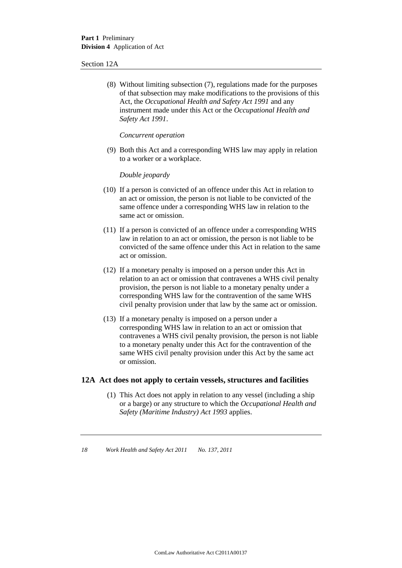#### Section 12A

(8) Without limiting subsection (7), regulations made for the purposes of that subsection may make modifications to the provisions of this Act, the *Occupational Health and Safety Act 1991* and any instrument made under this Act or the *Occupational Health and Safety Act 1991*.

*Concurrent operation*

(9) Both this Act and a corresponding WHS law may apply in relation to a worker or a workplace.

*Double jeopardy*

- (10) If a person is convicted of an offence under this Act in relation to an act or omission, the person is not liable to be convicted of the same offence under a corresponding WHS law in relation to the same act or omission.
- (11) If a person is convicted of an offence under a corresponding WHS law in relation to an act or omission, the person is not liable to be convicted of the same offence under this Act in relation to the same act or omission.
- (12) If a monetary penalty is imposed on a person under this Act in relation to an act or omission that contravenes a WHS civil penalty provision, the person is not liable to a monetary penalty under a corresponding WHS law for the contravention of the same WHS civil penalty provision under that law by the same act or omission.
- (13) If a monetary penalty is imposed on a person under a corresponding WHS law in relation to an act or omission that contravenes a WHS civil penalty provision, the person is not liable to a monetary penalty under this Act for the contravention of the same WHS civil penalty provision under this Act by the same act or omission.

### **12A Act does not apply to certain vessels, structures and facilities**

(1) This Act does not apply in relation to any vessel (including a ship or a barge) or any structure to which the *Occupational Health and Safety (Maritime Industry) Act 1993* applies.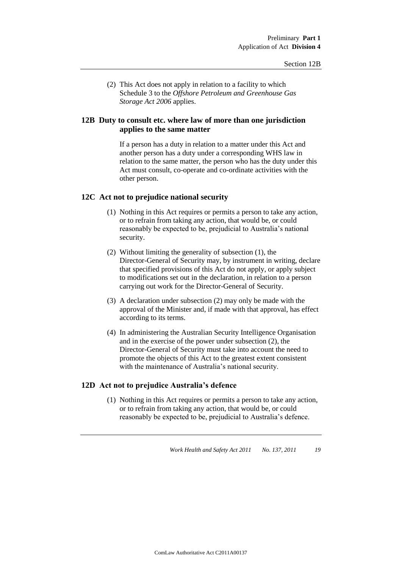(2) This Act does not apply in relation to a facility to which Schedule 3 to the *Offshore Petroleum and Greenhouse Gas Storage Act 2006* applies.

### **12B Duty to consult etc. where law of more than one jurisdiction applies to the same matter**

If a person has a duty in relation to a matter under this Act and another person has a duty under a corresponding WHS law in relation to the same matter, the person who has the duty under this Act must consult, co-operate and co-ordinate activities with the other person.

### **12C Act not to prejudice national security**

- (1) Nothing in this Act requires or permits a person to take any action, or to refrain from taking any action, that would be, or could reasonably be expected to be, prejudicial to Australia's national security.
- (2) Without limiting the generality of subsection (1), the Director-General of Security may, by instrument in writing, declare that specified provisions of this Act do not apply, or apply subject to modifications set out in the declaration, in relation to a person carrying out work for the Director-General of Security.
- (3) A declaration under subsection (2) may only be made with the approval of the Minister and, if made with that approval, has effect according to its terms.
- (4) In administering the Australian Security Intelligence Organisation and in the exercise of the power under subsection (2), the Director-General of Security must take into account the need to promote the objects of this Act to the greatest extent consistent with the maintenance of Australia's national security.

### **12D Act not to prejudice Australia's defence**

(1) Nothing in this Act requires or permits a person to take any action, or to refrain from taking any action, that would be, or could reasonably be expected to be, prejudicial to Australia's defence.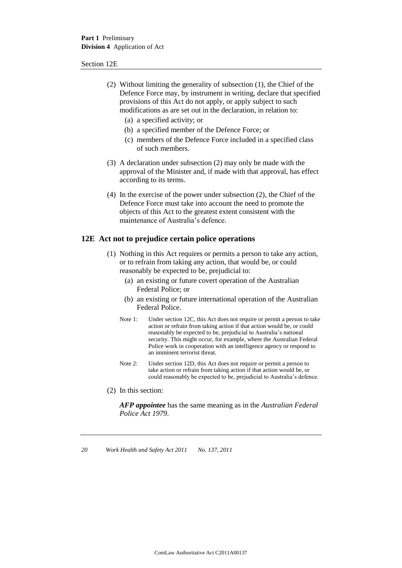#### Section 12E

- (2) Without limiting the generality of subsection (1), the Chief of the Defence Force may, by instrument in writing, declare that specified provisions of this Act do not apply, or apply subject to such modifications as are set out in the declaration, in relation to:
	- (a) a specified activity; or
	- (b) a specified member of the Defence Force; or
	- (c) members of the Defence Force included in a specified class of such members.
- (3) A declaration under subsection (2) may only be made with the approval of the Minister and, if made with that approval, has effect according to its terms.
- (4) In the exercise of the power under subsection (2), the Chief of the Defence Force must take into account the need to promote the objects of this Act to the greatest extent consistent with the maintenance of Australia's defence.

### **12E Act not to prejudice certain police operations**

- (1) Nothing in this Act requires or permits a person to take any action, or to refrain from taking any action, that would be, or could reasonably be expected to be, prejudicial to:
	- (a) an existing or future covert operation of the Australian Federal Police; or
	- (b) an existing or future international operation of the Australian Federal Police.
	- Note 1: Under section 12C, this Act does not require or permit a person to take action or refrain from taking action if that action would be, or could reasonably be expected to be, prejudicial to Australia's national security. This might occur, for example, where the Australian Federal Police work in cooperation with an intelligence agency or respond to an imminent terrorist threat.
	- Note 2: Under section 12D, this Act does not require or permit a person to take action or refrain from taking action if that action would be, or could reasonably be expected to be, prejudicial to Australia's defence.
- (2) In this section:

*AFP appointee* has the same meaning as in the *Australian Federal Police Act 1979*.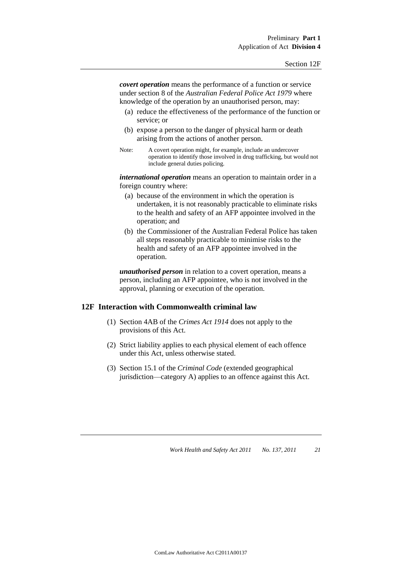*covert operation* means the performance of a function or service under section 8 of the *Australian Federal Police Act 1979* where knowledge of the operation by an unauthorised person, may:

- (a) reduce the effectiveness of the performance of the function or service; or
- (b) expose a person to the danger of physical harm or death arising from the actions of another person.
- Note: A covert operation might, for example, include an undercover operation to identify those involved in drug trafficking, but would not include general duties policing.

*international operation* means an operation to maintain order in a foreign country where:

- (a) because of the environment in which the operation is undertaken, it is not reasonably practicable to eliminate risks to the health and safety of an AFP appointee involved in the operation; and
- (b) the Commissioner of the Australian Federal Police has taken all steps reasonably practicable to minimise risks to the health and safety of an AFP appointee involved in the operation.

*unauthorised person* in relation to a covert operation, means a person, including an AFP appointee, who is not involved in the approval, planning or execution of the operation.

### **12F Interaction with Commonwealth criminal law**

- (1) Section 4AB of the *Crimes Act 1914* does not apply to the provisions of this Act.
- (2) Strict liability applies to each physical element of each offence under this Act, unless otherwise stated.
- (3) Section 15.1 of the *Criminal Code* (extended geographical jurisdiction—category A) applies to an offence against this Act.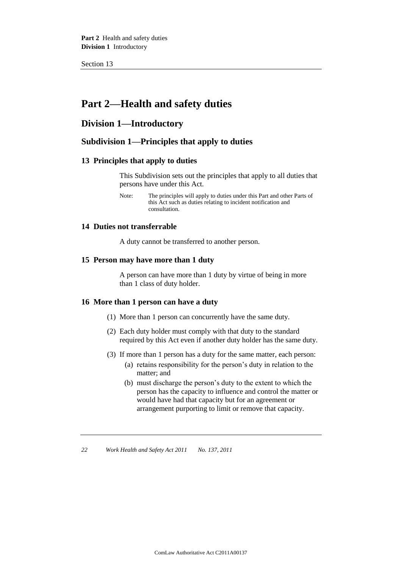Section 13

## **Part 2—Health and safety duties**

### **Division 1—Introductory**

### **Subdivision 1—Principles that apply to duties**

### **13 Principles that apply to duties**

This Subdivision sets out the principles that apply to all duties that persons have under this Act.

### **14 Duties not transferrable**

A duty cannot be transferred to another person.

### **15 Person may have more than 1 duty**

A person can have more than 1 duty by virtue of being in more than 1 class of duty holder.

### **16 More than 1 person can have a duty**

- (1) More than 1 person can concurrently have the same duty.
- (2) Each duty holder must comply with that duty to the standard required by this Act even if another duty holder has the same duty.
- (3) If more than 1 person has a duty for the same matter, each person:
	- (a) retains responsibility for the person's duty in relation to the matter; and
	- (b) must discharge the person's duty to the extent to which the person has the capacity to influence and control the matter or would have had that capacity but for an agreement or arrangement purporting to limit or remove that capacity.

Note: The principles will apply to duties under this Part and other Parts of this Act such as duties relating to incident notification and consultation.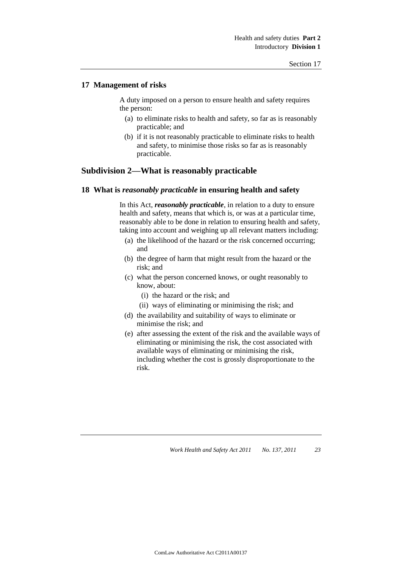## **17 Management of risks**

A duty imposed on a person to ensure health and safety requires the person:

- (a) to eliminate risks to health and safety, so far as is reasonably practicable; and
- (b) if it is not reasonably practicable to eliminate risks to health and safety, to minimise those risks so far as is reasonably practicable.

# **Subdivision 2—What is reasonably practicable**

### **18 What is** *reasonably practicable* **in ensuring health and safety**

In this Act, *reasonably practicable*, in relation to a duty to ensure health and safety, means that which is, or was at a particular time, reasonably able to be done in relation to ensuring health and safety, taking into account and weighing up all relevant matters including:

- (a) the likelihood of the hazard or the risk concerned occurring; and
- (b) the degree of harm that might result from the hazard or the risk; and
- (c) what the person concerned knows, or ought reasonably to know, about:
	- (i) the hazard or the risk; and
	- (ii) ways of eliminating or minimising the risk; and
- (d) the availability and suitability of ways to eliminate or minimise the risk; and
- (e) after assessing the extent of the risk and the available ways of eliminating or minimising the risk, the cost associated with available ways of eliminating or minimising the risk, including whether the cost is grossly disproportionate to the risk.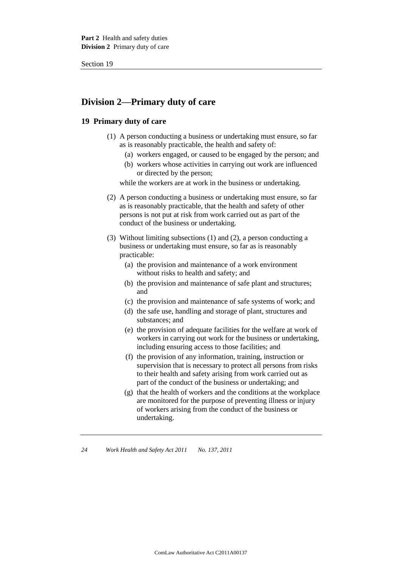# **Division 2—Primary duty of care**

# **19 Primary duty of care**

- (1) A person conducting a business or undertaking must ensure, so far as is reasonably practicable, the health and safety of:
	- (a) workers engaged, or caused to be engaged by the person; and
	- (b) workers whose activities in carrying out work are influenced or directed by the person;

while the workers are at work in the business or undertaking.

- (2) A person conducting a business or undertaking must ensure, so far as is reasonably practicable, that the health and safety of other persons is not put at risk from work carried out as part of the conduct of the business or undertaking.
- (3) Without limiting subsections (1) and (2), a person conducting a business or undertaking must ensure, so far as is reasonably practicable:
	- (a) the provision and maintenance of a work environment without risks to health and safety; and
	- (b) the provision and maintenance of safe plant and structures; and
	- (c) the provision and maintenance of safe systems of work; and
	- (d) the safe use, handling and storage of plant, structures and substances; and
	- (e) the provision of adequate facilities for the welfare at work of workers in carrying out work for the business or undertaking, including ensuring access to those facilities; and
	- (f) the provision of any information, training, instruction or supervision that is necessary to protect all persons from risks to their health and safety arising from work carried out as part of the conduct of the business or undertaking; and
	- (g) that the health of workers and the conditions at the workplace are monitored for the purpose of preventing illness or injury of workers arising from the conduct of the business or undertaking.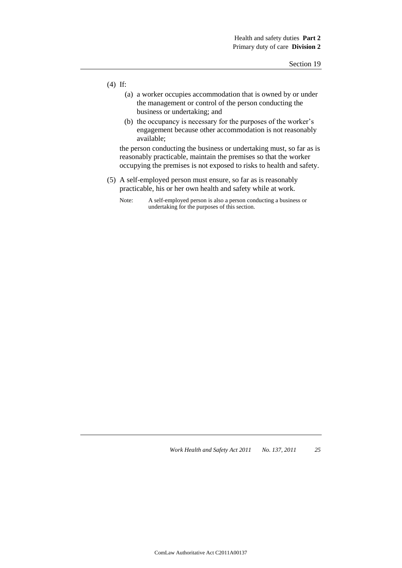- (4) If:
	- (a) a worker occupies accommodation that is owned by or under the management or control of the person conducting the business or undertaking; and
	- (b) the occupancy is necessary for the purposes of the worker's engagement because other accommodation is not reasonably available;

the person conducting the business or undertaking must, so far as is reasonably practicable, maintain the premises so that the worker occupying the premises is not exposed to risks to health and safety.

- (5) A self-employed person must ensure, so far as is reasonably practicable, his or her own health and safety while at work.
	- Note: A self-employed person is also a person conducting a business or undertaking for the purposes of this section.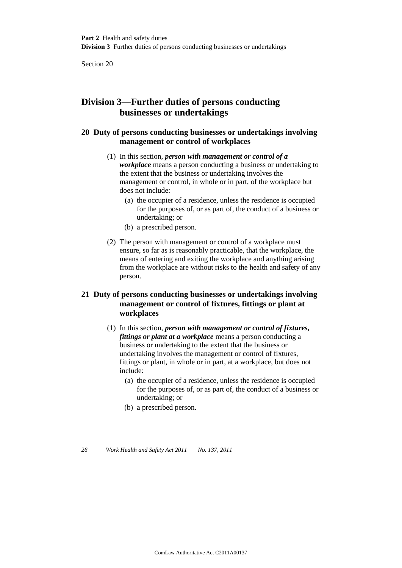# **Division 3—Further duties of persons conducting businesses or undertakings**

# **20 Duty of persons conducting businesses or undertakings involving management or control of workplaces**

- (1) In this section, *person with management or control of a workplace* means a person conducting a business or undertaking to the extent that the business or undertaking involves the management or control, in whole or in part, of the workplace but does not include:
	- (a) the occupier of a residence, unless the residence is occupied for the purposes of, or as part of, the conduct of a business or undertaking; or
	- (b) a prescribed person.
- (2) The person with management or control of a workplace must ensure, so far as is reasonably practicable, that the workplace, the means of entering and exiting the workplace and anything arising from the workplace are without risks to the health and safety of any person.

# **21 Duty of persons conducting businesses or undertakings involving management or control of fixtures, fittings or plant at workplaces**

- (1) In this section, *person with management or control of fixtures, fittings or plant at a workplace* means a person conducting a business or undertaking to the extent that the business or undertaking involves the management or control of fixtures, fittings or plant, in whole or in part, at a workplace, but does not include:
	- (a) the occupier of a residence, unless the residence is occupied for the purposes of, or as part of, the conduct of a business or undertaking; or
	- (b) a prescribed person.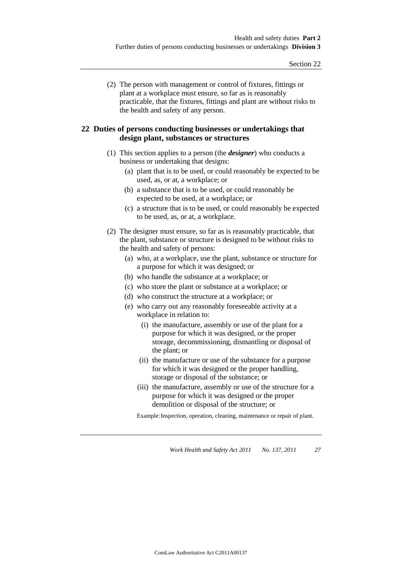(2) The person with management or control of fixtures, fittings or plant at a workplace must ensure, so far as is reasonably practicable, that the fixtures, fittings and plant are without risks to the health and safety of any person.

# **22 Duties of persons conducting businesses or undertakings that design plant, substances or structures**

- (1) This section applies to a person (the *designer*) who conducts a business or undertaking that designs:
	- (a) plant that is to be used, or could reasonably be expected to be used, as, or at, a workplace; or
	- (b) a substance that is to be used, or could reasonably be expected to be used, at a workplace; or
	- (c) a structure that is to be used, or could reasonably be expected to be used, as, or at, a workplace.
- (2) The designer must ensure, so far as is reasonably practicable, that the plant, substance or structure is designed to be without risks to the health and safety of persons:
	- (a) who, at a workplace, use the plant, substance or structure for a purpose for which it was designed; or
	- (b) who handle the substance at a workplace; or
	- (c) who store the plant or substance at a workplace; or
	- (d) who construct the structure at a workplace; or
	- (e) who carry out any reasonably foreseeable activity at a workplace in relation to:
		- (i) the manufacture, assembly or use of the plant for a purpose for which it was designed, or the proper storage, decommissioning, dismantling or disposal of the plant; or
		- (ii) the manufacture or use of the substance for a purpose for which it was designed or the proper handling, storage or disposal of the substance; or
		- (iii) the manufacture, assembly or use of the structure for a purpose for which it was designed or the proper demolition or disposal of the structure; or

Example: Inspection, operation, cleaning, maintenance or repair of plant.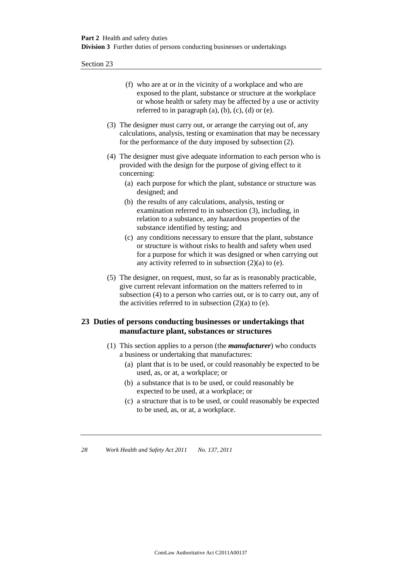- (f) who are at or in the vicinity of a workplace and who are exposed to the plant, substance or structure at the workplace or whose health or safety may be affected by a use or activity referred to in paragraph  $(a)$ ,  $(b)$ ,  $(c)$ ,  $(d)$  or  $(e)$ .
- (3) The designer must carry out, or arrange the carrying out of, any calculations, analysis, testing or examination that may be necessary for the performance of the duty imposed by subsection (2).
- (4) The designer must give adequate information to each person who is provided with the design for the purpose of giving effect to it concerning:
	- (a) each purpose for which the plant, substance or structure was designed; and
	- (b) the results of any calculations, analysis, testing or examination referred to in subsection (3), including, in relation to a substance, any hazardous properties of the substance identified by testing; and
	- (c) any conditions necessary to ensure that the plant, substance or structure is without risks to health and safety when used for a purpose for which it was designed or when carrying out any activity referred to in subsection (2)(a) to (e).
- (5) The designer, on request, must, so far as is reasonably practicable, give current relevant information on the matters referred to in subsection (4) to a person who carries out, or is to carry out, any of the activities referred to in subsection  $(2)(a)$  to  $(e)$ .

# **23 Duties of persons conducting businesses or undertakings that manufacture plant, substances or structures**

- (1) This section applies to a person (the *manufacturer*) who conducts a business or undertaking that manufactures:
	- (a) plant that is to be used, or could reasonably be expected to be used, as, or at, a workplace; or
	- (b) a substance that is to be used, or could reasonably be expected to be used, at a workplace; or
	- (c) a structure that is to be used, or could reasonably be expected to be used, as, or at, a workplace.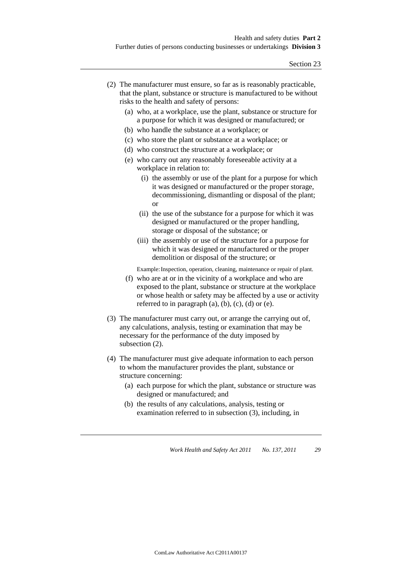- (2) The manufacturer must ensure, so far as is reasonably practicable, that the plant, substance or structure is manufactured to be without risks to the health and safety of persons:
	- (a) who, at a workplace, use the plant, substance or structure for a purpose for which it was designed or manufactured; or
	- (b) who handle the substance at a workplace; or
	- (c) who store the plant or substance at a workplace; or
	- (d) who construct the structure at a workplace; or
	- (e) who carry out any reasonably foreseeable activity at a workplace in relation to:
		- (i) the assembly or use of the plant for a purpose for which it was designed or manufactured or the proper storage, decommissioning, dismantling or disposal of the plant; or
		- (ii) the use of the substance for a purpose for which it was designed or manufactured or the proper handling, storage or disposal of the substance; or
		- (iii) the assembly or use of the structure for a purpose for which it was designed or manufactured or the proper demolition or disposal of the structure; or

Example: Inspection, operation, cleaning, maintenance or repair of plant.

- (f) who are at or in the vicinity of a workplace and who are exposed to the plant, substance or structure at the workplace or whose health or safety may be affected by a use or activity referred to in paragraph  $(a)$ ,  $(b)$ ,  $(c)$ ,  $(d)$  or  $(e)$ .
- (3) The manufacturer must carry out, or arrange the carrying out of, any calculations, analysis, testing or examination that may be necessary for the performance of the duty imposed by subsection (2).
- (4) The manufacturer must give adequate information to each person to whom the manufacturer provides the plant, substance or structure concerning:
	- (a) each purpose for which the plant, substance or structure was designed or manufactured; and
	- (b) the results of any calculations, analysis, testing or examination referred to in subsection (3), including, in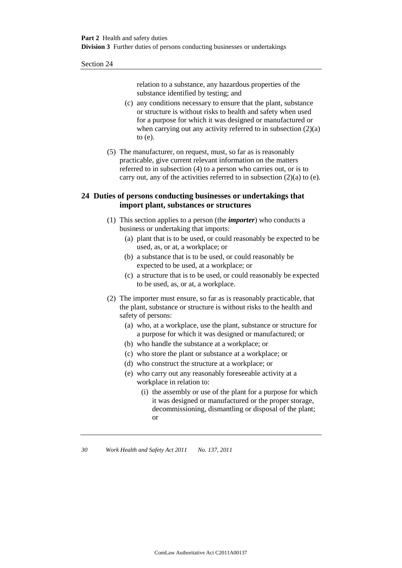relation to a substance, any hazardous properties of the substance identified by testing; and

- (c) any conditions necessary to ensure that the plant, substance or structure is without risks to health and safety when used for a purpose for which it was designed or manufactured or when carrying out any activity referred to in subsection  $(2)(a)$ to (e).
- (5) The manufacturer, on request, must, so far as is reasonably practicable, give current relevant information on the matters referred to in subsection (4) to a person who carries out, or is to carry out, any of the activities referred to in subsection (2)(a) to (e).

### **24 Duties of persons conducting businesses or undertakings that import plant, substances or structures**

- (1) This section applies to a person (the *importer*) who conducts a business or undertaking that imports:
	- (a) plant that is to be used, or could reasonably be expected to be used, as, or at, a workplace; or
	- (b) a substance that is to be used, or could reasonably be expected to be used, at a workplace; or
	- (c) a structure that is to be used, or could reasonably be expected to be used, as, or at, a workplace.
- (2) The importer must ensure, so far as is reasonably practicable, that the plant, substance or structure is without risks to the health and safety of persons:
	- (a) who, at a workplace, use the plant, substance or structure for a purpose for which it was designed or manufactured; or
	- (b) who handle the substance at a workplace; or
	- (c) who store the plant or substance at a workplace; or
	- (d) who construct the structure at a workplace; or
	- (e) who carry out any reasonably foreseeable activity at a workplace in relation to:
		- (i) the assembly or use of the plant for a purpose for which it was designed or manufactured or the proper storage, decommissioning, dismantling or disposal of the plant; or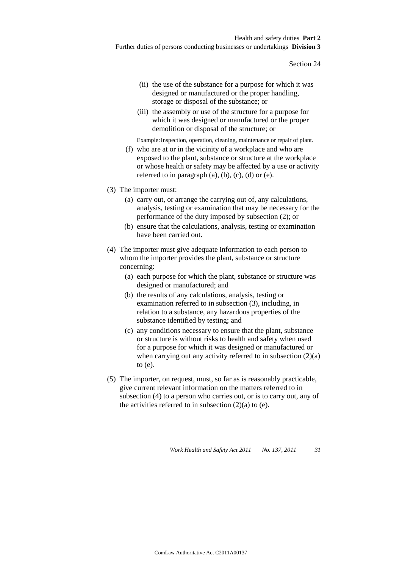- (ii) the use of the substance for a purpose for which it was designed or manufactured or the proper handling, storage or disposal of the substance; or
- (iii) the assembly or use of the structure for a purpose for which it was designed or manufactured or the proper demolition or disposal of the structure; or

Example: Inspection, operation, cleaning, maintenance or repair of plant.

- (f) who are at or in the vicinity of a workplace and who are exposed to the plant, substance or structure at the workplace or whose health or safety may be affected by a use or activity referred to in paragraph  $(a)$ ,  $(b)$ ,  $(c)$ ,  $(d)$  or  $(e)$ .
- (3) The importer must:
	- (a) carry out, or arrange the carrying out of, any calculations, analysis, testing or examination that may be necessary for the performance of the duty imposed by subsection (2); or
	- (b) ensure that the calculations, analysis, testing or examination have been carried out.
- (4) The importer must give adequate information to each person to whom the importer provides the plant, substance or structure concerning:
	- (a) each purpose for which the plant, substance or structure was designed or manufactured; and
	- (b) the results of any calculations, analysis, testing or examination referred to in subsection (3), including, in relation to a substance, any hazardous properties of the substance identified by testing; and
	- (c) any conditions necessary to ensure that the plant, substance or structure is without risks to health and safety when used for a purpose for which it was designed or manufactured or when carrying out any activity referred to in subsection  $(2)(a)$ to (e).
- (5) The importer, on request, must, so far as is reasonably practicable, give current relevant information on the matters referred to in subsection (4) to a person who carries out, or is to carry out, any of the activities referred to in subsection  $(2)(a)$  to  $(e)$ .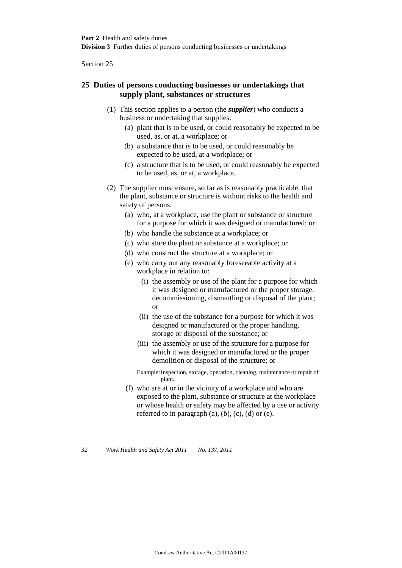# **25 Duties of persons conducting businesses or undertakings that supply plant, substances or structures**

- (1) This section applies to a person (the *supplier*) who conducts a business or undertaking that supplies:
	- (a) plant that is to be used, or could reasonably be expected to be used, as, or at, a workplace; or
	- (b) a substance that is to be used, or could reasonably be expected to be used, at a workplace; or
	- (c) a structure that is to be used, or could reasonably be expected to be used, as, or at, a workplace.
- (2) The supplier must ensure, so far as is reasonably practicable, that the plant, substance or structure is without risks to the health and safety of persons:
	- (a) who, at a workplace, use the plant or substance or structure for a purpose for which it was designed or manufactured; or
	- (b) who handle the substance at a workplace; or
	- (c) who store the plant or substance at a workplace; or
	- (d) who construct the structure at a workplace; or
	- (e) who carry out any reasonably foreseeable activity at a workplace in relation to:
		- (i) the assembly or use of the plant for a purpose for which it was designed or manufactured or the proper storage, decommissioning, dismantling or disposal of the plant; or
		- (ii) the use of the substance for a purpose for which it was designed or manufactured or the proper handling, storage or disposal of the substance; or
		- (iii) the assembly or use of the structure for a purpose for which it was designed or manufactured or the proper demolition or disposal of the structure; or

Example:Inspection, storage, operation, cleaning, maintenance or repair of plant.

(f) who are at or in the vicinity of a workplace and who are exposed to the plant, substance or structure at the workplace or whose health or safety may be affected by a use or activity referred to in paragraph  $(a)$ ,  $(b)$ ,  $(c)$ ,  $(d)$  or  $(e)$ .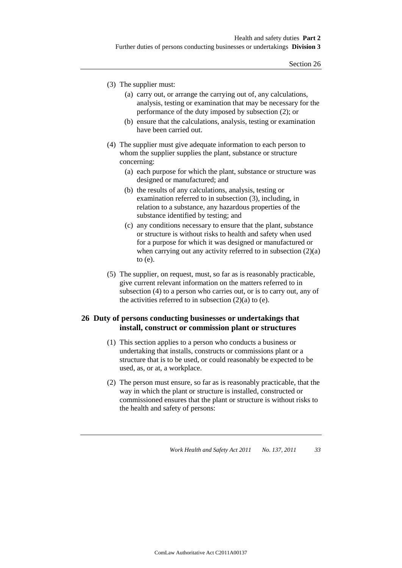- (3) The supplier must:
	- (a) carry out, or arrange the carrying out of, any calculations, analysis, testing or examination that may be necessary for the performance of the duty imposed by subsection (2); or
	- (b) ensure that the calculations, analysis, testing or examination have been carried out.
- (4) The supplier must give adequate information to each person to whom the supplier supplies the plant, substance or structure concerning:
	- (a) each purpose for which the plant, substance or structure was designed or manufactured; and
	- (b) the results of any calculations, analysis, testing or examination referred to in subsection (3), including, in relation to a substance, any hazardous properties of the substance identified by testing; and
	- (c) any conditions necessary to ensure that the plant, substance or structure is without risks to health and safety when used for a purpose for which it was designed or manufactured or when carrying out any activity referred to in subsection  $(2)(a)$ to (e).
- (5) The supplier, on request, must, so far as is reasonably practicable, give current relevant information on the matters referred to in subsection (4) to a person who carries out, or is to carry out, any of the activities referred to in subsection  $(2)(a)$  to  $(e)$ .

# **26 Duty of persons conducting businesses or undertakings that install, construct or commission plant or structures**

- (1) This section applies to a person who conducts a business or undertaking that installs, constructs or commissions plant or a structure that is to be used, or could reasonably be expected to be used, as, or at, a workplace.
- (2) The person must ensure, so far as is reasonably practicable, that the way in which the plant or structure is installed, constructed or commissioned ensures that the plant or structure is without risks to the health and safety of persons: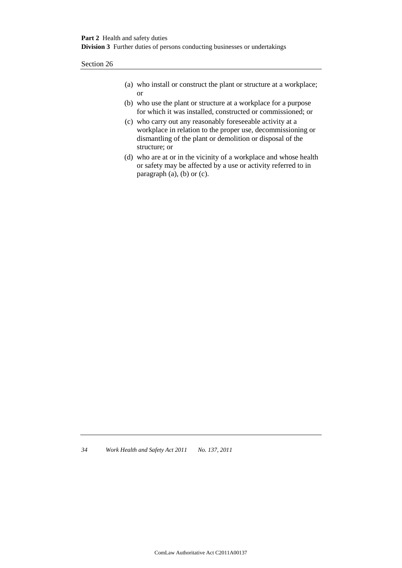- (a) who install or construct the plant or structure at a workplace; or
- (b) who use the plant or structure at a workplace for a purpose for which it was installed, constructed or commissioned; or
- (c) who carry out any reasonably foreseeable activity at a workplace in relation to the proper use, decommissioning or dismantling of the plant or demolition or disposal of the structure; or
- (d) who are at or in the vicinity of a workplace and whose health or safety may be affected by a use or activity referred to in paragraph (a), (b) or (c).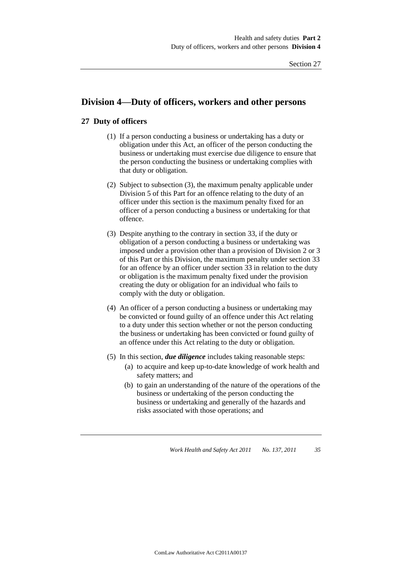# **Division 4—Duty of officers, workers and other persons**

# **27 Duty of officers**

- (1) If a person conducting a business or undertaking has a duty or obligation under this Act, an officer of the person conducting the business or undertaking must exercise due diligence to ensure that the person conducting the business or undertaking complies with that duty or obligation.
- (2) Subject to subsection (3), the maximum penalty applicable under Division 5 of this Part for an offence relating to the duty of an officer under this section is the maximum penalty fixed for an officer of a person conducting a business or undertaking for that offence.
- (3) Despite anything to the contrary in section 33, if the duty or obligation of a person conducting a business or undertaking was imposed under a provision other than a provision of Division 2 or 3 of this Part or this Division, the maximum penalty under section 33 for an offence by an officer under section 33 in relation to the duty or obligation is the maximum penalty fixed under the provision creating the duty or obligation for an individual who fails to comply with the duty or obligation.
- (4) An officer of a person conducting a business or undertaking may be convicted or found guilty of an offence under this Act relating to a duty under this section whether or not the person conducting the business or undertaking has been convicted or found guilty of an offence under this Act relating to the duty or obligation.
- (5) In this section, *due diligence* includes taking reasonable steps:
	- (a) to acquire and keep up-to-date knowledge of work health and safety matters; and
	- (b) to gain an understanding of the nature of the operations of the business or undertaking of the person conducting the business or undertaking and generally of the hazards and risks associated with those operations; and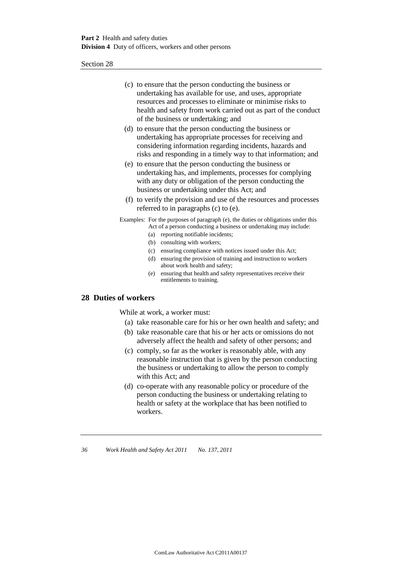- (c) to ensure that the person conducting the business or undertaking has available for use, and uses, appropriate resources and processes to eliminate or minimise risks to health and safety from work carried out as part of the conduct of the business or undertaking; and
- (d) to ensure that the person conducting the business or undertaking has appropriate processes for receiving and considering information regarding incidents, hazards and risks and responding in a timely way to that information; and
- (e) to ensure that the person conducting the business or undertaking has, and implements, processes for complying with any duty or obligation of the person conducting the business or undertaking under this Act; and
- (f) to verify the provision and use of the resources and processes referred to in paragraphs (c) to (e).

Examples: For the purposes of paragraph (e), the duties or obligations under this Act of a person conducting a business or undertaking may include:

- (a) reporting notifiable incidents;
- (b) consulting with workers;
- (c) ensuring compliance with notices issued under this Act;
- (d) ensuring the provision of training and instruction to workers about work health and safety;
- (e) ensuring that health and safety representatives receive their entitlements to training.

#### **28 Duties of workers**

While at work, a worker must:

- (a) take reasonable care for his or her own health and safety; and
- (b) take reasonable care that his or her acts or omissions do not adversely affect the health and safety of other persons; and
- (c) comply, so far as the worker is reasonably able, with any reasonable instruction that is given by the person conducting the business or undertaking to allow the person to comply with this Act; and
- (d) co-operate with any reasonable policy or procedure of the person conducting the business or undertaking relating to health or safety at the workplace that has been notified to workers.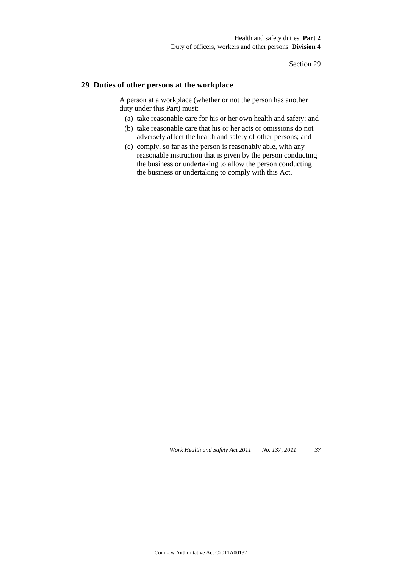# **29 Duties of other persons at the workplace**

A person at a workplace (whether or not the person has another duty under this Part) must:

- (a) take reasonable care for his or her own health and safety; and
- (b) take reasonable care that his or her acts or omissions do not adversely affect the health and safety of other persons; and
- (c) comply, so far as the person is reasonably able, with any reasonable instruction that is given by the person conducting the business or undertaking to allow the person conducting the business or undertaking to comply with this Act.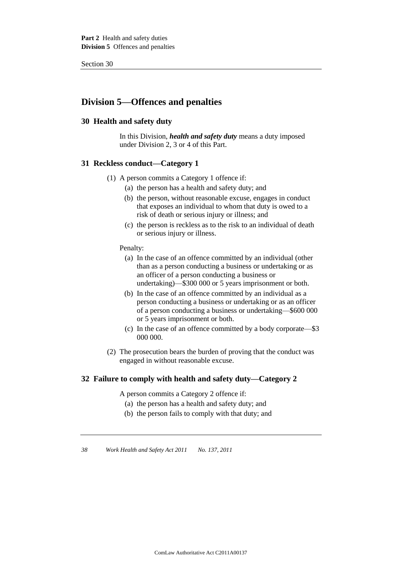# **Division 5—Offences and penalties**

# **30 Health and safety duty**

In this Division, *health and safety duty* means a duty imposed under Division 2, 3 or 4 of this Part.

### **31 Reckless conduct—Category 1**

- (1) A person commits a Category 1 offence if:
	- (a) the person has a health and safety duty; and
	- (b) the person, without reasonable excuse, engages in conduct that exposes an individual to whom that duty is owed to a risk of death or serious injury or illness; and
	- (c) the person is reckless as to the risk to an individual of death or serious injury or illness.

#### Penalty:

- (a) In the case of an offence committed by an individual (other than as a person conducting a business or undertaking or as an officer of a person conducting a business or undertaking)—\$300 000 or 5 years imprisonment or both.
- (b) In the case of an offence committed by an individual as a person conducting a business or undertaking or as an officer of a person conducting a business or undertaking—\$600 000 or 5 years imprisonment or both.
- (c) In the case of an offence committed by a body corporate—\$3 000 000.
- (2) The prosecution bears the burden of proving that the conduct was engaged in without reasonable excuse.

# **32 Failure to comply with health and safety duty—Category 2**

A person commits a Category 2 offence if:

- (a) the person has a health and safety duty; and
- (b) the person fails to comply with that duty; and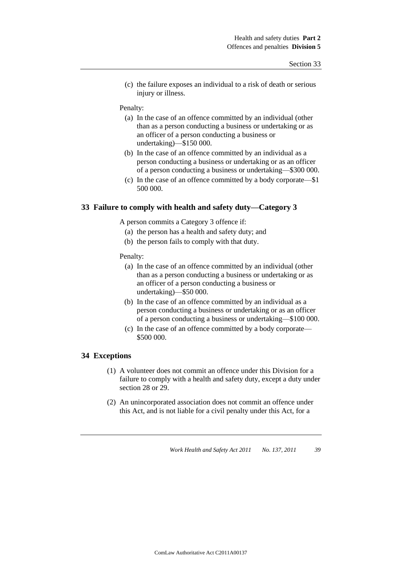(c) the failure exposes an individual to a risk of death or serious injury or illness.

#### Penalty:

- (a) In the case of an offence committed by an individual (other than as a person conducting a business or undertaking or as an officer of a person conducting a business or undertaking)—\$150 000.
- (b) In the case of an offence committed by an individual as a person conducting a business or undertaking or as an officer of a person conducting a business or undertaking—\$300 000.
- (c) In the case of an offence committed by a body corporate—\$1 500 000.

### **33 Failure to comply with health and safety duty—Category 3**

A person commits a Category 3 offence if:

- (a) the person has a health and safety duty; and
- (b) the person fails to comply with that duty.

#### Penalty:

- (a) In the case of an offence committed by an individual (other than as a person conducting a business or undertaking or as an officer of a person conducting a business or undertaking)—\$50 000.
- (b) In the case of an offence committed by an individual as a person conducting a business or undertaking or as an officer of a person conducting a business or undertaking—\$100 000.
- (c) In the case of an offence committed by a body corporate— \$500 000.

#### **34 Exceptions**

- (1) A volunteer does not commit an offence under this Division for a failure to comply with a health and safety duty, except a duty under section 28 or 29.
- (2) An unincorporated association does not commit an offence under this Act, and is not liable for a civil penalty under this Act, for a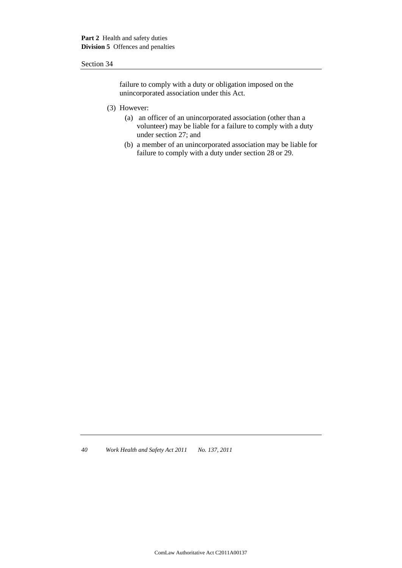failure to comply with a duty or obligation imposed on the unincorporated association under this Act.

- (3) However:
	- (a) an officer of an unincorporated association (other than a volunteer) may be liable for a failure to comply with a duty under section 27; and
	- (b) a member of an unincorporated association may be liable for failure to comply with a duty under section 28 or 29.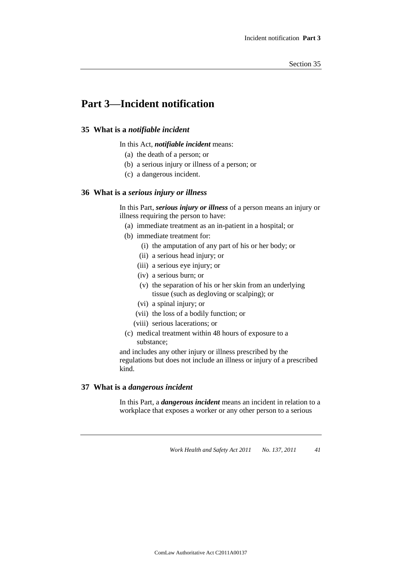# **Part 3—Incident notification**

# **35 What is a** *notifiable incident*

In this Act, *notifiable incident* means:

- (a) the death of a person; or
- (b) a serious injury or illness of a person; or
- (c) a dangerous incident.

### **36 What is a** *serious injury or illness*

In this Part, *serious injury or illness* of a person means an injury or illness requiring the person to have:

- (a) immediate treatment as an in-patient in a hospital; or
- (b) immediate treatment for:
	- (i) the amputation of any part of his or her body; or
	- (ii) a serious head injury; or
	- (iii) a serious eye injury; or
	- (iv) a serious burn; or
	- (v) the separation of his or her skin from an underlying tissue (such as degloving or scalping); or
	- (vi) a spinal injury; or
	- (vii) the loss of a bodily function; or
	- (viii) serious lacerations; or
- (c) medical treatment within 48 hours of exposure to a substance;

and includes any other injury or illness prescribed by the regulations but does not include an illness or injury of a prescribed kind.

# **37 What is a** *dangerous incident*

In this Part, a *dangerous incident* means an incident in relation to a workplace that exposes a worker or any other person to a serious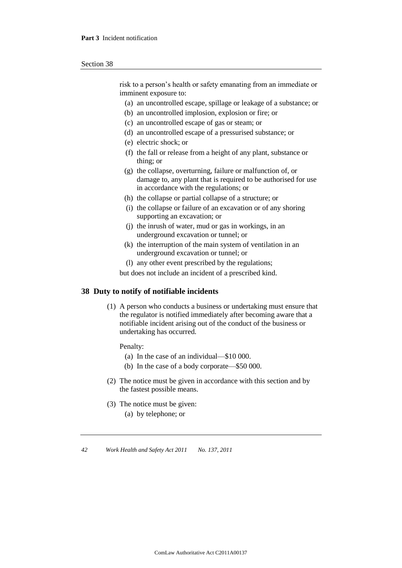risk to a person's health or safety emanating from an immediate or imminent exposure to:

- (a) an uncontrolled escape, spillage or leakage of a substance; or
- (b) an uncontrolled implosion, explosion or fire; or
- (c) an uncontrolled escape of gas or steam; or
- (d) an uncontrolled escape of a pressurised substance; or
- (e) electric shock; or
- (f) the fall or release from a height of any plant, substance or thing; or
- (g) the collapse, overturning, failure or malfunction of, or damage to, any plant that is required to be authorised for use in accordance with the regulations; or
- (h) the collapse or partial collapse of a structure; or
- (i) the collapse or failure of an excavation or of any shoring supporting an excavation; or
- (j) the inrush of water, mud or gas in workings, in an underground excavation or tunnel; or
- (k) the interruption of the main system of ventilation in an underground excavation or tunnel; or
- (l) any other event prescribed by the regulations;

but does not include an incident of a prescribed kind.

#### **38 Duty to notify of notifiable incidents**

(1) A person who conducts a business or undertaking must ensure that the regulator is notified immediately after becoming aware that a notifiable incident arising out of the conduct of the business or undertaking has occurred.

Penalty:

- (a) In the case of an individual—\$10 000.
- (b) In the case of a body corporate—\$50 000.
- (2) The notice must be given in accordance with this section and by the fastest possible means.
- (3) The notice must be given:
	- (a) by telephone; or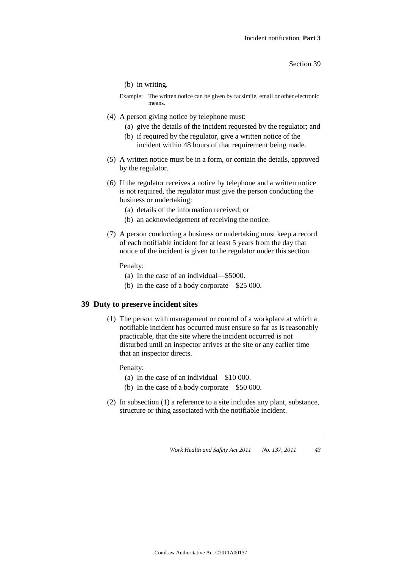(b) in writing.

Example: The written notice can be given by facsimile, email or other electronic means.

- (4) A person giving notice by telephone must:
	- (a) give the details of the incident requested by the regulator; and
	- (b) if required by the regulator, give a written notice of the incident within 48 hours of that requirement being made.
- (5) A written notice must be in a form, or contain the details, approved by the regulator.
- (6) If the regulator receives a notice by telephone and a written notice is not required, the regulator must give the person conducting the business or undertaking:
	- (a) details of the information received; or
	- (b) an acknowledgement of receiving the notice.
- (7) A person conducting a business or undertaking must keep a record of each notifiable incident for at least 5 years from the day that notice of the incident is given to the regulator under this section.

Penalty:

- (a) In the case of an individual—\$5000.
- (b) In the case of a body corporate—\$25 000.

#### **39 Duty to preserve incident sites**

(1) The person with management or control of a workplace at which a notifiable incident has occurred must ensure so far as is reasonably practicable, that the site where the incident occurred is not disturbed until an inspector arrives at the site or any earlier time that an inspector directs.

Penalty:

- (a) In the case of an individual—\$10 000.
- (b) In the case of a body corporate—\$50 000.
- (2) In subsection (1) a reference to a site includes any plant, substance, structure or thing associated with the notifiable incident.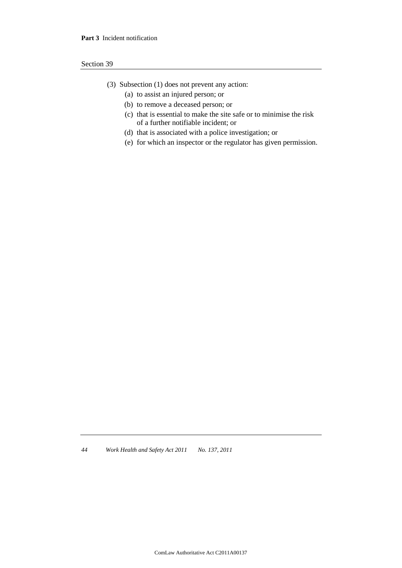- (3) Subsection (1) does not prevent any action:
	- (a) to assist an injured person; or
	- (b) to remove a deceased person; or
	- (c) that is essential to make the site safe or to minimise the risk of a further notifiable incident; or
	- (d) that is associated with a police investigation; or
	- (e) for which an inspector or the regulator has given permission.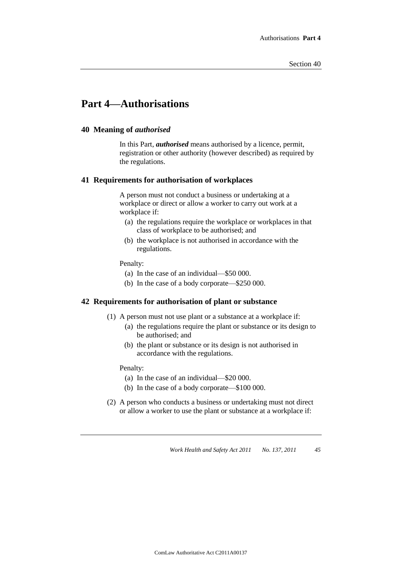# **Part 4—Authorisations**

#### **40 Meaning of** *authorised*

In this Part, *authorised* means authorised by a licence, permit, registration or other authority (however described) as required by the regulations.

#### **41 Requirements for authorisation of workplaces**

A person must not conduct a business or undertaking at a workplace or direct or allow a worker to carry out work at a workplace if:

- (a) the regulations require the workplace or workplaces in that class of workplace to be authorised; and
- (b) the workplace is not authorised in accordance with the regulations.

Penalty:

- (a) In the case of an individual—\$50 000.
- (b) In the case of a body corporate—\$250 000.

# **42 Requirements for authorisation of plant or substance**

- (1) A person must not use plant or a substance at a workplace if:
	- (a) the regulations require the plant or substance or its design to be authorised; and
	- (b) the plant or substance or its design is not authorised in accordance with the regulations.

Penalty:

- (a) In the case of an individual—\$20 000.
- (b) In the case of a body corporate—\$100 000.
- (2) A person who conducts a business or undertaking must not direct or allow a worker to use the plant or substance at a workplace if: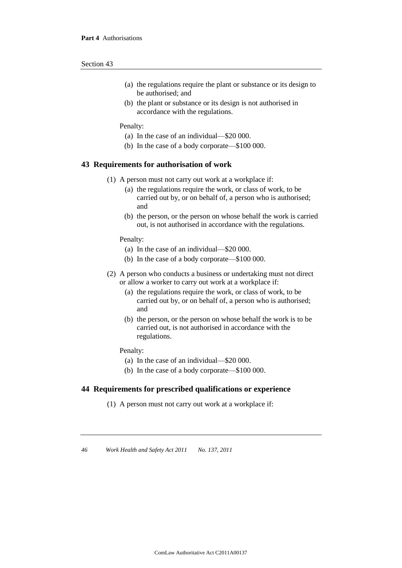- (a) the regulations require the plant or substance or its design to be authorised; and
- (b) the plant or substance or its design is not authorised in accordance with the regulations.

#### Penalty:

- (a) In the case of an individual—\$20 000.
- (b) In the case of a body corporate—\$100 000.

#### **43 Requirements for authorisation of work**

- (1) A person must not carry out work at a workplace if:
	- (a) the regulations require the work, or class of work, to be carried out by, or on behalf of, a person who is authorised; and
	- (b) the person, or the person on whose behalf the work is carried out, is not authorised in accordance with the regulations.

Penalty:

- (a) In the case of an individual—\$20 000.
- (b) In the case of a body corporate—\$100 000.
- (2) A person who conducts a business or undertaking must not direct or allow a worker to carry out work at a workplace if:
	- (a) the regulations require the work, or class of work, to be carried out by, or on behalf of, a person who is authorised; and
	- (b) the person, or the person on whose behalf the work is to be carried out, is not authorised in accordance with the regulations.

#### Penalty:

- (a) In the case of an individual—\$20 000.
- (b) In the case of a body corporate—\$100 000.

# **44 Requirements for prescribed qualifications or experience**

(1) A person must not carry out work at a workplace if: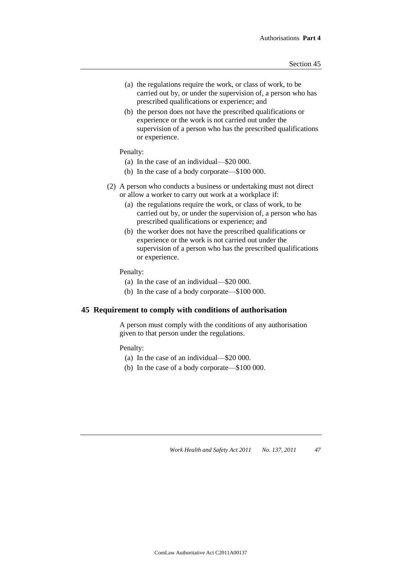- (a) the regulations require the work, or class of work, to be carried out by, or under the supervision of, a person who has prescribed qualifications or experience; and
- (b) the person does not have the prescribed qualifications or experience or the work is not carried out under the supervision of a person who has the prescribed qualifications or experience.

#### Penalty:

- (a) In the case of an individual—\$20 000.
- (b) In the case of a body corporate—\$100 000.
- (2) A person who conducts a business or undertaking must not direct or allow a worker to carry out work at a workplace if:
	- (a) the regulations require the work, or class of work, to be carried out by, or under the supervision of, a person who has prescribed qualifications or experience; and
	- (b) the worker does not have the prescribed qualifications or experience or the work is not carried out under the supervision of a person who has the prescribed qualifications or experience.

#### Penalty:

- (a) In the case of an individual—\$20 000.
- (b) In the case of a body corporate—\$100 000.

# **45 Requirement to comply with conditions of authorisation**

A person must comply with the conditions of any authorisation given to that person under the regulations.

#### Penalty:

- (a) In the case of an individual—\$20 000.
- (b) In the case of a body corporate—\$100 000.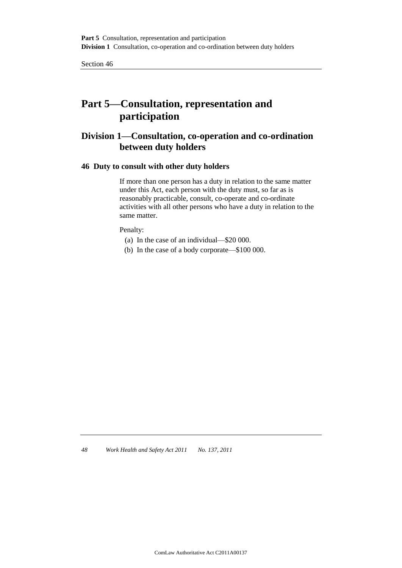# **Part 5—Consultation, representation and participation**

# **Division 1—Consultation, co-operation and co-ordination between duty holders**

# **46 Duty to consult with other duty holders**

If more than one person has a duty in relation to the same matter under this Act, each person with the duty must, so far as is reasonably practicable, consult, co-operate and co-ordinate activities with all other persons who have a duty in relation to the same matter.

Penalty:

- (a) In the case of an individual—\$20 000.
- (b) In the case of a body corporate—\$100 000.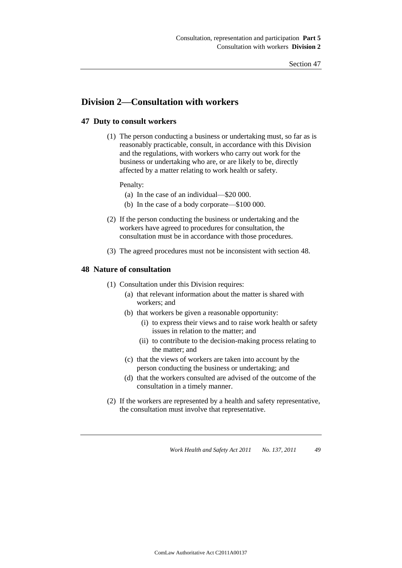# **Division 2—Consultation with workers**

# **47 Duty to consult workers**

(1) The person conducting a business or undertaking must, so far as is reasonably practicable, consult, in accordance with this Division and the regulations, with workers who carry out work for the business or undertaking who are, or are likely to be, directly affected by a matter relating to work health or safety.

Penalty:

- (a) In the case of an individual—\$20 000.
- (b) In the case of a body corporate—\$100 000.
- (2) If the person conducting the business or undertaking and the workers have agreed to procedures for consultation, the consultation must be in accordance with those procedures.
- (3) The agreed procedures must not be inconsistent with section 48.

# **48 Nature of consultation**

- (1) Consultation under this Division requires:
	- (a) that relevant information about the matter is shared with workers; and
	- (b) that workers be given a reasonable opportunity:
		- (i) to express their views and to raise work health or safety issues in relation to the matter; and
		- (ii) to contribute to the decision-making process relating to the matter; and
	- (c) that the views of workers are taken into account by the person conducting the business or undertaking; and
	- (d) that the workers consulted are advised of the outcome of the consultation in a timely manner.
- (2) If the workers are represented by a health and safety representative, the consultation must involve that representative.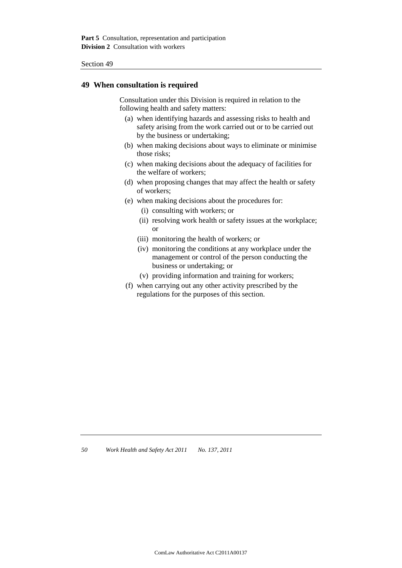# **49 When consultation is required**

Consultation under this Division is required in relation to the following health and safety matters:

- (a) when identifying hazards and assessing risks to health and safety arising from the work carried out or to be carried out by the business or undertaking;
- (b) when making decisions about ways to eliminate or minimise those risks;
- (c) when making decisions about the adequacy of facilities for the welfare of workers;
- (d) when proposing changes that may affect the health or safety of workers;
- (e) when making decisions about the procedures for:
	- (i) consulting with workers; or
	- (ii) resolving work health or safety issues at the workplace; or
	- (iii) monitoring the health of workers; or
	- (iv) monitoring the conditions at any workplace under the management or control of the person conducting the business or undertaking; or
	- (v) providing information and training for workers;
- (f) when carrying out any other activity prescribed by the regulations for the purposes of this section.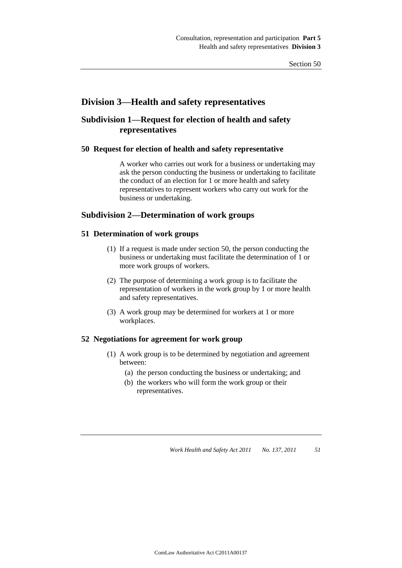# **Division 3—Health and safety representatives**

# **Subdivision 1—Request for election of health and safety representatives**

### **50 Request for election of health and safety representative**

A worker who carries out work for a business or undertaking may ask the person conducting the business or undertaking to facilitate the conduct of an election for 1 or more health and safety representatives to represent workers who carry out work for the business or undertaking.

# **Subdivision 2—Determination of work groups**

# **51 Determination of work groups**

- (1) If a request is made under section 50, the person conducting the business or undertaking must facilitate the determination of 1 or more work groups of workers.
- (2) The purpose of determining a work group is to facilitate the representation of workers in the work group by 1 or more health and safety representatives.
- (3) A work group may be determined for workers at 1 or more workplaces.

# **52 Negotiations for agreement for work group**

- (1) A work group is to be determined by negotiation and agreement between:
	- (a) the person conducting the business or undertaking; and
	- (b) the workers who will form the work group or their representatives.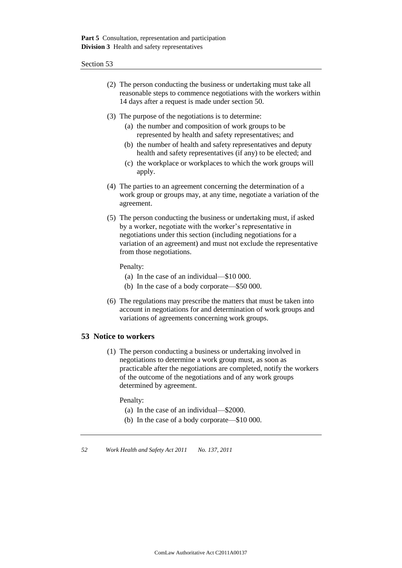- (2) The person conducting the business or undertaking must take all reasonable steps to commence negotiations with the workers within 14 days after a request is made under section 50.
- (3) The purpose of the negotiations is to determine:
	- (a) the number and composition of work groups to be represented by health and safety representatives; and
	- (b) the number of health and safety representatives and deputy health and safety representatives (if any) to be elected; and
	- (c) the workplace or workplaces to which the work groups will apply.
- (4) The parties to an agreement concerning the determination of a work group or groups may, at any time, negotiate a variation of the agreement.
- (5) The person conducting the business or undertaking must, if asked by a worker, negotiate with the worker's representative in negotiations under this section (including negotiations for a variation of an agreement) and must not exclude the representative from those negotiations.

Penalty:

- (a) In the case of an individual—\$10 000.
- (b) In the case of a body corporate—\$50 000.
- (6) The regulations may prescribe the matters that must be taken into account in negotiations for and determination of work groups and variations of agreements concerning work groups.

# **53 Notice to workers**

(1) The person conducting a business or undertaking involved in negotiations to determine a work group must, as soon as practicable after the negotiations are completed, notify the workers of the outcome of the negotiations and of any work groups determined by agreement.

Penalty:

- (a) In the case of an individual—\$2000.
- (b) In the case of a body corporate—\$10 000.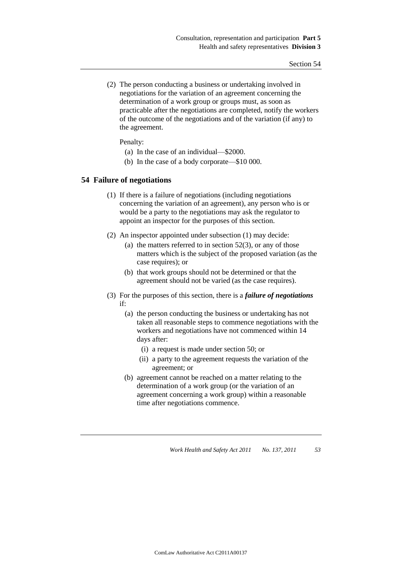(2) The person conducting a business or undertaking involved in negotiations for the variation of an agreement concerning the determination of a work group or groups must, as soon as practicable after the negotiations are completed, notify the workers of the outcome of the negotiations and of the variation (if any) to the agreement.

Penalty:

- (a) In the case of an individual—\$2000.
- (b) In the case of a body corporate—\$10 000.

### **54 Failure of negotiations**

- (1) If there is a failure of negotiations (including negotiations concerning the variation of an agreement), any person who is or would be a party to the negotiations may ask the regulator to appoint an inspector for the purposes of this section.
- (2) An inspector appointed under subsection (1) may decide:
	- (a) the matters referred to in section  $52(3)$ , or any of those matters which is the subject of the proposed variation (as the case requires); or
	- (b) that work groups should not be determined or that the agreement should not be varied (as the case requires).
- (3) For the purposes of this section, there is a *failure of negotiations* if:
	- (a) the person conducting the business or undertaking has not taken all reasonable steps to commence negotiations with the workers and negotiations have not commenced within 14 days after:
		- (i) a request is made under section 50; or
		- (ii) a party to the agreement requests the variation of the agreement; or
	- (b) agreement cannot be reached on a matter relating to the determination of a work group (or the variation of an agreement concerning a work group) within a reasonable time after negotiations commence.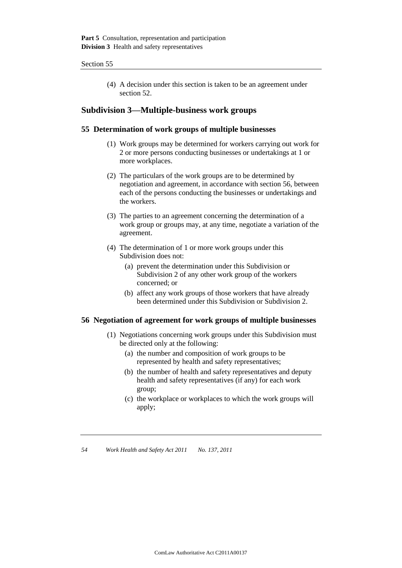(4) A decision under this section is taken to be an agreement under section 52.

# **Subdivision 3—Multiple-business work groups**

# **55 Determination of work groups of multiple businesses**

- (1) Work groups may be determined for workers carrying out work for 2 or more persons conducting businesses or undertakings at 1 or more workplaces.
- (2) The particulars of the work groups are to be determined by negotiation and agreement, in accordance with section 56, between each of the persons conducting the businesses or undertakings and the workers.
- (3) The parties to an agreement concerning the determination of a work group or groups may, at any time, negotiate a variation of the agreement.
- (4) The determination of 1 or more work groups under this Subdivision does not:
	- (a) prevent the determination under this Subdivision or Subdivision 2 of any other work group of the workers concerned; or
	- (b) affect any work groups of those workers that have already been determined under this Subdivision or Subdivision 2.

#### **56 Negotiation of agreement for work groups of multiple businesses**

- (1) Negotiations concerning work groups under this Subdivision must be directed only at the following:
	- (a) the number and composition of work groups to be represented by health and safety representatives;
	- (b) the number of health and safety representatives and deputy health and safety representatives (if any) for each work group;
	- (c) the workplace or workplaces to which the work groups will apply;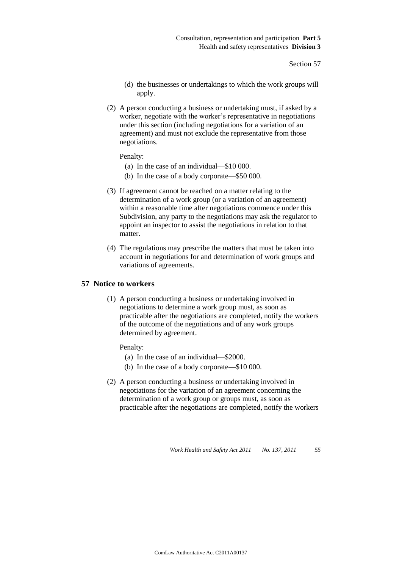- (d) the businesses or undertakings to which the work groups will apply.
- (2) A person conducting a business or undertaking must, if asked by a worker, negotiate with the worker's representative in negotiations under this section (including negotiations for a variation of an agreement) and must not exclude the representative from those negotiations.

Penalty:

- (a) In the case of an individual—\$10 000.
- (b) In the case of a body corporate—\$50 000.
- (3) If agreement cannot be reached on a matter relating to the determination of a work group (or a variation of an agreement) within a reasonable time after negotiations commence under this Subdivision, any party to the negotiations may ask the regulator to appoint an inspector to assist the negotiations in relation to that matter.
- (4) The regulations may prescribe the matters that must be taken into account in negotiations for and determination of work groups and variations of agreements.

#### **57 Notice to workers**

(1) A person conducting a business or undertaking involved in negotiations to determine a work group must, as soon as practicable after the negotiations are completed, notify the workers of the outcome of the negotiations and of any work groups determined by agreement.

Penalty:

- (a) In the case of an individual—\$2000.
- (b) In the case of a body corporate—\$10 000.
- (2) A person conducting a business or undertaking involved in negotiations for the variation of an agreement concerning the determination of a work group or groups must, as soon as practicable after the negotiations are completed, notify the workers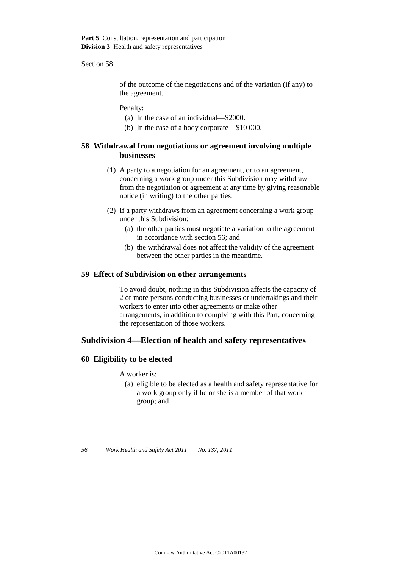of the outcome of the negotiations and of the variation (if any) to the agreement.

Penalty:

- (a) In the case of an individual—\$2000.
- (b) In the case of a body corporate—\$10 000.

# **58 Withdrawal from negotiations or agreement involving multiple businesses**

- (1) A party to a negotiation for an agreement, or to an agreement, concerning a work group under this Subdivision may withdraw from the negotiation or agreement at any time by giving reasonable notice (in writing) to the other parties.
- (2) If a party withdraws from an agreement concerning a work group under this Subdivision:
	- (a) the other parties must negotiate a variation to the agreement in accordance with section 56; and
	- (b) the withdrawal does not affect the validity of the agreement between the other parties in the meantime.

### **59 Effect of Subdivision on other arrangements**

To avoid doubt, nothing in this Subdivision affects the capacity of 2 or more persons conducting businesses or undertakings and their workers to enter into other agreements or make other arrangements, in addition to complying with this Part, concerning the representation of those workers.

# **Subdivision 4—Election of health and safety representatives**

# **60 Eligibility to be elected**

A worker is:

(a) eligible to be elected as a health and safety representative for a work group only if he or she is a member of that work group; and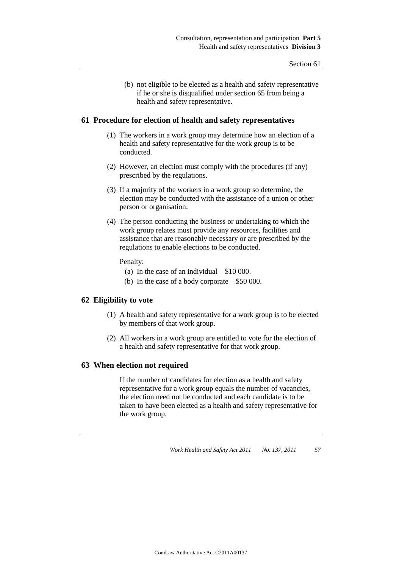(b) not eligible to be elected as a health and safety representative if he or she is disqualified under section 65 from being a health and safety representative.

#### **61 Procedure for election of health and safety representatives**

- (1) The workers in a work group may determine how an election of a health and safety representative for the work group is to be conducted.
- (2) However, an election must comply with the procedures (if any) prescribed by the regulations.
- (3) If a majority of the workers in a work group so determine, the election may be conducted with the assistance of a union or other person or organisation.
- (4) The person conducting the business or undertaking to which the work group relates must provide any resources, facilities and assistance that are reasonably necessary or are prescribed by the regulations to enable elections to be conducted.

#### Penalty:

- (a) In the case of an individual—\$10 000.
- (b) In the case of a body corporate—\$50 000.

# **62 Eligibility to vote**

- (1) A health and safety representative for a work group is to be elected by members of that work group.
- (2) All workers in a work group are entitled to vote for the election of a health and safety representative for that work group.

#### **63 When election not required**

If the number of candidates for election as a health and safety representative for a work group equals the number of vacancies, the election need not be conducted and each candidate is to be taken to have been elected as a health and safety representative for the work group.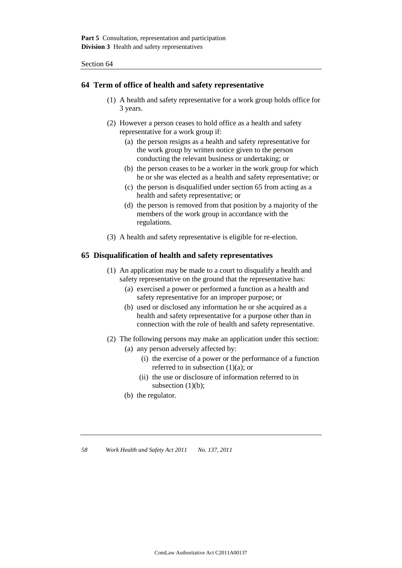### **64 Term of office of health and safety representative**

- (1) A health and safety representative for a work group holds office for 3 years.
- (2) However a person ceases to hold office as a health and safety representative for a work group if:
	- (a) the person resigns as a health and safety representative for the work group by written notice given to the person conducting the relevant business or undertaking; or
	- (b) the person ceases to be a worker in the work group for which he or she was elected as a health and safety representative; or
	- (c) the person is disqualified under section 65 from acting as a health and safety representative; or
	- (d) the person is removed from that position by a majority of the members of the work group in accordance with the regulations.
- (3) A health and safety representative is eligible for re-election.

#### **65 Disqualification of health and safety representatives**

- (1) An application may be made to a court to disqualify a health and safety representative on the ground that the representative has:
	- (a) exercised a power or performed a function as a health and safety representative for an improper purpose; or
	- (b) used or disclosed any information he or she acquired as a health and safety representative for a purpose other than in connection with the role of health and safety representative.
- (2) The following persons may make an application under this section:
	- (a) any person adversely affected by:
		- (i) the exercise of a power or the performance of a function referred to in subsection (1)(a); or
		- (ii) the use or disclosure of information referred to in subsection  $(1)(b)$ ;
	- (b) the regulator.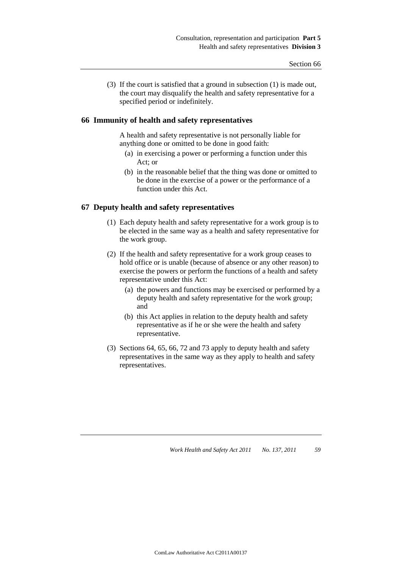(3) If the court is satisfied that a ground in subsection (1) is made out, the court may disqualify the health and safety representative for a specified period or indefinitely.

#### **66 Immunity of health and safety representatives**

A health and safety representative is not personally liable for anything done or omitted to be done in good faith:

- (a) in exercising a power or performing a function under this Act; or
- (b) in the reasonable belief that the thing was done or omitted to be done in the exercise of a power or the performance of a function under this Act.

### **67 Deputy health and safety representatives**

- (1) Each deputy health and safety representative for a work group is to be elected in the same way as a health and safety representative for the work group.
- (2) If the health and safety representative for a work group ceases to hold office or is unable (because of absence or any other reason) to exercise the powers or perform the functions of a health and safety representative under this Act:
	- (a) the powers and functions may be exercised or performed by a deputy health and safety representative for the work group; and
	- (b) this Act applies in relation to the deputy health and safety representative as if he or she were the health and safety representative.
- (3) Sections 64, 65, 66, 72 and 73 apply to deputy health and safety representatives in the same way as they apply to health and safety representatives.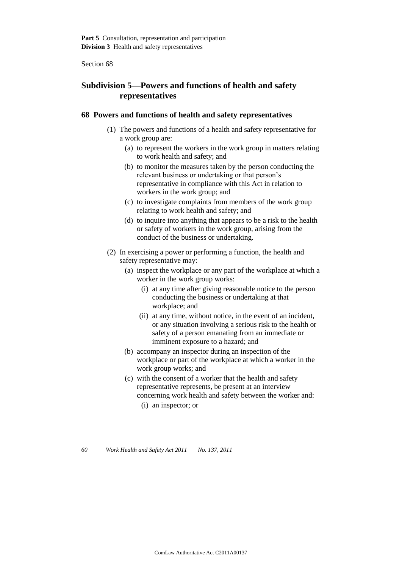# **Subdivision 5—Powers and functions of health and safety representatives**

## **68 Powers and functions of health and safety representatives**

- (1) The powers and functions of a health and safety representative for a work group are:
	- (a) to represent the workers in the work group in matters relating to work health and safety; and
	- (b) to monitor the measures taken by the person conducting the relevant business or undertaking or that person's representative in compliance with this Act in relation to workers in the work group; and
	- (c) to investigate complaints from members of the work group relating to work health and safety; and
	- (d) to inquire into anything that appears to be a risk to the health or safety of workers in the work group, arising from the conduct of the business or undertaking.
- (2) In exercising a power or performing a function, the health and safety representative may:
	- (a) inspect the workplace or any part of the workplace at which a worker in the work group works:
		- (i) at any time after giving reasonable notice to the person conducting the business or undertaking at that workplace; and
		- (ii) at any time, without notice, in the event of an incident, or any situation involving a serious risk to the health or safety of a person emanating from an immediate or imminent exposure to a hazard; and
	- (b) accompany an inspector during an inspection of the workplace or part of the workplace at which a worker in the work group works; and
	- (c) with the consent of a worker that the health and safety representative represents, be present at an interview concerning work health and safety between the worker and:
		- (i) an inspector; or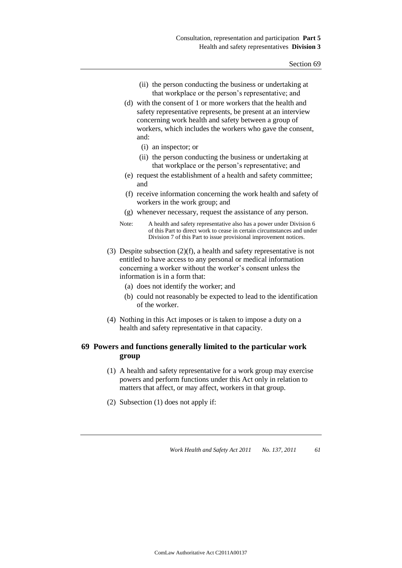- (ii) the person conducting the business or undertaking at that workplace or the person's representative; and
- (d) with the consent of 1 or more workers that the health and safety representative represents, be present at an interview concerning work health and safety between a group of workers, which includes the workers who gave the consent, and:
	- (i) an inspector; or
	- (ii) the person conducting the business or undertaking at that workplace or the person's representative; and
- (e) request the establishment of a health and safety committee; and
- (f) receive information concerning the work health and safety of workers in the work group; and
- (g) whenever necessary, request the assistance of any person.
- Note: A health and safety representative also has a power under Division 6 of this Part to direct work to cease in certain circumstances and under Division 7 of this Part to issue provisional improvement notices.
- (3) Despite subsection (2)(f), a health and safety representative is not entitled to have access to any personal or medical information concerning a worker without the worker's consent unless the information is in a form that:
	- (a) does not identify the worker; and
	- (b) could not reasonably be expected to lead to the identification of the worker.
- (4) Nothing in this Act imposes or is taken to impose a duty on a health and safety representative in that capacity.

## **69 Powers and functions generally limited to the particular work group**

- (1) A health and safety representative for a work group may exercise powers and perform functions under this Act only in relation to matters that affect, or may affect, workers in that group.
- (2) Subsection (1) does not apply if: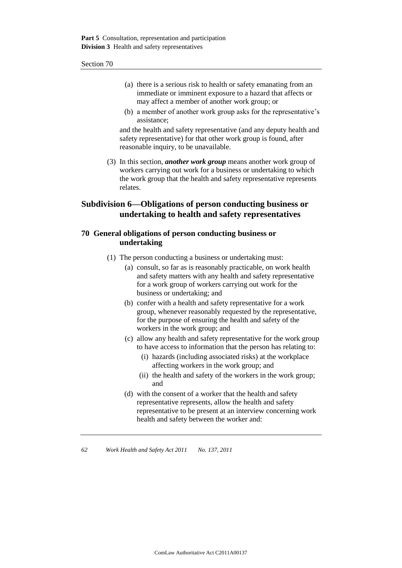- (a) there is a serious risk to health or safety emanating from an immediate or imminent exposure to a hazard that affects or may affect a member of another work group; or
- (b) a member of another work group asks for the representative's assistance;

and the health and safety representative (and any deputy health and safety representative) for that other work group is found, after reasonable inquiry, to be unavailable.

(3) In this section, *another work group* means another work group of workers carrying out work for a business or undertaking to which the work group that the health and safety representative represents relates.

# **Subdivision 6—Obligations of person conducting business or undertaking to health and safety representatives**

## **70 General obligations of person conducting business or undertaking**

- (1) The person conducting a business or undertaking must:
	- (a) consult, so far as is reasonably practicable, on work health and safety matters with any health and safety representative for a work group of workers carrying out work for the business or undertaking; and
	- (b) confer with a health and safety representative for a work group, whenever reasonably requested by the representative, for the purpose of ensuring the health and safety of the workers in the work group; and
	- (c) allow any health and safety representative for the work group to have access to information that the person has relating to:
		- (i) hazards (including associated risks) at the workplace affecting workers in the work group; and
		- (ii) the health and safety of the workers in the work group; and
	- (d) with the consent of a worker that the health and safety representative represents, allow the health and safety representative to be present at an interview concerning work health and safety between the worker and: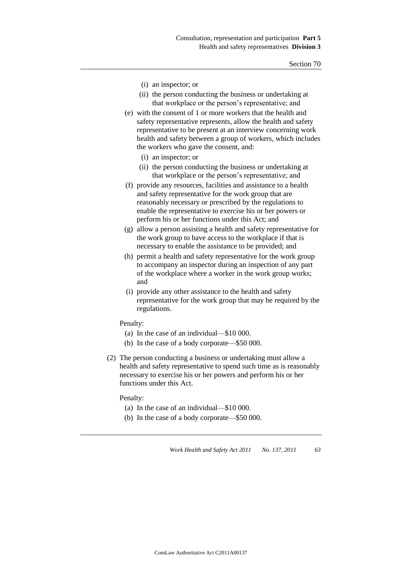- (i) an inspector; or
- (ii) the person conducting the business or undertaking at that workplace or the person's representative; and
- (e) with the consent of 1 or more workers that the health and safety representative represents, allow the health and safety representative to be present at an interview concerning work health and safety between a group of workers, which includes the workers who gave the consent, and:
	- (i) an inspector; or
	- (ii) the person conducting the business or undertaking at that workplace or the person's representative; and
- (f) provide any resources, facilities and assistance to a health and safety representative for the work group that are reasonably necessary or prescribed by the regulations to enable the representative to exercise his or her powers or perform his or her functions under this Act; and
- (g) allow a person assisting a health and safety representative for the work group to have access to the workplace if that is necessary to enable the assistance to be provided; and
- (h) permit a health and safety representative for the work group to accompany an inspector during an inspection of any part of the workplace where a worker in the work group works; and
- (i) provide any other assistance to the health and safety representative for the work group that may be required by the regulations.

Penalty:

- (a) In the case of an individual—\$10 000.
- (b) In the case of a body corporate—\$50 000.
- (2) The person conducting a business or undertaking must allow a health and safety representative to spend such time as is reasonably necessary to exercise his or her powers and perform his or her functions under this Act.

#### Penalty:

- (a) In the case of an individual—\$10 000.
- (b) In the case of a body corporate—\$50 000.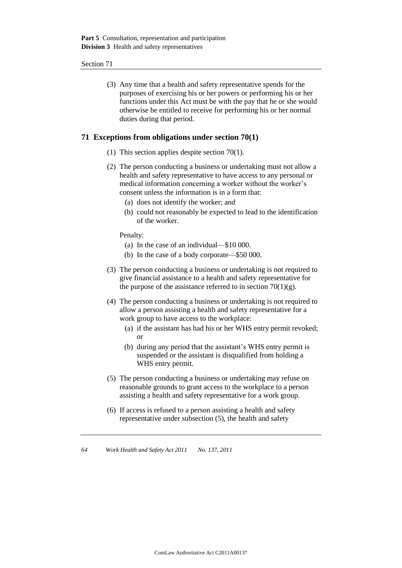(3) Any time that a health and safety representative spends for the purposes of exercising his or her powers or performing his or her functions under this Act must be with the pay that he or she would otherwise be entitled to receive for performing his or her normal duties during that period.

### **71 Exceptions from obligations under section 70(1)**

- (1) This section applies despite section 70(1).
- (2) The person conducting a business or undertaking must not allow a health and safety representative to have access to any personal or medical information concerning a worker without the worker's consent unless the information is in a form that:
	- (a) does not identify the worker; and
	- (b) could not reasonably be expected to lead to the identification of the worker.

Penalty:

- (a) In the case of an individual—\$10 000.
- (b) In the case of a body corporate—\$50 000.
- (3) The person conducting a business or undertaking is not required to give financial assistance to a health and safety representative for the purpose of the assistance referred to in section  $70(1)(g)$ .
- (4) The person conducting a business or undertaking is not required to allow a person assisting a health and safety representative for a work group to have access to the workplace:
	- (a) if the assistant has had his or her WHS entry permit revoked; or
	- (b) during any period that the assistant's WHS entry permit is suspended or the assistant is disqualified from holding a WHS entry permit.
- (5) The person conducting a business or undertaking may refuse on reasonable grounds to grant access to the workplace to a person assisting a health and safety representative for a work group.
- (6) If access is refused to a person assisting a health and safety representative under subsection (5), the health and safety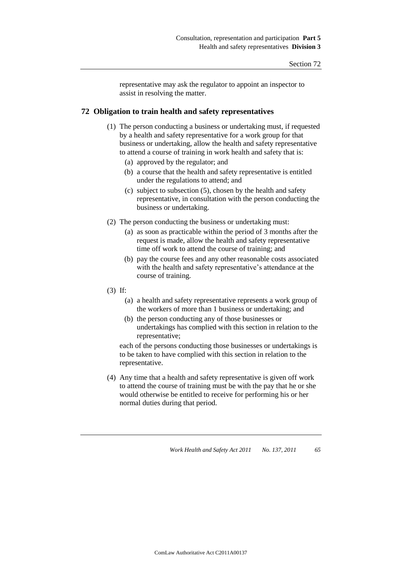representative may ask the regulator to appoint an inspector to assist in resolving the matter.

## **72 Obligation to train health and safety representatives**

- (1) The person conducting a business or undertaking must, if requested by a health and safety representative for a work group for that business or undertaking, allow the health and safety representative to attend a course of training in work health and safety that is:
	- (a) approved by the regulator; and
	- (b) a course that the health and safety representative is entitled under the regulations to attend; and
	- (c) subject to subsection (5), chosen by the health and safety representative, in consultation with the person conducting the business or undertaking.
- (2) The person conducting the business or undertaking must:
	- (a) as soon as practicable within the period of 3 months after the request is made, allow the health and safety representative time off work to attend the course of training; and
	- (b) pay the course fees and any other reasonable costs associated with the health and safety representative's attendance at the course of training.
- (3) If:
	- (a) a health and safety representative represents a work group of the workers of more than 1 business or undertaking; and
	- (b) the person conducting any of those businesses or undertakings has complied with this section in relation to the representative;

each of the persons conducting those businesses or undertakings is to be taken to have complied with this section in relation to the representative.

(4) Any time that a health and safety representative is given off work to attend the course of training must be with the pay that he or she would otherwise be entitled to receive for performing his or her normal duties during that period.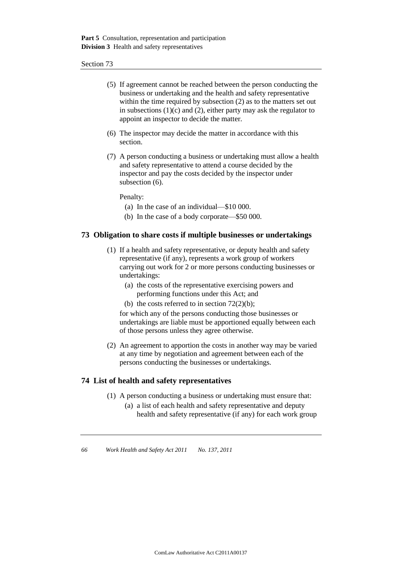- (5) If agreement cannot be reached between the person conducting the business or undertaking and the health and safety representative within the time required by subsection (2) as to the matters set out in subsections  $(1)(c)$  and  $(2)$ , either party may ask the regulator to appoint an inspector to decide the matter.
- (6) The inspector may decide the matter in accordance with this section.
- (7) A person conducting a business or undertaking must allow a health and safety representative to attend a course decided by the inspector and pay the costs decided by the inspector under subsection  $(6)$ .

Penalty:

- (a) In the case of an individual—\$10 000.
- (b) In the case of a body corporate—\$50 000.

## **73 Obligation to share costs if multiple businesses or undertakings**

- (1) If a health and safety representative, or deputy health and safety representative (if any), represents a work group of workers carrying out work for 2 or more persons conducting businesses or undertakings:
	- (a) the costs of the representative exercising powers and performing functions under this Act; and
	- (b) the costs referred to in section  $72(2)(b)$ ;

for which any of the persons conducting those businesses or undertakings are liable must be apportioned equally between each of those persons unless they agree otherwise.

(2) An agreement to apportion the costs in another way may be varied at any time by negotiation and agreement between each of the persons conducting the businesses or undertakings.

## **74 List of health and safety representatives**

- (1) A person conducting a business or undertaking must ensure that:
	- (a) a list of each health and safety representative and deputy health and safety representative (if any) for each work group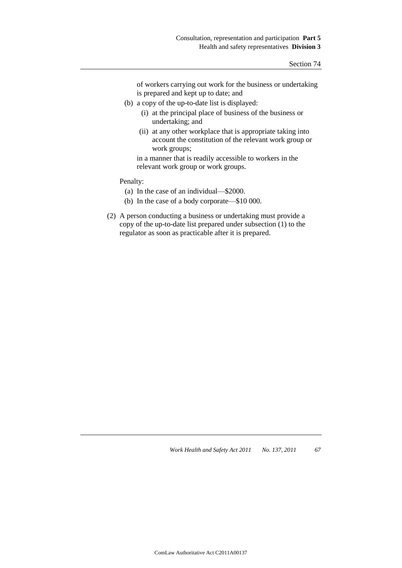of workers carrying out work for the business or undertaking is prepared and kept up to date; and

- (b) a copy of the up-to-date list is displayed:
	- (i) at the principal place of business of the business or undertaking; and
	- (ii) at any other workplace that is appropriate taking into account the constitution of the relevant work group or work groups;

in a manner that is readily accessible to workers in the relevant work group or work groups.

Penalty:

- (a) In the case of an individual—\$2000.
- (b) In the case of a body corporate—\$10 000.
- (2) A person conducting a business or undertaking must provide a copy of the up-to-date list prepared under subsection (1) to the regulator as soon as practicable after it is prepared.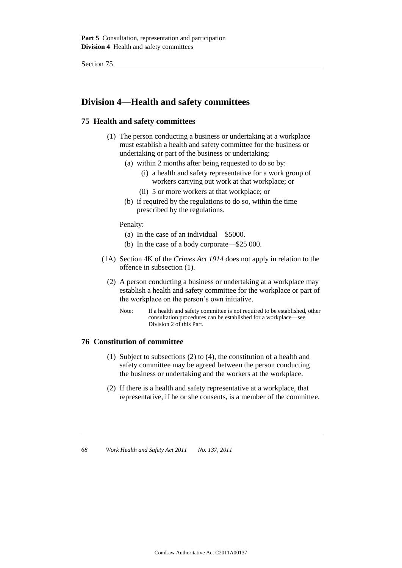# **Division 4—Health and safety committees**

## **75 Health and safety committees**

- (1) The person conducting a business or undertaking at a workplace must establish a health and safety committee for the business or undertaking or part of the business or undertaking:
	- (a) within 2 months after being requested to do so by:
		- (i) a health and safety representative for a work group of workers carrying out work at that workplace; or
		- (ii) 5 or more workers at that workplace; or
	- (b) if required by the regulations to do so, within the time prescribed by the regulations.

Penalty:

- (a) In the case of an individual—\$5000.
- (b) In the case of a body corporate—\$25 000.
- (1A) Section 4K of the *Crimes Act 1914* does not apply in relation to the offence in subsection (1).
	- (2) A person conducting a business or undertaking at a workplace may establish a health and safety committee for the workplace or part of the workplace on the person's own initiative.
		- Note: If a health and safety committee is not required to be established, other consultation procedures can be established for a workplace—see Division 2 of this Part.

## **76 Constitution of committee**

- (1) Subject to subsections (2) to (4), the constitution of a health and safety committee may be agreed between the person conducting the business or undertaking and the workers at the workplace.
- (2) If there is a health and safety representative at a workplace, that representative, if he or she consents, is a member of the committee.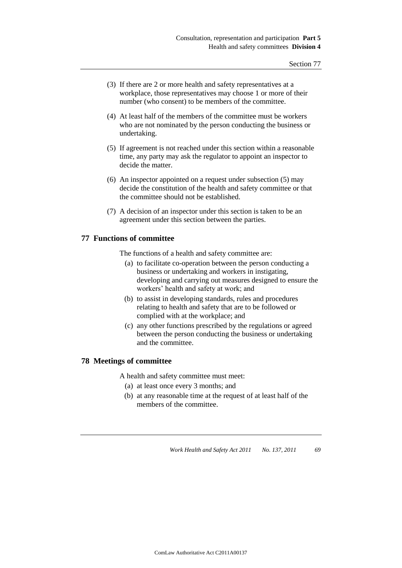- (3) If there are 2 or more health and safety representatives at a workplace, those representatives may choose 1 or more of their number (who consent) to be members of the committee.
- (4) At least half of the members of the committee must be workers who are not nominated by the person conducting the business or undertaking.
- (5) If agreement is not reached under this section within a reasonable time, any party may ask the regulator to appoint an inspector to decide the matter.
- (6) An inspector appointed on a request under subsection (5) may decide the constitution of the health and safety committee or that the committee should not be established.
- (7) A decision of an inspector under this section is taken to be an agreement under this section between the parties.

## **77 Functions of committee**

The functions of a health and safety committee are:

- (a) to facilitate co-operation between the person conducting a business or undertaking and workers in instigating, developing and carrying out measures designed to ensure the workers' health and safety at work; and
- (b) to assist in developing standards, rules and procedures relating to health and safety that are to be followed or complied with at the workplace; and
- (c) any other functions prescribed by the regulations or agreed between the person conducting the business or undertaking and the committee.

## **78 Meetings of committee**

A health and safety committee must meet:

- (a) at least once every 3 months; and
- (b) at any reasonable time at the request of at least half of the members of the committee.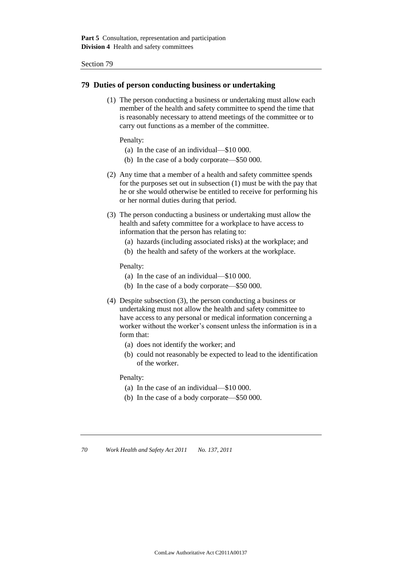#### **79 Duties of person conducting business or undertaking**

(1) The person conducting a business or undertaking must allow each member of the health and safety committee to spend the time that is reasonably necessary to attend meetings of the committee or to carry out functions as a member of the committee.

Penalty:

- (a) In the case of an individual—\$10 000.
- (b) In the case of a body corporate—\$50 000.
- (2) Any time that a member of a health and safety committee spends for the purposes set out in subsection (1) must be with the pay that he or she would otherwise be entitled to receive for performing his or her normal duties during that period.
- (3) The person conducting a business or undertaking must allow the health and safety committee for a workplace to have access to information that the person has relating to:
	- (a) hazards (including associated risks) at the workplace; and
	- (b) the health and safety of the workers at the workplace.

Penalty:

- (a) In the case of an individual—\$10 000.
- (b) In the case of a body corporate—\$50 000.
- (4) Despite subsection (3), the person conducting a business or undertaking must not allow the health and safety committee to have access to any personal or medical information concerning a worker without the worker's consent unless the information is in a form that:
	- (a) does not identify the worker; and
	- (b) could not reasonably be expected to lead to the identification of the worker.

Penalty:

- (a) In the case of an individual—\$10 000.
- (b) In the case of a body corporate—\$50 000.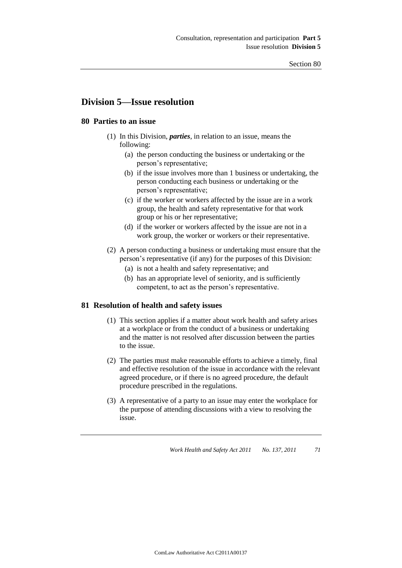# **Division 5—Issue resolution**

## **80 Parties to an issue**

- (1) In this Division, *parties*, in relation to an issue, means the following:
	- (a) the person conducting the business or undertaking or the person's representative;
	- (b) if the issue involves more than 1 business or undertaking, the person conducting each business or undertaking or the person's representative;
	- (c) if the worker or workers affected by the issue are in a work group, the health and safety representative for that work group or his or her representative;
	- (d) if the worker or workers affected by the issue are not in a work group, the worker or workers or their representative.
- (2) A person conducting a business or undertaking must ensure that the person's representative (if any) for the purposes of this Division:
	- (a) is not a health and safety representative; and
	- (b) has an appropriate level of seniority, and is sufficiently competent, to act as the person's representative.

## **81 Resolution of health and safety issues**

- (1) This section applies if a matter about work health and safety arises at a workplace or from the conduct of a business or undertaking and the matter is not resolved after discussion between the parties to the issue.
- (2) The parties must make reasonable efforts to achieve a timely, final and effective resolution of the issue in accordance with the relevant agreed procedure, or if there is no agreed procedure, the default procedure prescribed in the regulations.
- (3) A representative of a party to an issue may enter the workplace for the purpose of attending discussions with a view to resolving the issue.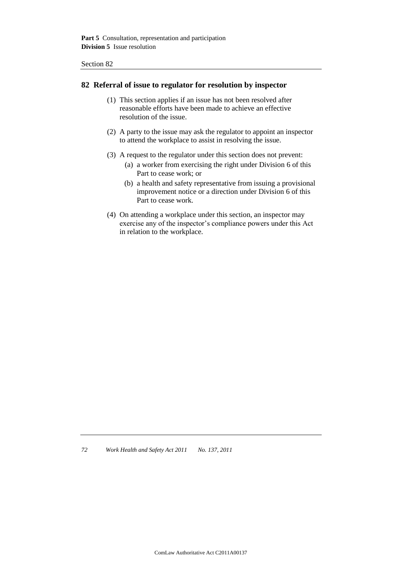#### **82 Referral of issue to regulator for resolution by inspector**

- (1) This section applies if an issue has not been resolved after reasonable efforts have been made to achieve an effective resolution of the issue.
- (2) A party to the issue may ask the regulator to appoint an inspector to attend the workplace to assist in resolving the issue.
- (3) A request to the regulator under this section does not prevent:
	- (a) a worker from exercising the right under Division 6 of this Part to cease work; or
	- (b) a health and safety representative from issuing a provisional improvement notice or a direction under Division 6 of this Part to cease work.
- (4) On attending a workplace under this section, an inspector may exercise any of the inspector's compliance powers under this Act in relation to the workplace.

*72 Work Health and Safety Act 2011 No. 137, 2011*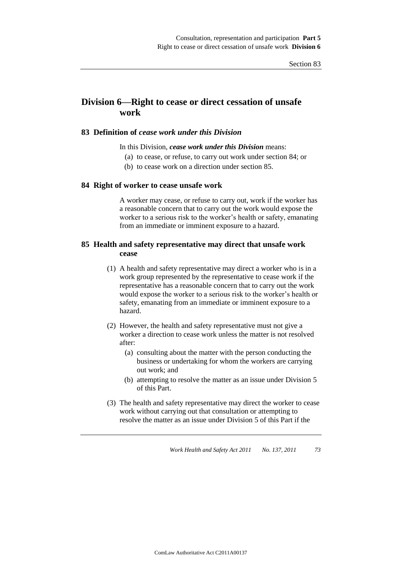# **Division 6—Right to cease or direct cessation of unsafe work**

## **83 Definition of** *cease work under this Division*

#### In this Division, *cease work under this Division* means:

- (a) to cease, or refuse, to carry out work under section 84; or
- (b) to cease work on a direction under section 85.

#### **84 Right of worker to cease unsafe work**

A worker may cease, or refuse to carry out, work if the worker has a reasonable concern that to carry out the work would expose the worker to a serious risk to the worker's health or safety, emanating from an immediate or imminent exposure to a hazard.

## **85 Health and safety representative may direct that unsafe work cease**

- (1) A health and safety representative may direct a worker who is in a work group represented by the representative to cease work if the representative has a reasonable concern that to carry out the work would expose the worker to a serious risk to the worker's health or safety, emanating from an immediate or imminent exposure to a hazard.
- (2) However, the health and safety representative must not give a worker a direction to cease work unless the matter is not resolved after:
	- (a) consulting about the matter with the person conducting the business or undertaking for whom the workers are carrying out work; and
	- (b) attempting to resolve the matter as an issue under Division 5 of this Part.
- (3) The health and safety representative may direct the worker to cease work without carrying out that consultation or attempting to resolve the matter as an issue under Division 5 of this Part if the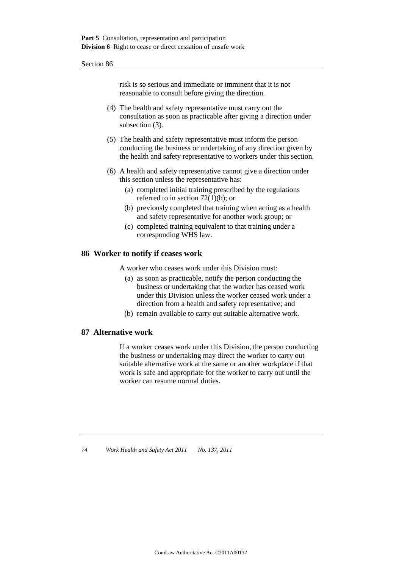risk is so serious and immediate or imminent that it is not reasonable to consult before giving the direction.

- (4) The health and safety representative must carry out the consultation as soon as practicable after giving a direction under subsection (3).
- (5) The health and safety representative must inform the person conducting the business or undertaking of any direction given by the health and safety representative to workers under this section.
- (6) A health and safety representative cannot give a direction under this section unless the representative has:
	- (a) completed initial training prescribed by the regulations referred to in section  $72(1)(b)$ ; or
	- (b) previously completed that training when acting as a health and safety representative for another work group; or
	- (c) completed training equivalent to that training under a corresponding WHS law.

## **86 Worker to notify if ceases work**

A worker who ceases work under this Division must:

- (a) as soon as practicable, notify the person conducting the business or undertaking that the worker has ceased work under this Division unless the worker ceased work under a direction from a health and safety representative; and
- (b) remain available to carry out suitable alternative work.

## **87 Alternative work**

If a worker ceases work under this Division, the person conducting the business or undertaking may direct the worker to carry out suitable alternative work at the same or another workplace if that work is safe and appropriate for the worker to carry out until the worker can resume normal duties.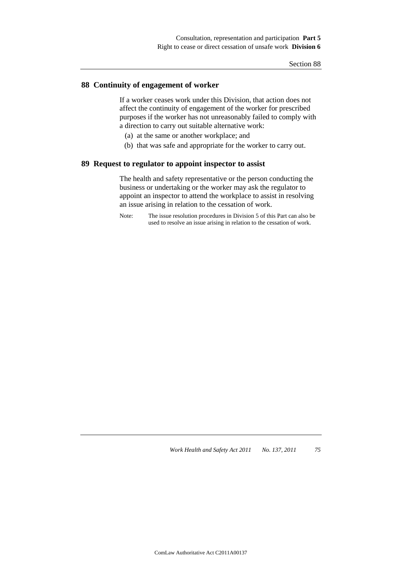## **88 Continuity of engagement of worker**

If a worker ceases work under this Division, that action does not affect the continuity of engagement of the worker for prescribed purposes if the worker has not unreasonably failed to comply with a direction to carry out suitable alternative work:

- (a) at the same or another workplace; and
- (b) that was safe and appropriate for the worker to carry out.

#### **89 Request to regulator to appoint inspector to assist**

The health and safety representative or the person conducting the business or undertaking or the worker may ask the regulator to appoint an inspector to attend the workplace to assist in resolving an issue arising in relation to the cessation of work.

Note: The issue resolution procedures in Division 5 of this Part can also be used to resolve an issue arising in relation to the cessation of work.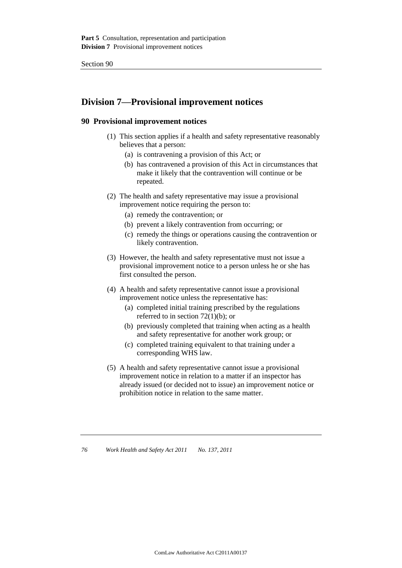# **Division 7—Provisional improvement notices**

## **90 Provisional improvement notices**

- (1) This section applies if a health and safety representative reasonably believes that a person:
	- (a) is contravening a provision of this Act; or
	- (b) has contravened a provision of this Act in circumstances that make it likely that the contravention will continue or be repeated.
- (2) The health and safety representative may issue a provisional improvement notice requiring the person to:
	- (a) remedy the contravention; or
	- (b) prevent a likely contravention from occurring; or
	- (c) remedy the things or operations causing the contravention or likely contravention.
- (3) However, the health and safety representative must not issue a provisional improvement notice to a person unless he or she has first consulted the person.
- (4) A health and safety representative cannot issue a provisional improvement notice unless the representative has:
	- (a) completed initial training prescribed by the regulations referred to in section 72(1)(b); or
	- (b) previously completed that training when acting as a health and safety representative for another work group; or
	- (c) completed training equivalent to that training under a corresponding WHS law.
- (5) A health and safety representative cannot issue a provisional improvement notice in relation to a matter if an inspector has already issued (or decided not to issue) an improvement notice or prohibition notice in relation to the same matter.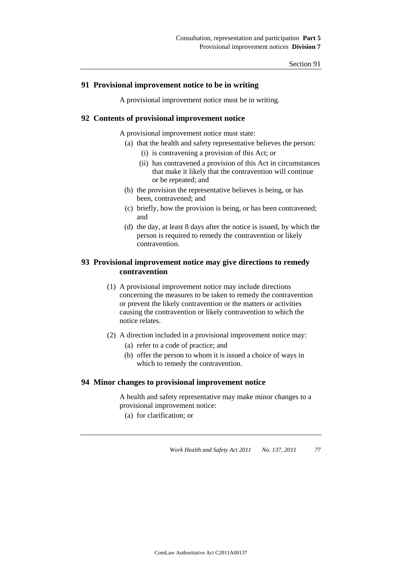## **91 Provisional improvement notice to be in writing**

A provisional improvement notice must be in writing.

## **92 Contents of provisional improvement notice**

A provisional improvement notice must state:

- (a) that the health and safety representative believes the person:
	- (i) is contravening a provision of this Act; or
	- (ii) has contravened a provision of this Act in circumstances that make it likely that the contravention will continue or be repeated; and
- (b) the provision the representative believes is being, or has been, contravened; and
- (c) briefly, how the provision is being, or has been contravened; and
- (d) the day, at least 8 days after the notice is issued, by which the person is required to remedy the contravention or likely contravention.

## **93 Provisional improvement notice may give directions to remedy contravention**

- (1) A provisional improvement notice may include directions concerning the measures to be taken to remedy the contravention or prevent the likely contravention or the matters or activities causing the contravention or likely contravention to which the notice relates.
- (2) A direction included in a provisional improvement notice may:
	- (a) refer to a code of practice; and
	- (b) offer the person to whom it is issued a choice of ways in which to remedy the contravention.

## **94 Minor changes to provisional improvement notice**

A health and safety representative may make minor changes to a provisional improvement notice:

(a) for clarification; or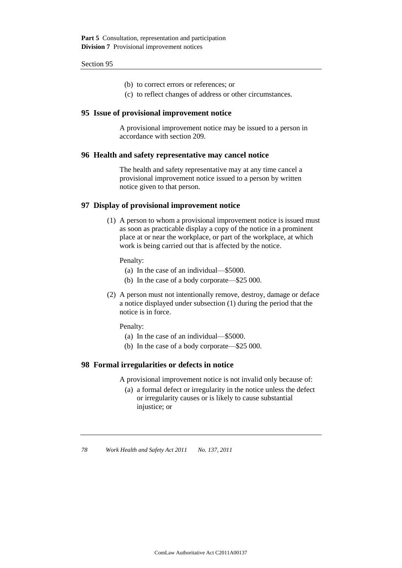- (b) to correct errors or references; or
- (c) to reflect changes of address or other circumstances.

#### **95 Issue of provisional improvement notice**

A provisional improvement notice may be issued to a person in accordance with section 209.

## **96 Health and safety representative may cancel notice**

The health and safety representative may at any time cancel a provisional improvement notice issued to a person by written notice given to that person.

#### **97 Display of provisional improvement notice**

(1) A person to whom a provisional improvement notice is issued must as soon as practicable display a copy of the notice in a prominent place at or near the workplace, or part of the workplace, at which work is being carried out that is affected by the notice.

Penalty:

- (a) In the case of an individual—\$5000.
- (b) In the case of a body corporate—\$25 000.
- (2) A person must not intentionally remove, destroy, damage or deface a notice displayed under subsection (1) during the period that the notice is in force.

Penalty:

- (a) In the case of an individual—\$5000.
- (b) In the case of a body corporate—\$25 000.

#### **98 Formal irregularities or defects in notice**

A provisional improvement notice is not invalid only because of:

(a) a formal defect or irregularity in the notice unless the defect or irregularity causes or is likely to cause substantial injustice; or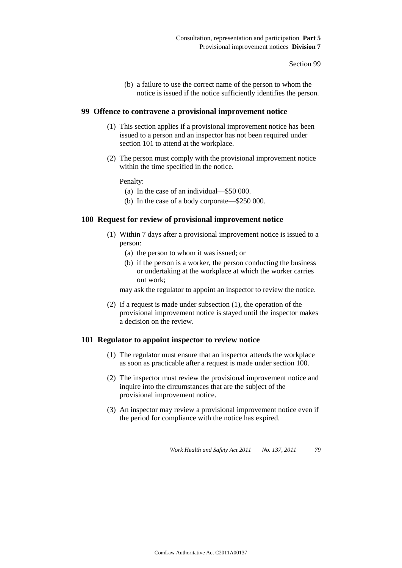(b) a failure to use the correct name of the person to whom the notice is issued if the notice sufficiently identifies the person.

## **99 Offence to contravene a provisional improvement notice**

- (1) This section applies if a provisional improvement notice has been issued to a person and an inspector has not been required under section 101 to attend at the workplace.
- (2) The person must comply with the provisional improvement notice within the time specified in the notice.

Penalty:

- (a) In the case of an individual—\$50 000.
- (b) In the case of a body corporate—\$250 000.

## **100 Request for review of provisional improvement notice**

- (1) Within 7 days after a provisional improvement notice is issued to a person:
	- (a) the person to whom it was issued; or
	- (b) if the person is a worker, the person conducting the business or undertaking at the workplace at which the worker carries out work;

may ask the regulator to appoint an inspector to review the notice.

(2) If a request is made under subsection (1), the operation of the provisional improvement notice is stayed until the inspector makes a decision on the review.

## **101 Regulator to appoint inspector to review notice**

- (1) The regulator must ensure that an inspector attends the workplace as soon as practicable after a request is made under section 100.
- (2) The inspector must review the provisional improvement notice and inquire into the circumstances that are the subject of the provisional improvement notice.
- (3) An inspector may review a provisional improvement notice even if the period for compliance with the notice has expired.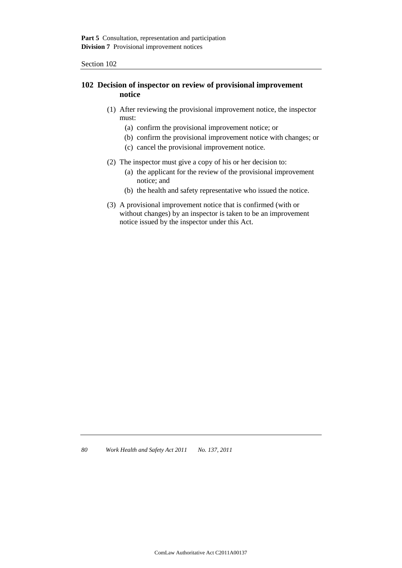## **102 Decision of inspector on review of provisional improvement notice**

- (1) After reviewing the provisional improvement notice, the inspector must:
	- (a) confirm the provisional improvement notice; or
	- (b) confirm the provisional improvement notice with changes; or
	- (c) cancel the provisional improvement notice.
- (2) The inspector must give a copy of his or her decision to:
	- (a) the applicant for the review of the provisional improvement notice; and
	- (b) the health and safety representative who issued the notice.
- (3) A provisional improvement notice that is confirmed (with or without changes) by an inspector is taken to be an improvement notice issued by the inspector under this Act.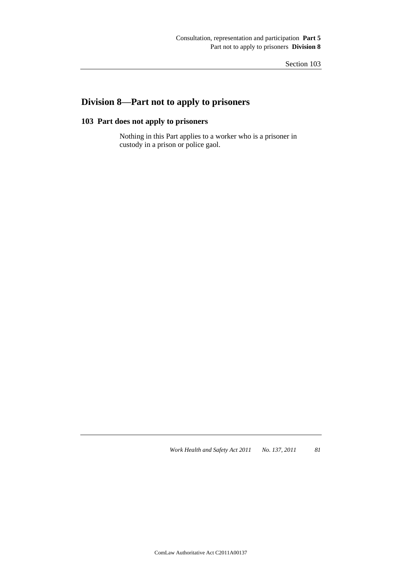# **Division 8—Part not to apply to prisoners**

# **103 Part does not apply to prisoners**

Nothing in this Part applies to a worker who is a prisoner in custody in a prison or police gaol.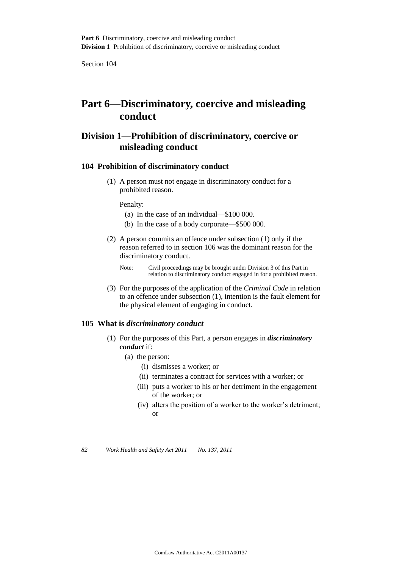# **Part 6—Discriminatory, coercive and misleading conduct**

# **Division 1—Prohibition of discriminatory, coercive or misleading conduct**

## **104 Prohibition of discriminatory conduct**

(1) A person must not engage in discriminatory conduct for a prohibited reason.

#### Penalty:

- (a) In the case of an individual—\$100 000.
- (b) In the case of a body corporate—\$500 000.
- (2) A person commits an offence under subsection (1) only if the reason referred to in section 106 was the dominant reason for the discriminatory conduct.
	- Note: Civil proceedings may be brought under Division 3 of this Part in relation to discriminatory conduct engaged in for a prohibited reason.
- (3) For the purposes of the application of the *Criminal Code* in relation to an offence under subsection (1), intention is the fault element for the physical element of engaging in conduct.

## **105 What is** *discriminatory conduct*

- (1) For the purposes of this Part, a person engages in *discriminatory conduct* if:
	- (a) the person:
		- (i) dismisses a worker; or
		- (ii) terminates a contract for services with a worker; or
		- (iii) puts a worker to his or her detriment in the engagement of the worker; or
		- (iv) alters the position of a worker to the worker's detriment; or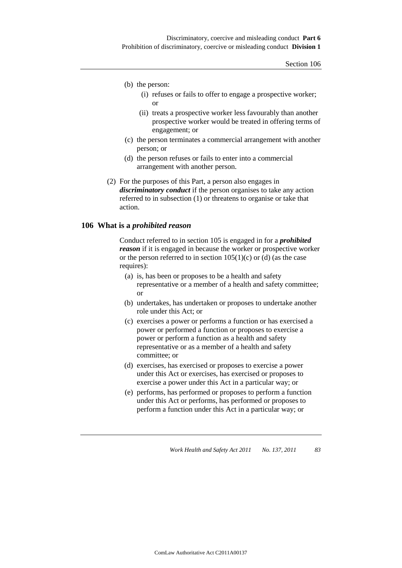- (b) the person:
	- (i) refuses or fails to offer to engage a prospective worker; or
	- (ii) treats a prospective worker less favourably than another prospective worker would be treated in offering terms of engagement; or
- (c) the person terminates a commercial arrangement with another person; or
- (d) the person refuses or fails to enter into a commercial arrangement with another person.
- (2) For the purposes of this Part, a person also engages in *discriminatory conduct* if the person organises to take any action referred to in subsection (1) or threatens to organise or take that action.

## **106 What is a** *prohibited reason*

Conduct referred to in section 105 is engaged in for a *prohibited reason* if it is engaged in because the worker or prospective worker or the person referred to in section  $105(1)(c)$  or (d) (as the case requires):

- (a) is, has been or proposes to be a health and safety representative or a member of a health and safety committee; or
- (b) undertakes, has undertaken or proposes to undertake another role under this Act; or
- (c) exercises a power or performs a function or has exercised a power or performed a function or proposes to exercise a power or perform a function as a health and safety representative or as a member of a health and safety committee; or
- (d) exercises, has exercised or proposes to exercise a power under this Act or exercises, has exercised or proposes to exercise a power under this Act in a particular way; or
- (e) performs, has performed or proposes to perform a function under this Act or performs, has performed or proposes to perform a function under this Act in a particular way; or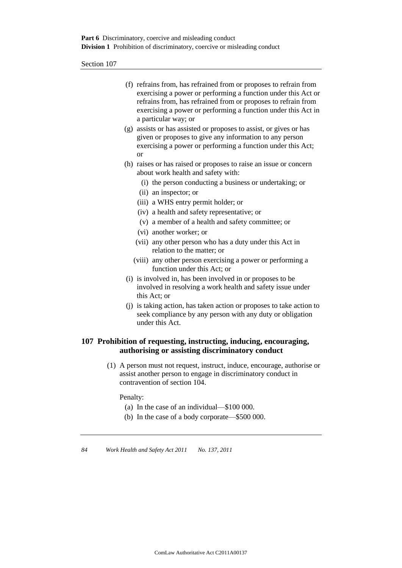| (f) refrains from, has refrained from or proposes to refrain from |
|-------------------------------------------------------------------|
| exercising a power or performing a function under this Act or     |
| refrains from, has refrained from or proposes to refrain from     |
| exercising a power or performing a function under this Act in     |
| a particular way; or                                              |

- (g) assists or has assisted or proposes to assist, or gives or has given or proposes to give any information to any person exercising a power or performing a function under this Act; or
- (h) raises or has raised or proposes to raise an issue or concern about work health and safety with:
	- (i) the person conducting a business or undertaking; or
	- (ii) an inspector; or
	- (iii) a WHS entry permit holder; or
	- (iv) a health and safety representative; or
	- (v) a member of a health and safety committee; or
	- (vi) another worker; or
	- (vii) any other person who has a duty under this Act in relation to the matter; or
	- (viii) any other person exercising a power or performing a function under this Act; or
- (i) is involved in, has been involved in or proposes to be involved in resolving a work health and safety issue under this Act; or
- (j) is taking action, has taken action or proposes to take action to seek compliance by any person with any duty or obligation under this Act.

## **107 Prohibition of requesting, instructing, inducing, encouraging, authorising or assisting discriminatory conduct**

(1) A person must not request, instruct, induce, encourage, authorise or assist another person to engage in discriminatory conduct in contravention of section 104.

Penalty:

- (a) In the case of an individual—\$100 000.
- (b) In the case of a body corporate—\$500 000.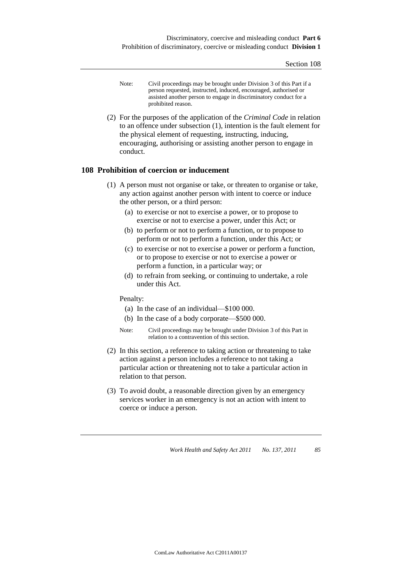- Note: Civil proceedings may be brought under Division 3 of this Part if a person requested, instructed, induced, encouraged, authorised or assisted another person to engage in discriminatory conduct for a prohibited reason.
- (2) For the purposes of the application of the *Criminal Code* in relation to an offence under subsection (1), intention is the fault element for the physical element of requesting, instructing, inducing, encouraging, authorising or assisting another person to engage in conduct.

## **108 Prohibition of coercion or inducement**

- (1) A person must not organise or take, or threaten to organise or take, any action against another person with intent to coerce or induce the other person, or a third person:
	- (a) to exercise or not to exercise a power, or to propose to exercise or not to exercise a power, under this Act; or
	- (b) to perform or not to perform a function, or to propose to perform or not to perform a function, under this Act; or
	- (c) to exercise or not to exercise a power or perform a function, or to propose to exercise or not to exercise a power or perform a function, in a particular way; or
	- (d) to refrain from seeking, or continuing to undertake, a role under this Act.

Penalty:

- (a) In the case of an individual—\$100 000.
- (b) In the case of a body corporate—\$500 000.
- Note: Civil proceedings may be brought under Division 3 of this Part in relation to a contravention of this section.
- (2) In this section, a reference to taking action or threatening to take action against a person includes a reference to not taking a particular action or threatening not to take a particular action in relation to that person.
- (3) To avoid doubt, a reasonable direction given by an emergency services worker in an emergency is not an action with intent to coerce or induce a person.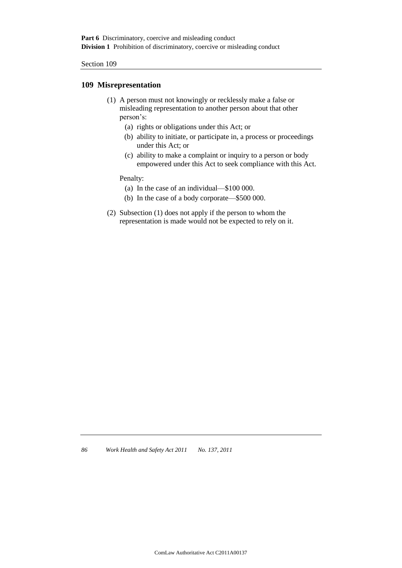## **109 Misrepresentation**

- (1) A person must not knowingly or recklessly make a false or misleading representation to another person about that other person's:
	- (a) rights or obligations under this Act; or
	- (b) ability to initiate, or participate in, a process or proceedings under this Act; or
	- (c) ability to make a complaint or inquiry to a person or body empowered under this Act to seek compliance with this Act.

Penalty:

- (a) In the case of an individual—\$100 000.
- (b) In the case of a body corporate—\$500 000.
- (2) Subsection (1) does not apply if the person to whom the representation is made would not be expected to rely on it.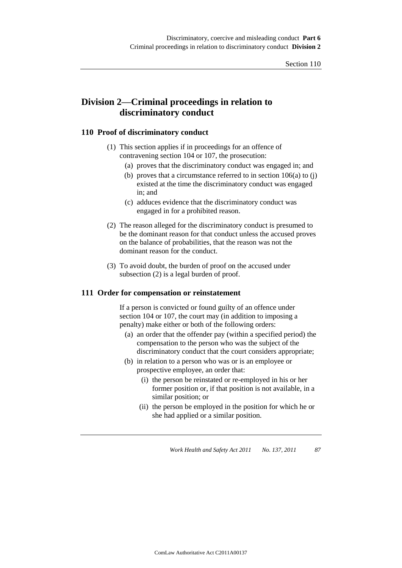# **Division 2—Criminal proceedings in relation to discriminatory conduct**

## **110 Proof of discriminatory conduct**

- (1) This section applies if in proceedings for an offence of contravening section 104 or 107, the prosecution:
	- (a) proves that the discriminatory conduct was engaged in; and
	- (b) proves that a circumstance referred to in section  $106(a)$  to (j) existed at the time the discriminatory conduct was engaged in; and
	- (c) adduces evidence that the discriminatory conduct was engaged in for a prohibited reason.
- (2) The reason alleged for the discriminatory conduct is presumed to be the dominant reason for that conduct unless the accused proves on the balance of probabilities, that the reason was not the dominant reason for the conduct.
- (3) To avoid doubt, the burden of proof on the accused under subsection (2) is a legal burden of proof.

#### **111 Order for compensation or reinstatement**

If a person is convicted or found guilty of an offence under section 104 or 107, the court may (in addition to imposing a penalty) make either or both of the following orders:

- (a) an order that the offender pay (within a specified period) the compensation to the person who was the subject of the discriminatory conduct that the court considers appropriate;
- (b) in relation to a person who was or is an employee or prospective employee, an order that:
	- (i) the person be reinstated or re-employed in his or her former position or, if that position is not available, in a similar position; or
	- (ii) the person be employed in the position for which he or she had applied or a similar position.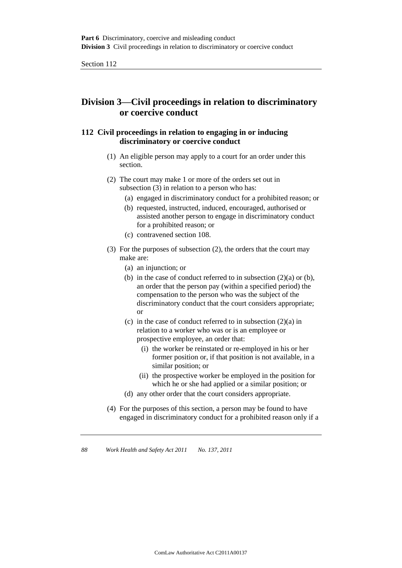# **Division 3—Civil proceedings in relation to discriminatory or coercive conduct**

## **112 Civil proceedings in relation to engaging in or inducing discriminatory or coercive conduct**

- (1) An eligible person may apply to a court for an order under this section.
- (2) The court may make 1 or more of the orders set out in subsection (3) in relation to a person who has:
	- (a) engaged in discriminatory conduct for a prohibited reason; or
	- (b) requested, instructed, induced, encouraged, authorised or assisted another person to engage in discriminatory conduct for a prohibited reason; or
	- (c) contravened section 108.
- (3) For the purposes of subsection (2), the orders that the court may make are:
	- (a) an injunction; or
	- (b) in the case of conduct referred to in subsection  $(2)(a)$  or  $(b)$ , an order that the person pay (within a specified period) the compensation to the person who was the subject of the discriminatory conduct that the court considers appropriate; or
	- (c) in the case of conduct referred to in subsection (2)(a) in relation to a worker who was or is an employee or prospective employee, an order that:
		- (i) the worker be reinstated or re-employed in his or her former position or, if that position is not available, in a similar position; or
		- (ii) the prospective worker be employed in the position for which he or she had applied or a similar position; or
	- (d) any other order that the court considers appropriate.
- (4) For the purposes of this section, a person may be found to have engaged in discriminatory conduct for a prohibited reason only if a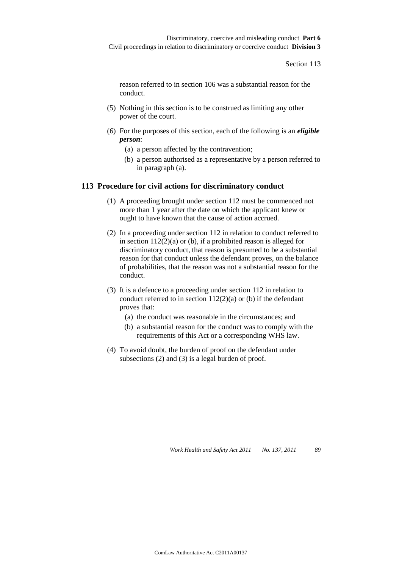reason referred to in section 106 was a substantial reason for the conduct.

- (5) Nothing in this section is to be construed as limiting any other power of the court.
- (6) For the purposes of this section, each of the following is an *eligible person*:
	- (a) a person affected by the contravention;
	- (b) a person authorised as a representative by a person referred to in paragraph (a).

## **113 Procedure for civil actions for discriminatory conduct**

- (1) A proceeding brought under section 112 must be commenced not more than 1 year after the date on which the applicant knew or ought to have known that the cause of action accrued.
- (2) In a proceeding under section 112 in relation to conduct referred to in section  $112(2)(a)$  or (b), if a prohibited reason is alleged for discriminatory conduct, that reason is presumed to be a substantial reason for that conduct unless the defendant proves, on the balance of probabilities, that the reason was not a substantial reason for the conduct.
- (3) It is a defence to a proceeding under section 112 in relation to conduct referred to in section  $112(2)(a)$  or (b) if the defendant proves that:
	- (a) the conduct was reasonable in the circumstances; and
	- (b) a substantial reason for the conduct was to comply with the requirements of this Act or a corresponding WHS law.
- (4) To avoid doubt, the burden of proof on the defendant under subsections (2) and (3) is a legal burden of proof.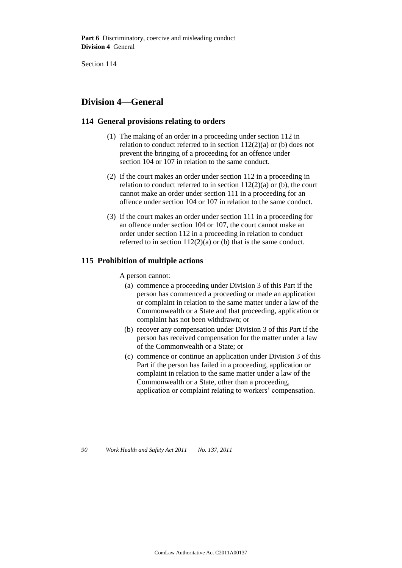**Part 6** Discriminatory, coercive and misleading conduct **Division 4** General

# **Division 4—General**

## **114 General provisions relating to orders**

- (1) The making of an order in a proceeding under section 112 in relation to conduct referred to in section 112(2)(a) or (b) does not prevent the bringing of a proceeding for an offence under section 104 or 107 in relation to the same conduct.
- (2) If the court makes an order under section 112 in a proceeding in relation to conduct referred to in section  $112(2)(a)$  or (b), the court cannot make an order under section 111 in a proceeding for an offence under section 104 or 107 in relation to the same conduct.
- (3) If the court makes an order under section 111 in a proceeding for an offence under section 104 or 107, the court cannot make an order under section 112 in a proceeding in relation to conduct referred to in section  $112(2)(a)$  or (b) that is the same conduct.

## **115 Prohibition of multiple actions**

A person cannot:

- (a) commence a proceeding under Division 3 of this Part if the person has commenced a proceeding or made an application or complaint in relation to the same matter under a law of the Commonwealth or a State and that proceeding, application or complaint has not been withdrawn; or
- (b) recover any compensation under Division 3 of this Part if the person has received compensation for the matter under a law of the Commonwealth or a State; or
- (c) commence or continue an application under Division 3 of this Part if the person has failed in a proceeding, application or complaint in relation to the same matter under a law of the Commonwealth or a State, other than a proceeding, application or complaint relating to workers' compensation.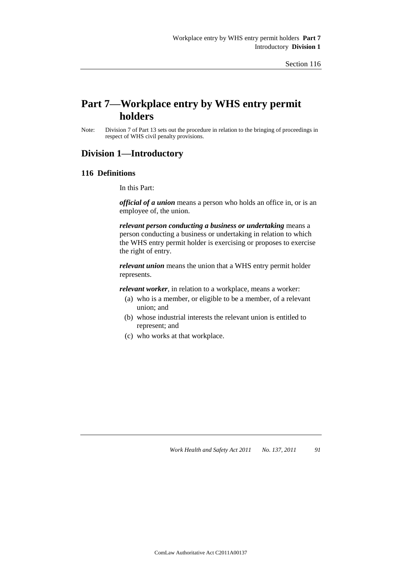# **Part 7—Workplace entry by WHS entry permit holders**

Note: Division 7 of Part 13 sets out the procedure in relation to the bringing of proceedings in respect of WHS civil penalty provisions.

## **Division 1—Introductory**

#### **116 Definitions**

In this Part:

*official of a union* means a person who holds an office in, or is an employee of, the union.

*relevant person conducting a business or undertaking* means a person conducting a business or undertaking in relation to which the WHS entry permit holder is exercising or proposes to exercise the right of entry.

*relevant union* means the union that a WHS entry permit holder represents.

*relevant worker*, in relation to a workplace, means a worker:

- (a) who is a member, or eligible to be a member, of a relevant union; and
- (b) whose industrial interests the relevant union is entitled to represent; and
- (c) who works at that workplace.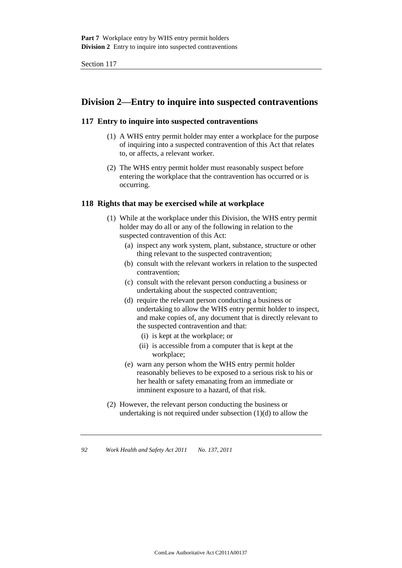# **Division 2—Entry to inquire into suspected contraventions**

## **117 Entry to inquire into suspected contraventions**

- (1) A WHS entry permit holder may enter a workplace for the purpose of inquiring into a suspected contravention of this Act that relates to, or affects, a relevant worker.
- (2) The WHS entry permit holder must reasonably suspect before entering the workplace that the contravention has occurred or is occurring.

## **118 Rights that may be exercised while at workplace**

- (1) While at the workplace under this Division, the WHS entry permit holder may do all or any of the following in relation to the suspected contravention of this Act:
	- (a) inspect any work system, plant, substance, structure or other thing relevant to the suspected contravention;
	- (b) consult with the relevant workers in relation to the suspected contravention;
	- (c) consult with the relevant person conducting a business or undertaking about the suspected contravention;
	- (d) require the relevant person conducting a business or undertaking to allow the WHS entry permit holder to inspect, and make copies of, any document that is directly relevant to the suspected contravention and that:
		- (i) is kept at the workplace; or
		- (ii) is accessible from a computer that is kept at the workplace;
	- (e) warn any person whom the WHS entry permit holder reasonably believes to be exposed to a serious risk to his or her health or safety emanating from an immediate or imminent exposure to a hazard, of that risk.
- (2) However, the relevant person conducting the business or undertaking is not required under subsection (1)(d) to allow the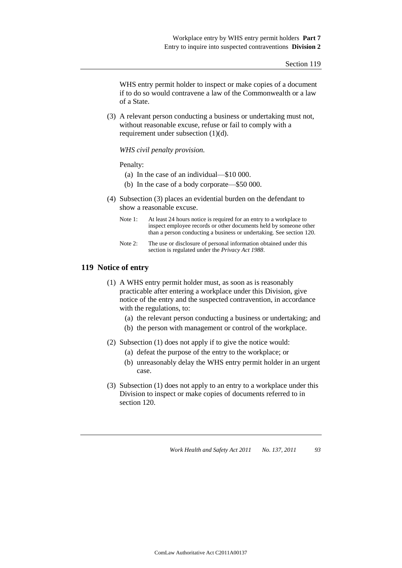WHS entry permit holder to inspect or make copies of a document if to do so would contravene a law of the Commonwealth or a law of a State.

(3) A relevant person conducting a business or undertaking must not, without reasonable excuse, refuse or fail to comply with a requirement under subsection (1)(d).

#### *WHS civil penalty provision.*

#### Penalty:

- (a) In the case of an individual—\$10 000.
- (b) In the case of a body corporate—\$50 000.
- (4) Subsection (3) places an evidential burden on the defendant to show a reasonable excuse.
	- Note 1: At least 24 hours notice is required for an entry to a workplace to inspect employee records or other documents held by someone other than a person conducting a business or undertaking. See section 120.
	- Note 2: The use or disclosure of personal information obtained under this section is regulated under the *Privacy Act 1988*.

#### **119 Notice of entry**

- (1) A WHS entry permit holder must, as soon as is reasonably practicable after entering a workplace under this Division, give notice of the entry and the suspected contravention, in accordance with the regulations, to:
	- (a) the relevant person conducting a business or undertaking; and
	- (b) the person with management or control of the workplace.

(2) Subsection (1) does not apply if to give the notice would:

- (a) defeat the purpose of the entry to the workplace; or
- (b) unreasonably delay the WHS entry permit holder in an urgent case.
- (3) Subsection (1) does not apply to an entry to a workplace under this Division to inspect or make copies of documents referred to in section 120.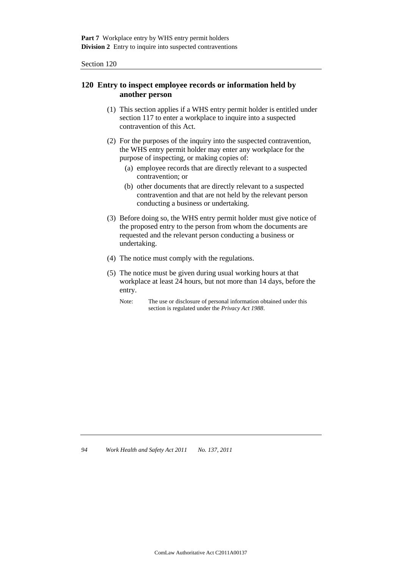## **120 Entry to inspect employee records or information held by another person**

- (1) This section applies if a WHS entry permit holder is entitled under section 117 to enter a workplace to inquire into a suspected contravention of this Act.
- (2) For the purposes of the inquiry into the suspected contravention, the WHS entry permit holder may enter any workplace for the purpose of inspecting, or making copies of:
	- (a) employee records that are directly relevant to a suspected contravention; or
	- (b) other documents that are directly relevant to a suspected contravention and that are not held by the relevant person conducting a business or undertaking.
- (3) Before doing so, the WHS entry permit holder must give notice of the proposed entry to the person from whom the documents are requested and the relevant person conducting a business or undertaking.
- (4) The notice must comply with the regulations.
- (5) The notice must be given during usual working hours at that workplace at least 24 hours, but not more than 14 days, before the entry.
	- Note: The use or disclosure of personal information obtained under this section is regulated under the *Privacy Act 1988*.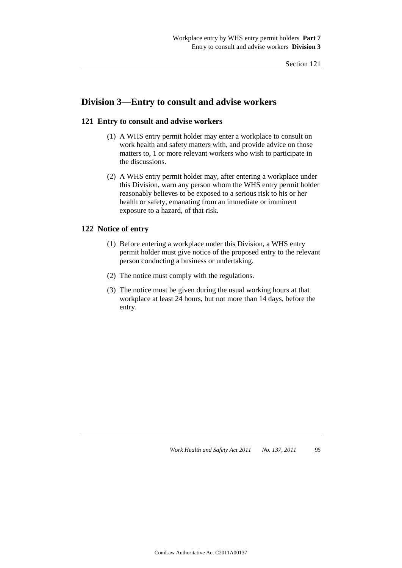# **Division 3—Entry to consult and advise workers**

## **121 Entry to consult and advise workers**

- (1) A WHS entry permit holder may enter a workplace to consult on work health and safety matters with, and provide advice on those matters to, 1 or more relevant workers who wish to participate in the discussions.
- (2) A WHS entry permit holder may, after entering a workplace under this Division, warn any person whom the WHS entry permit holder reasonably believes to be exposed to a serious risk to his or her health or safety, emanating from an immediate or imminent exposure to a hazard, of that risk.

### **122 Notice of entry**

- (1) Before entering a workplace under this Division, a WHS entry permit holder must give notice of the proposed entry to the relevant person conducting a business or undertaking.
- (2) The notice must comply with the regulations.
- (3) The notice must be given during the usual working hours at that workplace at least 24 hours, but not more than 14 days, before the entry.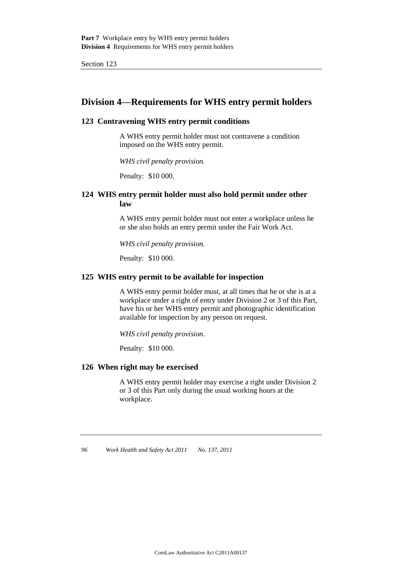# **Division 4—Requirements for WHS entry permit holders**

## **123 Contravening WHS entry permit conditions**

A WHS entry permit holder must not contravene a condition imposed on the WHS entry permit.

*WHS civil penalty provision.*

Penalty: \$10 000.

## **124 WHS entry permit holder must also hold permit under other law**

A WHS entry permit holder must not enter a workplace unless he or she also holds an entry permit under the Fair Work Act.

*WHS civil penalty provision.*

Penalty: \$10 000.

## **125 WHS entry permit to be available for inspection**

A WHS entry permit holder must, at all times that he or she is at a workplace under a right of entry under Division 2 or 3 of this Part, have his or her WHS entry permit and photographic identification available for inspection by any person on request.

*WHS civil penalty provision.*

Penalty: \$10 000.

## **126 When right may be exercised**

A WHS entry permit holder may exercise a right under Division 2 or 3 of this Part only during the usual working hours at the workplace.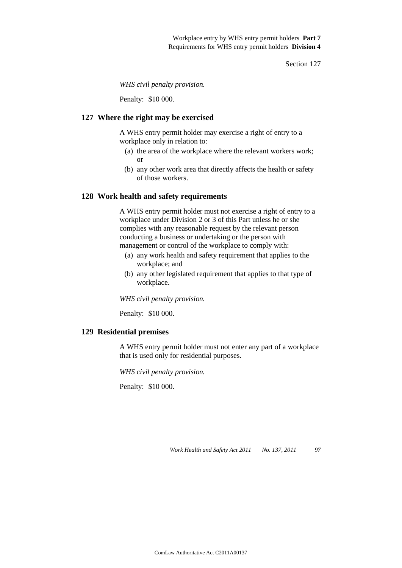*WHS civil penalty provision.*

Penalty: \$10 000.

### **127 Where the right may be exercised**

A WHS entry permit holder may exercise a right of entry to a workplace only in relation to:

- (a) the area of the workplace where the relevant workers work; or
- (b) any other work area that directly affects the health or safety of those workers.

### **128 Work health and safety requirements**

A WHS entry permit holder must not exercise a right of entry to a workplace under Division 2 or 3 of this Part unless he or she complies with any reasonable request by the relevant person conducting a business or undertaking or the person with management or control of the workplace to comply with:

- (a) any work health and safety requirement that applies to the workplace; and
- (b) any other legislated requirement that applies to that type of workplace.

*WHS civil penalty provision.*

Penalty: \$10 000.

### **129 Residential premises**

A WHS entry permit holder must not enter any part of a workplace that is used only for residential purposes.

*WHS civil penalty provision.*

Penalty: \$10 000.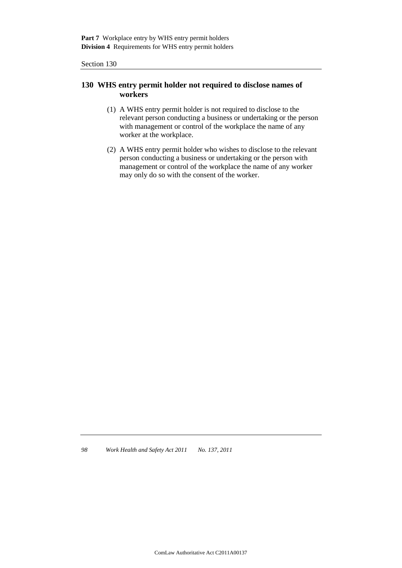## **130 WHS entry permit holder not required to disclose names of workers**

- (1) A WHS entry permit holder is not required to disclose to the relevant person conducting a business or undertaking or the person with management or control of the workplace the name of any worker at the workplace.
- (2) A WHS entry permit holder who wishes to disclose to the relevant person conducting a business or undertaking or the person with management or control of the workplace the name of any worker may only do so with the consent of the worker.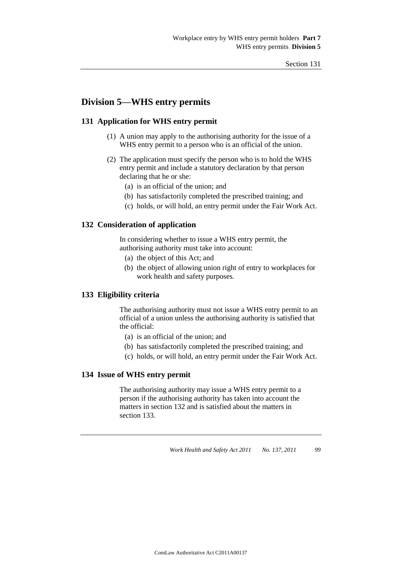# **Division 5—WHS entry permits**

## **131 Application for WHS entry permit**

- (1) A union may apply to the authorising authority for the issue of a WHS entry permit to a person who is an official of the union.
- (2) The application must specify the person who is to hold the WHS entry permit and include a statutory declaration by that person declaring that he or she:
	- (a) is an official of the union; and
	- (b) has satisfactorily completed the prescribed training; and
	- (c) holds, or will hold, an entry permit under the Fair Work Act.

### **132 Consideration of application**

In considering whether to issue a WHS entry permit, the authorising authority must take into account:

- (a) the object of this Act; and
- (b) the object of allowing union right of entry to workplaces for work health and safety purposes.

### **133 Eligibility criteria**

The authorising authority must not issue a WHS entry permit to an official of a union unless the authorising authority is satisfied that the official:

- (a) is an official of the union; and
- (b) has satisfactorily completed the prescribed training; and
- (c) holds, or will hold, an entry permit under the Fair Work Act.

#### **134 Issue of WHS entry permit**

The authorising authority may issue a WHS entry permit to a person if the authorising authority has taken into account the matters in section 132 and is satisfied about the matters in section 133.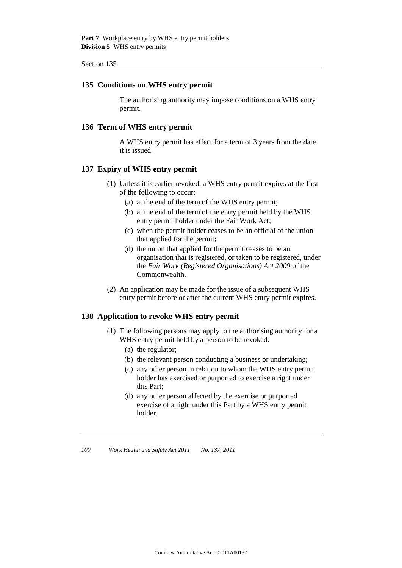Part 7 Workplace entry by WHS entry permit holders **Division 5** WHS entry permits

Section 135

#### **135 Conditions on WHS entry permit**

The authorising authority may impose conditions on a WHS entry permit.

#### **136 Term of WHS entry permit**

A WHS entry permit has effect for a term of 3 years from the date it is issued.

## **137 Expiry of WHS entry permit**

- (1) Unless it is earlier revoked, a WHS entry permit expires at the first of the following to occur:
	- (a) at the end of the term of the WHS entry permit;
	- (b) at the end of the term of the entry permit held by the WHS entry permit holder under the Fair Work Act;
	- (c) when the permit holder ceases to be an official of the union that applied for the permit;
	- (d) the union that applied for the permit ceases to be an organisation that is registered, or taken to be registered, under the *Fair Work (Registered Organisations) Act 2009* of the Commonwealth.
- (2) An application may be made for the issue of a subsequent WHS entry permit before or after the current WHS entry permit expires.

## **138 Application to revoke WHS entry permit**

- (1) The following persons may apply to the authorising authority for a WHS entry permit held by a person to be revoked:
	- (a) the regulator;
	- (b) the relevant person conducting a business or undertaking;
	- (c) any other person in relation to whom the WHS entry permit holder has exercised or purported to exercise a right under this Part;
	- (d) any other person affected by the exercise or purported exercise of a right under this Part by a WHS entry permit holder.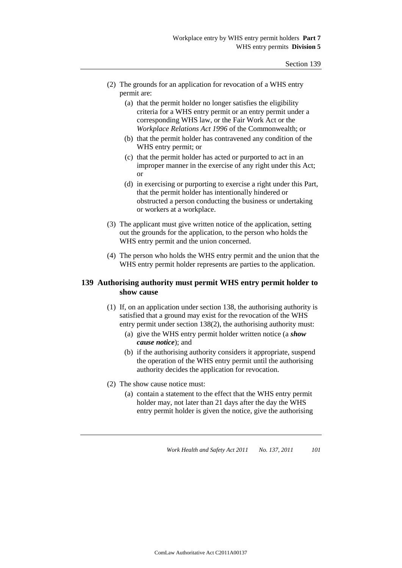- (2) The grounds for an application for revocation of a WHS entry permit are:
	- (a) that the permit holder no longer satisfies the eligibility criteria for a WHS entry permit or an entry permit under a corresponding WHS law, or the Fair Work Act or the *Workplace Relations Act 1996* of the Commonwealth; or
	- (b) that the permit holder has contravened any condition of the WHS entry permit; or
	- (c) that the permit holder has acted or purported to act in an improper manner in the exercise of any right under this Act; or
	- (d) in exercising or purporting to exercise a right under this Part, that the permit holder has intentionally hindered or obstructed a person conducting the business or undertaking or workers at a workplace.
- (3) The applicant must give written notice of the application, setting out the grounds for the application, to the person who holds the WHS entry permit and the union concerned.
- (4) The person who holds the WHS entry permit and the union that the WHS entry permit holder represents are parties to the application.

### **139 Authorising authority must permit WHS entry permit holder to show cause**

- (1) If, on an application under section 138, the authorising authority is satisfied that a ground may exist for the revocation of the WHS entry permit under section 138(2), the authorising authority must:
	- (a) give the WHS entry permit holder written notice (a *show cause notice*); and
	- (b) if the authorising authority considers it appropriate, suspend the operation of the WHS entry permit until the authorising authority decides the application for revocation.
- (2) The show cause notice must:
	- (a) contain a statement to the effect that the WHS entry permit holder may, not later than 21 days after the day the WHS entry permit holder is given the notice, give the authorising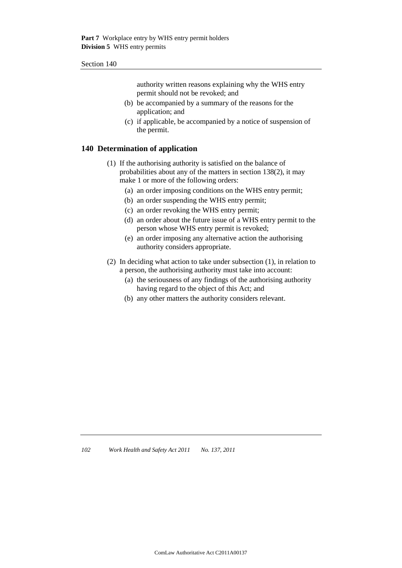authority written reasons explaining why the WHS entry permit should not be revoked; and

- (b) be accompanied by a summary of the reasons for the application; and
- (c) if applicable, be accompanied by a notice of suspension of the permit.

### **140 Determination of application**

- (1) If the authorising authority is satisfied on the balance of probabilities about any of the matters in section 138(2), it may make 1 or more of the following orders:
	- (a) an order imposing conditions on the WHS entry permit;
	- (b) an order suspending the WHS entry permit;
	- (c) an order revoking the WHS entry permit;
	- (d) an order about the future issue of a WHS entry permit to the person whose WHS entry permit is revoked;
	- (e) an order imposing any alternative action the authorising authority considers appropriate.
- (2) In deciding what action to take under subsection (1), in relation to a person, the authorising authority must take into account:
	- (a) the seriousness of any findings of the authorising authority having regard to the object of this Act; and
	- (b) any other matters the authority considers relevant.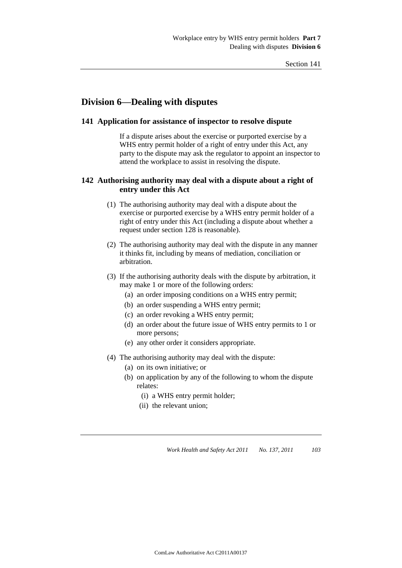# **Division 6—Dealing with disputes**

### **141 Application for assistance of inspector to resolve dispute**

If a dispute arises about the exercise or purported exercise by a WHS entry permit holder of a right of entry under this Act, any party to the dispute may ask the regulator to appoint an inspector to attend the workplace to assist in resolving the dispute.

## **142 Authorising authority may deal with a dispute about a right of entry under this Act**

- (1) The authorising authority may deal with a dispute about the exercise or purported exercise by a WHS entry permit holder of a right of entry under this Act (including a dispute about whether a request under section 128 is reasonable).
- (2) The authorising authority may deal with the dispute in any manner it thinks fit, including by means of mediation, conciliation or arbitration.
- (3) If the authorising authority deals with the dispute by arbitration, it may make 1 or more of the following orders:
	- (a) an order imposing conditions on a WHS entry permit;
	- (b) an order suspending a WHS entry permit;
	- (c) an order revoking a WHS entry permit;
	- (d) an order about the future issue of WHS entry permits to 1 or more persons;
	- (e) any other order it considers appropriate.
- (4) The authorising authority may deal with the dispute:
	- (a) on its own initiative; or
	- (b) on application by any of the following to whom the dispute relates:
		- (i) a WHS entry permit holder;
		- (ii) the relevant union;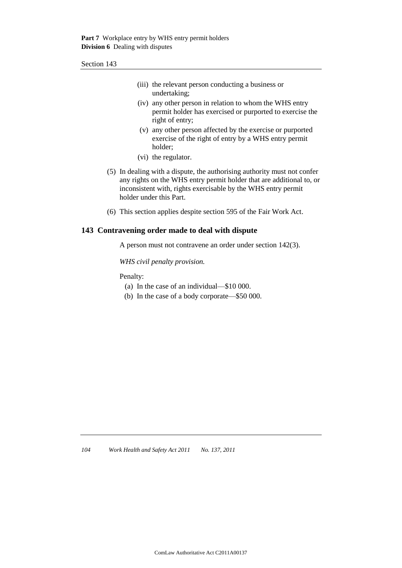| (iii) the relevant person conducting a business or |
|----------------------------------------------------|
| undertaking;                                       |

- (iv) any other person in relation to whom the WHS entry permit holder has exercised or purported to exercise the right of entry;
- (v) any other person affected by the exercise or purported exercise of the right of entry by a WHS entry permit holder;
- (vi) the regulator.
- (5) In dealing with a dispute, the authorising authority must not confer any rights on the WHS entry permit holder that are additional to, or inconsistent with, rights exercisable by the WHS entry permit holder under this Part.
- (6) This section applies despite section 595 of the Fair Work Act.

### **143 Contravening order made to deal with dispute**

A person must not contravene an order under section 142(3).

*WHS civil penalty provision.*

Penalty:

- (a) In the case of an individual—\$10 000.
- (b) In the case of a body corporate—\$50 000.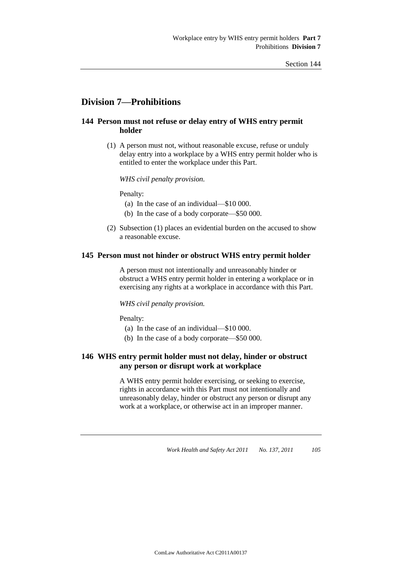# **Division 7—Prohibitions**

## **144 Person must not refuse or delay entry of WHS entry permit holder**

(1) A person must not, without reasonable excuse, refuse or unduly delay entry into a workplace by a WHS entry permit holder who is entitled to enter the workplace under this Part.

*WHS civil penalty provision.*

Penalty:

- (a) In the case of an individual—\$10 000.
- (b) In the case of a body corporate—\$50 000.
- (2) Subsection (1) places an evidential burden on the accused to show a reasonable excuse.

### **145 Person must not hinder or obstruct WHS entry permit holder**

A person must not intentionally and unreasonably hinder or obstruct a WHS entry permit holder in entering a workplace or in exercising any rights at a workplace in accordance with this Part.

#### *WHS civil penalty provision.*

Penalty:

- (a) In the case of an individual—\$10 000.
- (b) In the case of a body corporate—\$50 000.

## **146 WHS entry permit holder must not delay, hinder or obstruct any person or disrupt work at workplace**

A WHS entry permit holder exercising, or seeking to exercise, rights in accordance with this Part must not intentionally and unreasonably delay, hinder or obstruct any person or disrupt any work at a workplace, or otherwise act in an improper manner.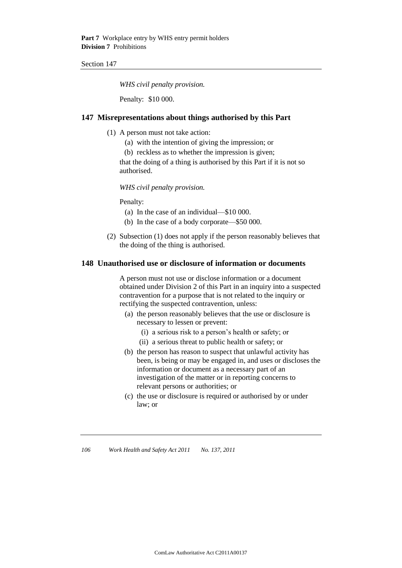*WHS civil penalty provision.*

Penalty: \$10 000.

### **147 Misrepresentations about things authorised by this Part**

- (1) A person must not take action:
	- (a) with the intention of giving the impression; or
	- (b) reckless as to whether the impression is given;

that the doing of a thing is authorised by this Part if it is not so authorised.

*WHS civil penalty provision.*

Penalty:

- (a) In the case of an individual—\$10 000.
- (b) In the case of a body corporate—\$50 000.
- (2) Subsection (1) does not apply if the person reasonably believes that the doing of the thing is authorised.

### **148 Unauthorised use or disclosure of information or documents**

A person must not use or disclose information or a document obtained under Division 2 of this Part in an inquiry into a suspected contravention for a purpose that is not related to the inquiry or rectifying the suspected contravention, unless:

- (a) the person reasonably believes that the use or disclosure is necessary to lessen or prevent:
	- (i) a serious risk to a person's health or safety; or
	- (ii) a serious threat to public health or safety; or
- (b) the person has reason to suspect that unlawful activity has been, is being or may be engaged in, and uses or discloses the information or document as a necessary part of an investigation of the matter or in reporting concerns to relevant persons or authorities; or
- (c) the use or disclosure is required or authorised by or under law; or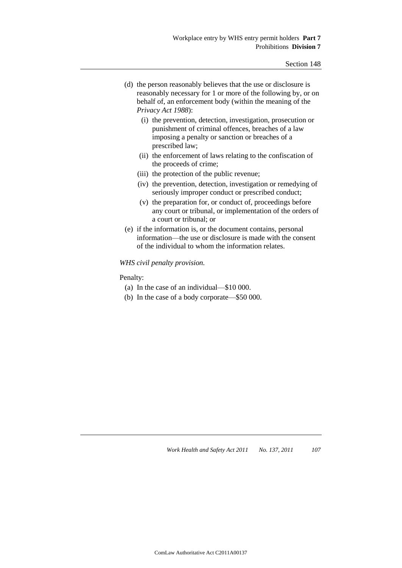| (d) the person reasonably believes that the use or disclosure is |
|------------------------------------------------------------------|
| reasonably necessary for 1 or more of the following by, or on    |
| behalf of, an enforcement body (within the meaning of the        |
| Privacy Act 1988):                                               |

- (i) the prevention, detection, investigation, prosecution or punishment of criminal offences, breaches of a law imposing a penalty or sanction or breaches of a prescribed law;
- (ii) the enforcement of laws relating to the confiscation of the proceeds of crime;
- (iii) the protection of the public revenue;
- (iv) the prevention, detection, investigation or remedying of seriously improper conduct or prescribed conduct;
- (v) the preparation for, or conduct of, proceedings before any court or tribunal, or implementation of the orders of a court or tribunal; or
- (e) if the information is, or the document contains, personal information—the use or disclosure is made with the consent of the individual to whom the information relates.

### *WHS civil penalty provision.*

#### Penalty:

- (a) In the case of an individual—\$10 000.
- (b) In the case of a body corporate—\$50 000.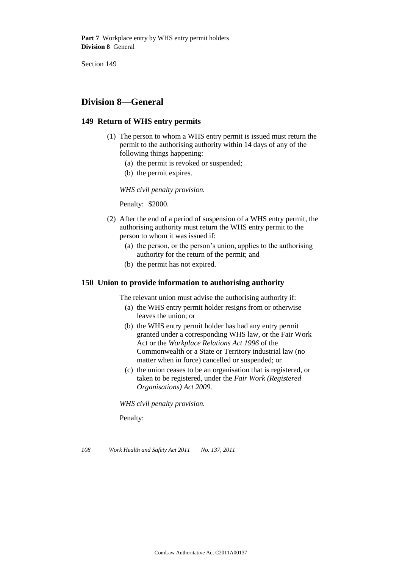# **Division 8—General**

## **149 Return of WHS entry permits**

- (1) The person to whom a WHS entry permit is issued must return the permit to the authorising authority within 14 days of any of the following things happening:
	- (a) the permit is revoked or suspended;
	- (b) the permit expires.

*WHS civil penalty provision.*

Penalty: \$2000.

- (2) After the end of a period of suspension of a WHS entry permit, the authorising authority must return the WHS entry permit to the person to whom it was issued if:
	- (a) the person, or the person's union, applies to the authorising authority for the return of the permit; and
	- (b) the permit has not expired.

## **150 Union to provide information to authorising authority**

The relevant union must advise the authorising authority if:

- (a) the WHS entry permit holder resigns from or otherwise leaves the union; or
- (b) the WHS entry permit holder has had any entry permit granted under a corresponding WHS law, or the Fair Work Act or the *Workplace Relations Act 1996* of the Commonwealth or a State or Territory industrial law (no matter when in force) cancelled or suspended; or
- (c) the union ceases to be an organisation that is registered, or taken to be registered, under the *Fair Work (Registered Organisations) Act 2009*.

*WHS civil penalty provision.*

Penalty: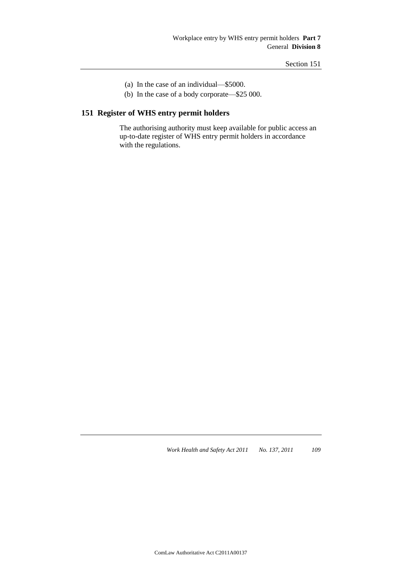- (a) In the case of an individual—\$5000.
- (b) In the case of a body corporate—\$25 000.

# **151 Register of WHS entry permit holders**

The authorising authority must keep available for public access an up-to-date register of WHS entry permit holders in accordance with the regulations.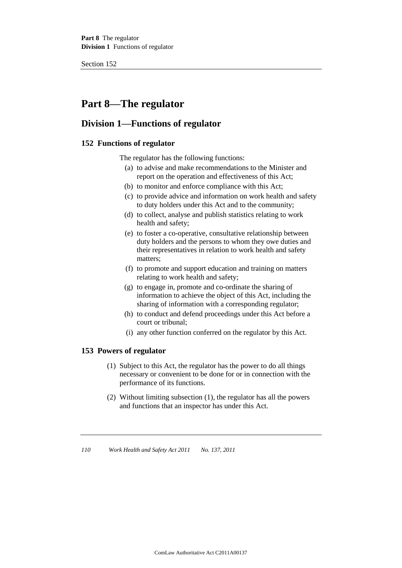# **Part 8—The regulator**

# **Division 1—Functions of regulator**

## **152 Functions of regulator**

The regulator has the following functions:

- (a) to advise and make recommendations to the Minister and report on the operation and effectiveness of this Act;
- (b) to monitor and enforce compliance with this Act;
- (c) to provide advice and information on work health and safety to duty holders under this Act and to the community;
- (d) to collect, analyse and publish statistics relating to work health and safety;
- (e) to foster a co-operative, consultative relationship between duty holders and the persons to whom they owe duties and their representatives in relation to work health and safety matters;
- (f) to promote and support education and training on matters relating to work health and safety;
- (g) to engage in, promote and co-ordinate the sharing of information to achieve the object of this Act, including the sharing of information with a corresponding regulator;
- (h) to conduct and defend proceedings under this Act before a court or tribunal;
- (i) any other function conferred on the regulator by this Act.

## **153 Powers of regulator**

- (1) Subject to this Act, the regulator has the power to do all things necessary or convenient to be done for or in connection with the performance of its functions.
- (2) Without limiting subsection (1), the regulator has all the powers and functions that an inspector has under this Act.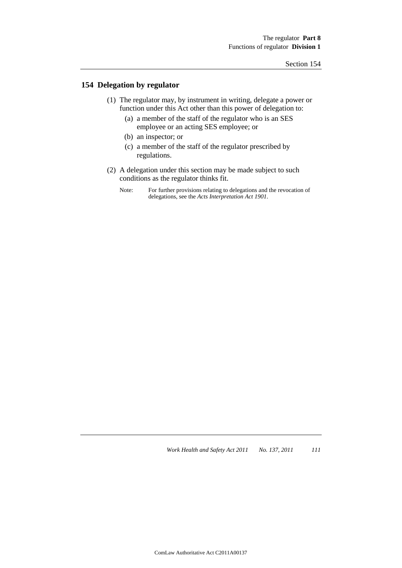## **154 Delegation by regulator**

- (1) The regulator may, by instrument in writing, delegate a power or function under this Act other than this power of delegation to:
	- (a) a member of the staff of the regulator who is an SES employee or an acting SES employee; or
	- (b) an inspector; or
	- (c) a member of the staff of the regulator prescribed by regulations.
- (2) A delegation under this section may be made subject to such conditions as the regulator thinks fit.
	- Note: For further provisions relating to delegations and the revocation of delegations, see the *Acts Interpretation Act 1901*.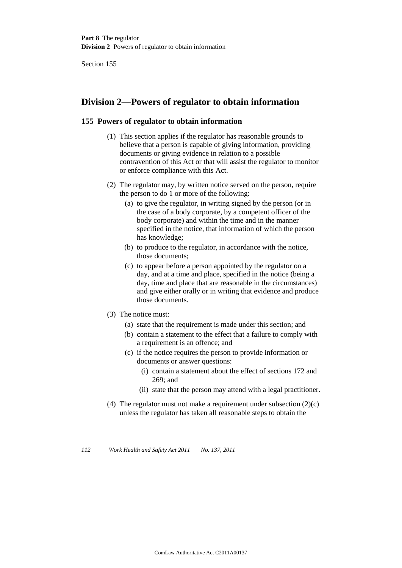# **Division 2—Powers of regulator to obtain information**

## **155 Powers of regulator to obtain information**

- (1) This section applies if the regulator has reasonable grounds to believe that a person is capable of giving information, providing documents or giving evidence in relation to a possible contravention of this Act or that will assist the regulator to monitor or enforce compliance with this Act.
- (2) The regulator may, by written notice served on the person, require the person to do 1 or more of the following:
	- (a) to give the regulator, in writing signed by the person (or in the case of a body corporate, by a competent officer of the body corporate) and within the time and in the manner specified in the notice, that information of which the person has knowledge;
	- (b) to produce to the regulator, in accordance with the notice, those documents;
	- (c) to appear before a person appointed by the regulator on a day, and at a time and place, specified in the notice (being a day, time and place that are reasonable in the circumstances) and give either orally or in writing that evidence and produce those documents.
- (3) The notice must:
	- (a) state that the requirement is made under this section; and
	- (b) contain a statement to the effect that a failure to comply with a requirement is an offence; and
	- (c) if the notice requires the person to provide information or documents or answer questions:
		- (i) contain a statement about the effect of sections 172 and 269; and
		- (ii) state that the person may attend with a legal practitioner.
- (4) The regulator must not make a requirement under subsection  $(2)(c)$ unless the regulator has taken all reasonable steps to obtain the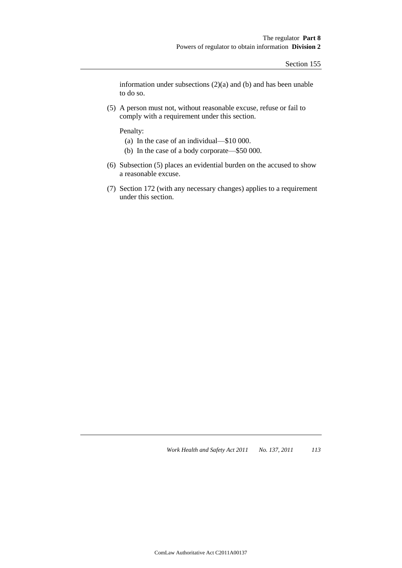information under subsections (2)(a) and (b) and has been unable to do so.

(5) A person must not, without reasonable excuse, refuse or fail to comply with a requirement under this section.

Penalty:

- (a) In the case of an individual—\$10 000.
- (b) In the case of a body corporate—\$50 000.
- (6) Subsection (5) places an evidential burden on the accused to show a reasonable excuse.
- (7) Section 172 (with any necessary changes) applies to a requirement under this section.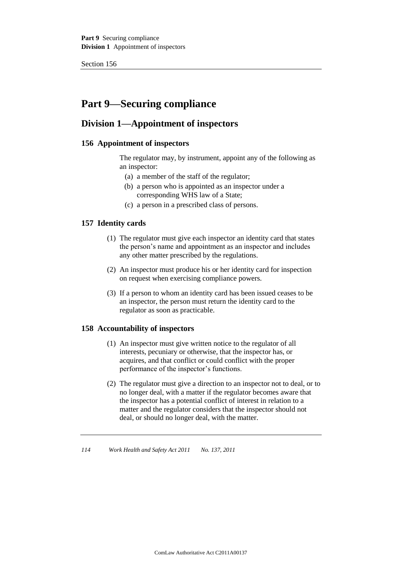Part 9 Securing compliance **Division 1** Appointment of inspectors

Section 156

# **Part 9—Securing compliance**

# **Division 1—Appointment of inspectors**

## **156 Appointment of inspectors**

The regulator may, by instrument, appoint any of the following as an inspector:

- (a) a member of the staff of the regulator;
- (b) a person who is appointed as an inspector under a corresponding WHS law of a State;
- (c) a person in a prescribed class of persons.

## **157 Identity cards**

- (1) The regulator must give each inspector an identity card that states the person's name and appointment as an inspector and includes any other matter prescribed by the regulations.
- (2) An inspector must produce his or her identity card for inspection on request when exercising compliance powers.
- (3) If a person to whom an identity card has been issued ceases to be an inspector, the person must return the identity card to the regulator as soon as practicable.

### **158 Accountability of inspectors**

- (1) An inspector must give written notice to the regulator of all interests, pecuniary or otherwise, that the inspector has, or acquires, and that conflict or could conflict with the proper performance of the inspector's functions.
- (2) The regulator must give a direction to an inspector not to deal, or to no longer deal, with a matter if the regulator becomes aware that the inspector has a potential conflict of interest in relation to a matter and the regulator considers that the inspector should not deal, or should no longer deal, with the matter.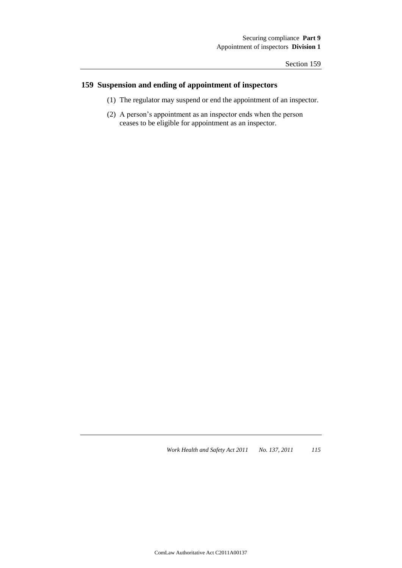# **159 Suspension and ending of appointment of inspectors**

- (1) The regulator may suspend or end the appointment of an inspector.
- (2) A person's appointment as an inspector ends when the person ceases to be eligible for appointment as an inspector.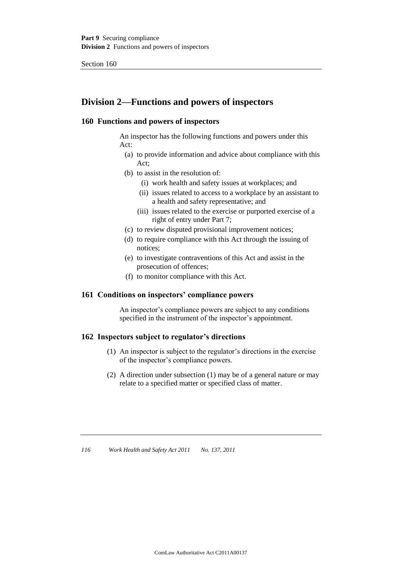# **Division 2—Functions and powers of inspectors**

## **160 Functions and powers of inspectors**

An inspector has the following functions and powers under this Act:

- (a) to provide information and advice about compliance with this Act;
- (b) to assist in the resolution of:
	- (i) work health and safety issues at workplaces; and
	- (ii) issues related to access to a workplace by an assistant to a health and safety representative; and
	- (iii) issues related to the exercise or purported exercise of a right of entry under Part 7;
- (c) to review disputed provisional improvement notices;
- (d) to require compliance with this Act through the issuing of notices;
- (e) to investigate contraventions of this Act and assist in the prosecution of offences;
- (f) to monitor compliance with this Act.

## **161 Conditions on inspectors' compliance powers**

An inspector's compliance powers are subject to any conditions specified in the instrument of the inspector's appointment.

## **162 Inspectors subject to regulator's directions**

- (1) An inspector is subject to the regulator's directions in the exercise of the inspector's compliance powers.
- (2) A direction under subsection (1) may be of a general nature or may relate to a specified matter or specified class of matter.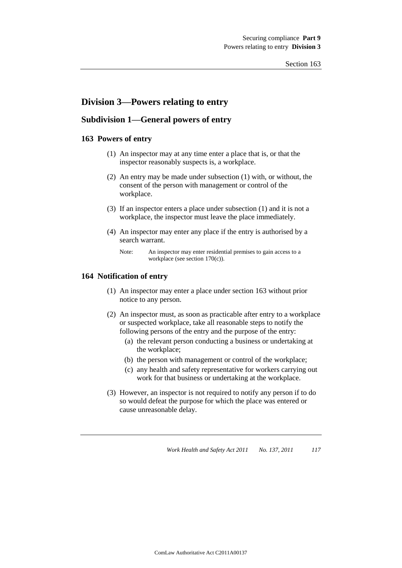# **Division 3—Powers relating to entry**

## **Subdivision 1—General powers of entry**

### **163 Powers of entry**

- (1) An inspector may at any time enter a place that is, or that the inspector reasonably suspects is, a workplace.
- (2) An entry may be made under subsection (1) with, or without, the consent of the person with management or control of the workplace.
- (3) If an inspector enters a place under subsection (1) and it is not a workplace, the inspector must leave the place immediately.
- (4) An inspector may enter any place if the entry is authorised by a search warrant.

### **164 Notification of entry**

- (1) An inspector may enter a place under section 163 without prior notice to any person.
- (2) An inspector must, as soon as practicable after entry to a workplace or suspected workplace, take all reasonable steps to notify the following persons of the entry and the purpose of the entry:
	- (a) the relevant person conducting a business or undertaking at the workplace;
	- (b) the person with management or control of the workplace;
	- (c) any health and safety representative for workers carrying out work for that business or undertaking at the workplace.
- (3) However, an inspector is not required to notify any person if to do so would defeat the purpose for which the place was entered or cause unreasonable delay.

Note: An inspector may enter residential premises to gain access to a workplace (see section 170(c)).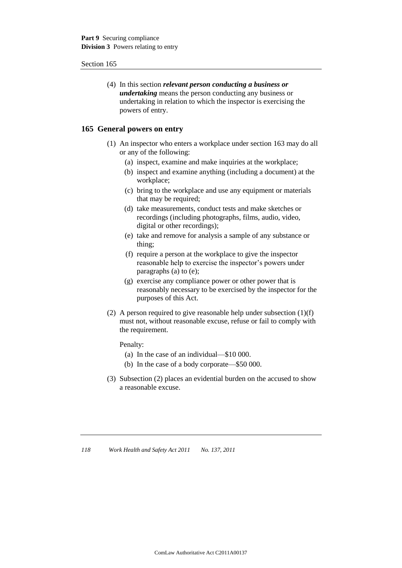(4) In this section *relevant person conducting a business or undertaking* means the person conducting any business or undertaking in relation to which the inspector is exercising the powers of entry.

### **165 General powers on entry**

- (1) An inspector who enters a workplace under section 163 may do all or any of the following:
	- (a) inspect, examine and make inquiries at the workplace;
	- (b) inspect and examine anything (including a document) at the workplace;
	- (c) bring to the workplace and use any equipment or materials that may be required;
	- (d) take measurements, conduct tests and make sketches or recordings (including photographs, films, audio, video, digital or other recordings);
	- (e) take and remove for analysis a sample of any substance or thing;
	- (f) require a person at the workplace to give the inspector reasonable help to exercise the inspector's powers under paragraphs (a) to (e);
	- (g) exercise any compliance power or other power that is reasonably necessary to be exercised by the inspector for the purposes of this Act.
- (2) A person required to give reasonable help under subsection (1)(f) must not, without reasonable excuse, refuse or fail to comply with the requirement.

Penalty:

- (a) In the case of an individual—\$10 000.
- (b) In the case of a body corporate—\$50 000.
- (3) Subsection (2) places an evidential burden on the accused to show a reasonable excuse.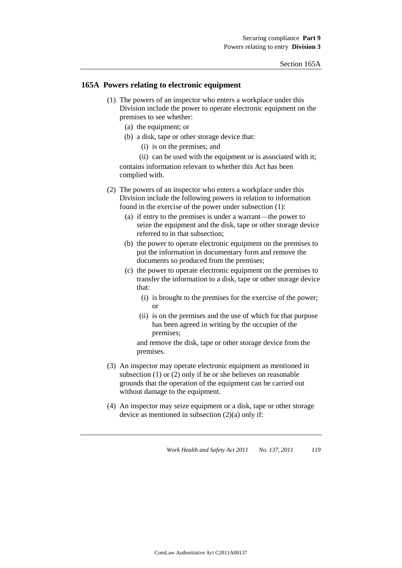### **165A Powers relating to electronic equipment**

- (1) The powers of an inspector who enters a workplace under this Division include the power to operate electronic equipment on the premises to see whether:
	- (a) the equipment; or
	- (b) a disk, tape or other storage device that:
		- (i) is on the premises; and

(ii) can be used with the equipment or is associated with it; contains information relevant to whether this Act has been complied with.

- (2) The powers of an inspector who enters a workplace under this Division include the following powers in relation to information found in the exercise of the power under subsection (1):
	- (a) if entry to the premises is under a warrant—the power to seize the equipment and the disk, tape or other storage device referred to in that subsection;
	- (b) the power to operate electronic equipment on the premises to put the information in documentary form and remove the documents so produced from the premises;
	- (c) the power to operate electronic equipment on the premises to transfer the information to a disk, tape or other storage device that:
		- (i) is brought to the premises for the exercise of the power; or
		- (ii) is on the premises and the use of which for that purpose has been agreed in writing by the occupier of the premises;

and remove the disk, tape or other storage device from the premises.

- (3) An inspector may operate electronic equipment as mentioned in subsection (1) or (2) only if he or she believes on reasonable grounds that the operation of the equipment can be carried out without damage to the equipment.
- (4) An inspector may seize equipment or a disk, tape or other storage device as mentioned in subsection (2)(a) only if: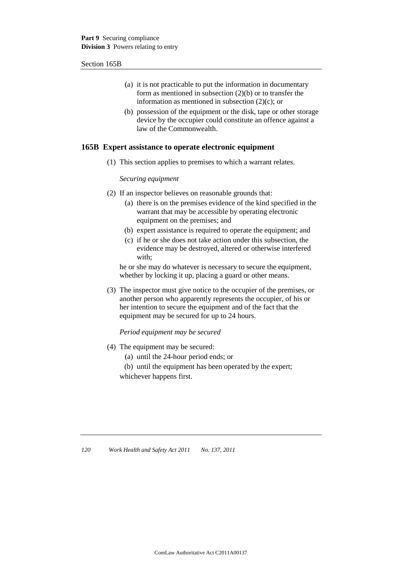#### Section 165B

- (a) it is not practicable to put the information in documentary form as mentioned in subsection (2)(b) or to transfer the information as mentioned in subsection (2)(c); or
- (b) possession of the equipment or the disk, tape or other storage device by the occupier could constitute an offence against a law of the Commonwealth.

### **165B Expert assistance to operate electronic equipment**

(1) This section applies to premises to which a warrant relates.

### *Securing equipment*

- (2) If an inspector believes on reasonable grounds that:
	- (a) there is on the premises evidence of the kind specified in the warrant that may be accessible by operating electronic equipment on the premises; and
	- (b) expert assistance is required to operate the equipment; and
	- (c) if he or she does not take action under this subsection, the evidence may be destroyed, altered or otherwise interfered with;

he or she may do whatever is necessary to secure the equipment, whether by locking it up, placing a guard or other means.

(3) The inspector must give notice to the occupier of the premises, or another person who apparently represents the occupier, of his or her intention to secure the equipment and of the fact that the equipment may be secured for up to 24 hours.

### *Period equipment may be secured*

- (4) The equipment may be secured:
	- (a) until the 24-hour period ends; or
	- (b) until the equipment has been operated by the expert; whichever happens first.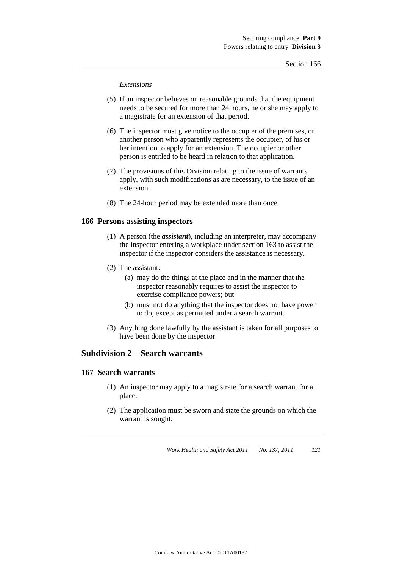#### *Extensions*

- (5) If an inspector believes on reasonable grounds that the equipment needs to be secured for more than 24 hours, he or she may apply to a magistrate for an extension of that period.
- (6) The inspector must give notice to the occupier of the premises, or another person who apparently represents the occupier, of his or her intention to apply for an extension. The occupier or other person is entitled to be heard in relation to that application.
- (7) The provisions of this Division relating to the issue of warrants apply, with such modifications as are necessary, to the issue of an extension.
- (8) The 24-hour period may be extended more than once.

### **166 Persons assisting inspectors**

- (1) A person (the *assistant*), including an interpreter, may accompany the inspector entering a workplace under section 163 to assist the inspector if the inspector considers the assistance is necessary.
- (2) The assistant:
	- (a) may do the things at the place and in the manner that the inspector reasonably requires to assist the inspector to exercise compliance powers; but
	- (b) must not do anything that the inspector does not have power to do, except as permitted under a search warrant.
- (3) Anything done lawfully by the assistant is taken for all purposes to have been done by the inspector.

# **Subdivision 2—Search warrants**

#### **167 Search warrants**

- (1) An inspector may apply to a magistrate for a search warrant for a place.
- (2) The application must be sworn and state the grounds on which the warrant is sought.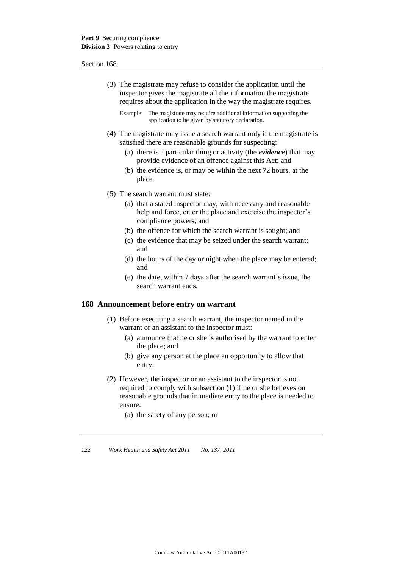(3) The magistrate may refuse to consider the application until the inspector gives the magistrate all the information the magistrate requires about the application in the way the magistrate requires.

Example: The magistrate may require additional information supporting the application to be given by statutory declaration.

- (4) The magistrate may issue a search warrant only if the magistrate is satisfied there are reasonable grounds for suspecting:
	- (a) there is a particular thing or activity (the *evidence*) that may provide evidence of an offence against this Act; and
	- (b) the evidence is, or may be within the next 72 hours, at the place.
- (5) The search warrant must state:
	- (a) that a stated inspector may, with necessary and reasonable help and force, enter the place and exercise the inspector's compliance powers; and
	- (b) the offence for which the search warrant is sought; and
	- (c) the evidence that may be seized under the search warrant; and
	- (d) the hours of the day or night when the place may be entered; and
	- (e) the date, within 7 days after the search warrant's issue, the search warrant ends.

#### **168 Announcement before entry on warrant**

- (1) Before executing a search warrant, the inspector named in the warrant or an assistant to the inspector must:
	- (a) announce that he or she is authorised by the warrant to enter the place; and
	- (b) give any person at the place an opportunity to allow that entry.
- (2) However, the inspector or an assistant to the inspector is not required to comply with subsection (1) if he or she believes on reasonable grounds that immediate entry to the place is needed to ensure:
	- (a) the safety of any person; or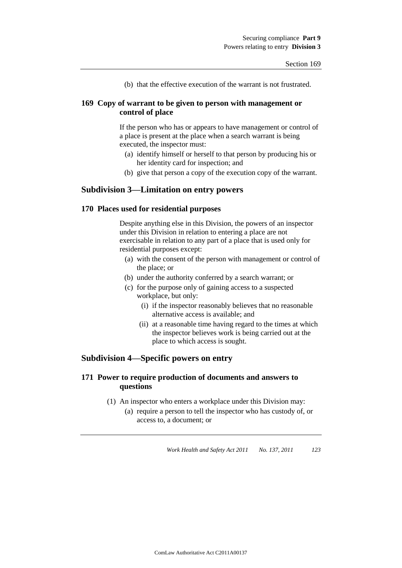(b) that the effective execution of the warrant is not frustrated.

## **169 Copy of warrant to be given to person with management or control of place**

If the person who has or appears to have management or control of a place is present at the place when a search warrant is being executed, the inspector must:

- (a) identify himself or herself to that person by producing his or her identity card for inspection; and
- (b) give that person a copy of the execution copy of the warrant.

# **Subdivision 3—Limitation on entry powers**

### **170 Places used for residential purposes**

Despite anything else in this Division, the powers of an inspector under this Division in relation to entering a place are not exercisable in relation to any part of a place that is used only for residential purposes except:

- (a) with the consent of the person with management or control of the place; or
- (b) under the authority conferred by a search warrant; or
- (c) for the purpose only of gaining access to a suspected workplace, but only:
	- (i) if the inspector reasonably believes that no reasonable alternative access is available; and
	- (ii) at a reasonable time having regard to the times at which the inspector believes work is being carried out at the place to which access is sought.

# **Subdivision 4—Specific powers on entry**

## **171 Power to require production of documents and answers to questions**

(1) An inspector who enters a workplace under this Division may: (a) require a person to tell the inspector who has custody of, or access to, a document; or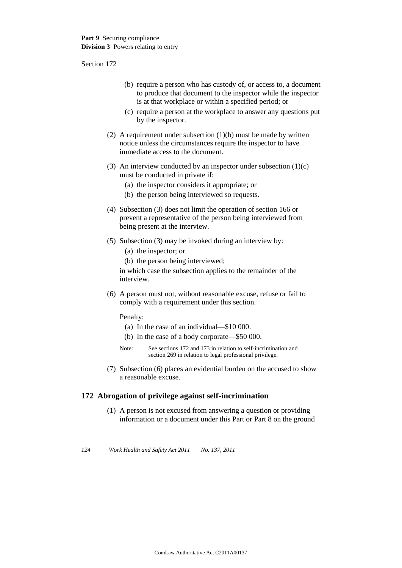- (b) require a person who has custody of, or access to, a document to produce that document to the inspector while the inspector is at that workplace or within a specified period; or
- (c) require a person at the workplace to answer any questions put by the inspector.
- (2) A requirement under subsection  $(1)(b)$  must be made by written notice unless the circumstances require the inspector to have immediate access to the document.
- (3) An interview conducted by an inspector under subsection  $(1)(c)$ must be conducted in private if:
	- (a) the inspector considers it appropriate; or
	- (b) the person being interviewed so requests.
- (4) Subsection (3) does not limit the operation of section 166 or prevent a representative of the person being interviewed from being present at the interview.
- (5) Subsection (3) may be invoked during an interview by:
	- (a) the inspector; or
	- (b) the person being interviewed;

in which case the subsection applies to the remainder of the interview.

(6) A person must not, without reasonable excuse, refuse or fail to comply with a requirement under this section.

Penalty:

- (a) In the case of an individual—\$10 000.
- (b) In the case of a body corporate—\$50 000.
- Note: See sections 172 and 173 in relation to self-incrimination and section 269 in relation to legal professional privilege.
- (7) Subsection (6) places an evidential burden on the accused to show a reasonable excuse.

## **172 Abrogation of privilege against self-incrimination**

(1) A person is not excused from answering a question or providing information or a document under this Part or Part 8 on the ground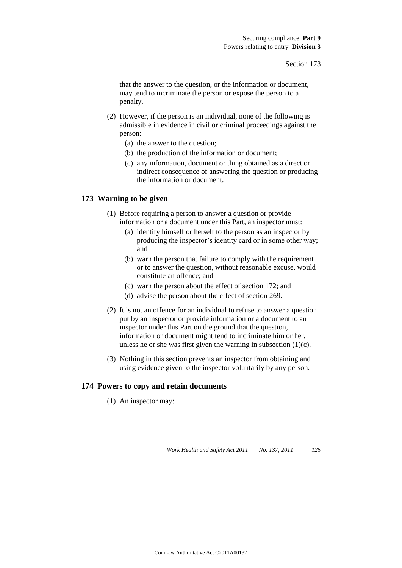that the answer to the question, or the information or document, may tend to incriminate the person or expose the person to a penalty.

- (2) However, if the person is an individual, none of the following is admissible in evidence in civil or criminal proceedings against the person:
	- (a) the answer to the question;
	- (b) the production of the information or document;
	- (c) any information, document or thing obtained as a direct or indirect consequence of answering the question or producing the information or document.

### **173 Warning to be given**

- (1) Before requiring a person to answer a question or provide information or a document under this Part, an inspector must:
	- (a) identify himself or herself to the person as an inspector by producing the inspector's identity card or in some other way; and
	- (b) warn the person that failure to comply with the requirement or to answer the question, without reasonable excuse, would constitute an offence; and
	- (c) warn the person about the effect of section 172; and
	- (d) advise the person about the effect of section 269.
- (2) It is not an offence for an individual to refuse to answer a question put by an inspector or provide information or a document to an inspector under this Part on the ground that the question, information or document might tend to incriminate him or her, unless he or she was first given the warning in subsection  $(1)(c)$ .
- (3) Nothing in this section prevents an inspector from obtaining and using evidence given to the inspector voluntarily by any person.

### **174 Powers to copy and retain documents**

(1) An inspector may: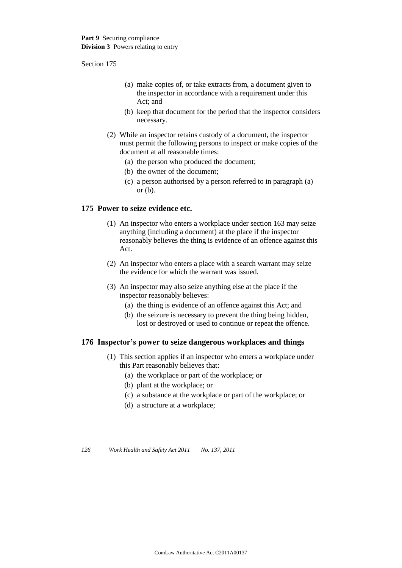- (a) make copies of, or take extracts from, a document given to the inspector in accordance with a requirement under this Act; and
- (b) keep that document for the period that the inspector considers necessary.
- (2) While an inspector retains custody of a document, the inspector must permit the following persons to inspect or make copies of the document at all reasonable times:
	- (a) the person who produced the document;
	- (b) the owner of the document;
	- (c) a person authorised by a person referred to in paragraph (a) or  $(b)$ .

## **175 Power to seize evidence etc.**

- (1) An inspector who enters a workplace under section 163 may seize anything (including a document) at the place if the inspector reasonably believes the thing is evidence of an offence against this Act.
- (2) An inspector who enters a place with a search warrant may seize the evidence for which the warrant was issued.
- (3) An inspector may also seize anything else at the place if the inspector reasonably believes:
	- (a) the thing is evidence of an offence against this Act; and
	- (b) the seizure is necessary to prevent the thing being hidden, lost or destroyed or used to continue or repeat the offence.

### **176 Inspector's power to seize dangerous workplaces and things**

- (1) This section applies if an inspector who enters a workplace under this Part reasonably believes that:
	- (a) the workplace or part of the workplace; or
	- (b) plant at the workplace; or
	- (c) a substance at the workplace or part of the workplace; or
	- (d) a structure at a workplace;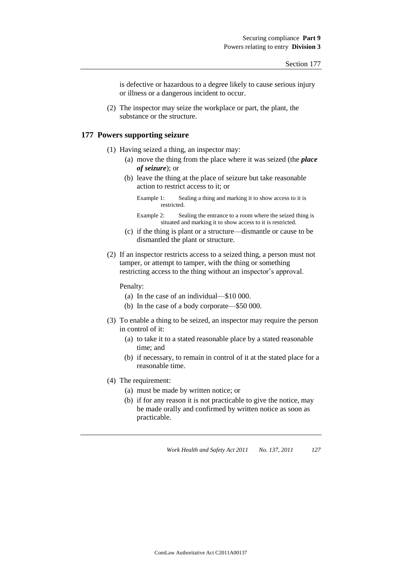is defective or hazardous to a degree likely to cause serious injury or illness or a dangerous incident to occur.

(2) The inspector may seize the workplace or part, the plant, the substance or the structure.

### **177 Powers supporting seizure**

- (1) Having seized a thing, an inspector may:
	- (a) move the thing from the place where it was seized (the *place of seizure*); or
	- (b) leave the thing at the place of seizure but take reasonable action to restrict access to it; or

- Example 2: Sealing the entrance to a room where the seized thing is situated and marking it to show access to it is restricted.
- (c) if the thing is plant or a structure—dismantle or cause to be dismantled the plant or structure.
- (2) If an inspector restricts access to a seized thing, a person must not tamper, or attempt to tamper, with the thing or something restricting access to the thing without an inspector's approval.

Penalty:

- (a) In the case of an individual—\$10 000.
- (b) In the case of a body corporate—\$50 000.
- (3) To enable a thing to be seized, an inspector may require the person in control of it:
	- (a) to take it to a stated reasonable place by a stated reasonable time; and
	- (b) if necessary, to remain in control of it at the stated place for a reasonable time.
- (4) The requirement:
	- (a) must be made by written notice; or
	- (b) if for any reason it is not practicable to give the notice, may be made orally and confirmed by written notice as soon as practicable.

Example 1: Sealing a thing and marking it to show access to it is restricted.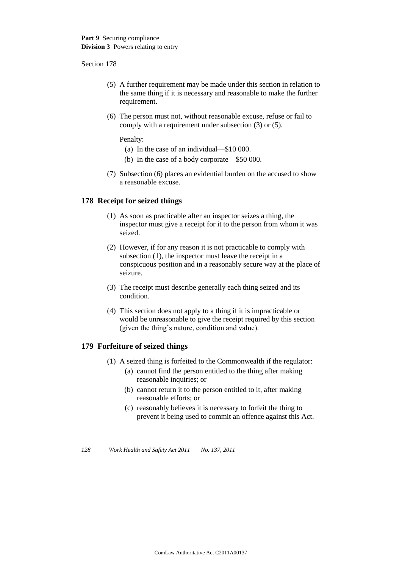- (5) A further requirement may be made under this section in relation to the same thing if it is necessary and reasonable to make the further requirement.
- (6) The person must not, without reasonable excuse, refuse or fail to comply with a requirement under subsection (3) or (5).

Penalty:

- (a) In the case of an individual—\$10 000.
- (b) In the case of a body corporate—\$50 000.
- (7) Subsection (6) places an evidential burden on the accused to show a reasonable excuse.

### **178 Receipt for seized things**

- (1) As soon as practicable after an inspector seizes a thing, the inspector must give a receipt for it to the person from whom it was seized.
- (2) However, if for any reason it is not practicable to comply with subsection (1), the inspector must leave the receipt in a conspicuous position and in a reasonably secure way at the place of seizure.
- (3) The receipt must describe generally each thing seized and its condition.
- (4) This section does not apply to a thing if it is impracticable or would be unreasonable to give the receipt required by this section (given the thing's nature, condition and value).

### **179 Forfeiture of seized things**

- (1) A seized thing is forfeited to the Commonwealth if the regulator:
	- (a) cannot find the person entitled to the thing after making reasonable inquiries; or
	- (b) cannot return it to the person entitled to it, after making reasonable efforts; or
	- (c) reasonably believes it is necessary to forfeit the thing to prevent it being used to commit an offence against this Act.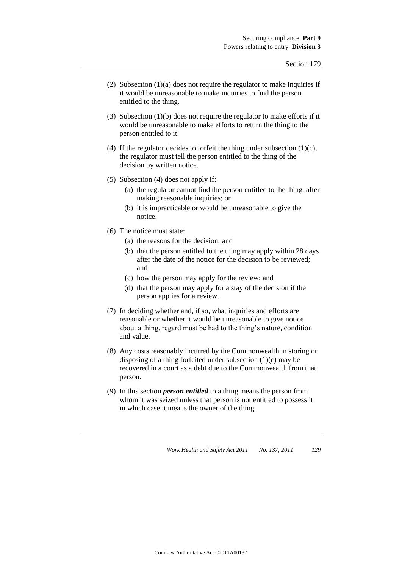- (2) Subsection  $(1)(a)$  does not require the regulator to make inquiries if it would be unreasonable to make inquiries to find the person entitled to the thing.
- (3) Subsection (1)(b) does not require the regulator to make efforts if it would be unreasonable to make efforts to return the thing to the person entitled to it.
- (4) If the regulator decides to forfeit the thing under subsection  $(1)(c)$ , the regulator must tell the person entitled to the thing of the decision by written notice.
- (5) Subsection (4) does not apply if:
	- (a) the regulator cannot find the person entitled to the thing, after making reasonable inquiries; or
	- (b) it is impracticable or would be unreasonable to give the notice.
- (6) The notice must state:
	- (a) the reasons for the decision; and
	- (b) that the person entitled to the thing may apply within 28 days after the date of the notice for the decision to be reviewed; and
	- (c) how the person may apply for the review; and
	- (d) that the person may apply for a stay of the decision if the person applies for a review.
- (7) In deciding whether and, if so, what inquiries and efforts are reasonable or whether it would be unreasonable to give notice about a thing, regard must be had to the thing's nature, condition and value.
- (8) Any costs reasonably incurred by the Commonwealth in storing or disposing of a thing forfeited under subsection (1)(c) may be recovered in a court as a debt due to the Commonwealth from that person.
- (9) In this section *person entitled* to a thing means the person from whom it was seized unless that person is not entitled to possess it in which case it means the owner of the thing.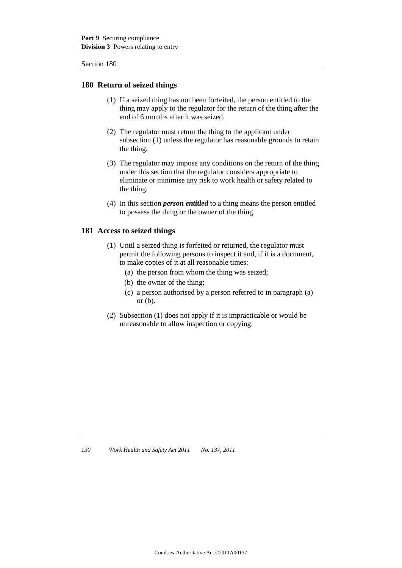### **180 Return of seized things**

- (1) If a seized thing has not been forfeited, the person entitled to the thing may apply to the regulator for the return of the thing after the end of 6 months after it was seized.
- (2) The regulator must return the thing to the applicant under subsection (1) unless the regulator has reasonable grounds to retain the thing.
- (3) The regulator may impose any conditions on the return of the thing under this section that the regulator considers appropriate to eliminate or minimise any risk to work health or safety related to the thing.
- (4) In this section *person entitled* to a thing means the person entitled to possess the thing or the owner of the thing.

### **181 Access to seized things**

- (1) Until a seized thing is forfeited or returned, the regulator must permit the following persons to inspect it and, if it is a document, to make copies of it at all reasonable times:
	- (a) the person from whom the thing was seized;
	- (b) the owner of the thing;
	- (c) a person authorised by a person referred to in paragraph (a) or  $(b)$ .
- (2) Subsection (1) does not apply if it is impracticable or would be unreasonable to allow inspection or copying.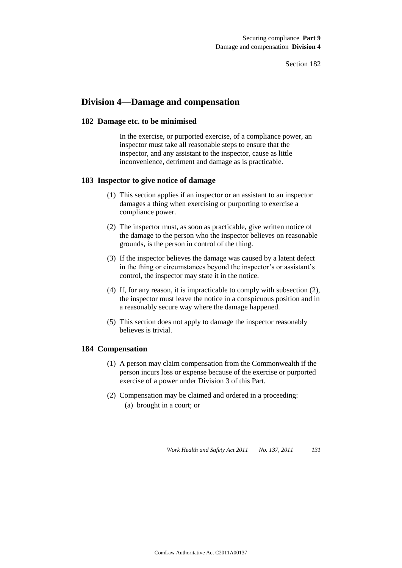# **Division 4—Damage and compensation**

#### **182 Damage etc. to be minimised**

In the exercise, or purported exercise, of a compliance power, an inspector must take all reasonable steps to ensure that the inspector, and any assistant to the inspector, cause as little inconvenience, detriment and damage as is practicable.

#### **183 Inspector to give notice of damage**

- (1) This section applies if an inspector or an assistant to an inspector damages a thing when exercising or purporting to exercise a compliance power.
- (2) The inspector must, as soon as practicable, give written notice of the damage to the person who the inspector believes on reasonable grounds, is the person in control of the thing.
- (3) If the inspector believes the damage was caused by a latent defect in the thing or circumstances beyond the inspector's or assistant's control, the inspector may state it in the notice.
- (4) If, for any reason, it is impracticable to comply with subsection (2), the inspector must leave the notice in a conspicuous position and in a reasonably secure way where the damage happened.
- (5) This section does not apply to damage the inspector reasonably believes is trivial.

#### **184 Compensation**

- (1) A person may claim compensation from the Commonwealth if the person incurs loss or expense because of the exercise or purported exercise of a power under Division 3 of this Part.
- (2) Compensation may be claimed and ordered in a proceeding: (a) brought in a court; or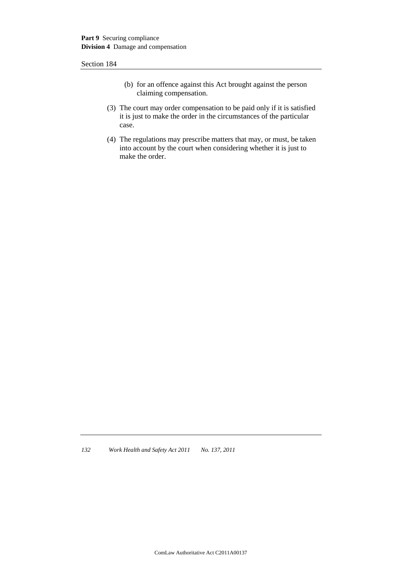- (b) for an offence against this Act brought against the person claiming compensation.
- (3) The court may order compensation to be paid only if it is satisfied it is just to make the order in the circumstances of the particular case.
- (4) The regulations may prescribe matters that may, or must, be taken into account by the court when considering whether it is just to make the order.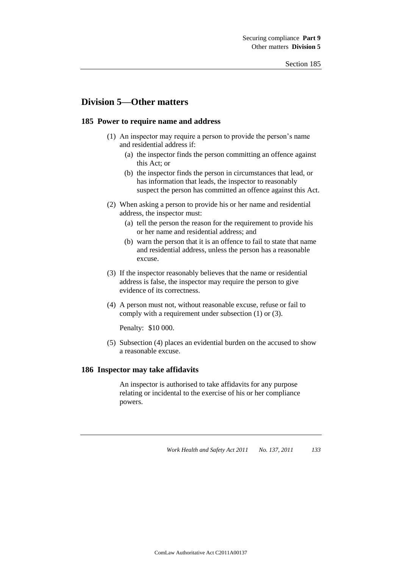# **Division 5—Other matters**

#### **185 Power to require name and address**

- (1) An inspector may require a person to provide the person's name and residential address if:
	- (a) the inspector finds the person committing an offence against this Act; or
	- (b) the inspector finds the person in circumstances that lead, or has information that leads, the inspector to reasonably suspect the person has committed an offence against this Act.
- (2) When asking a person to provide his or her name and residential address, the inspector must:
	- (a) tell the person the reason for the requirement to provide his or her name and residential address; and
	- (b) warn the person that it is an offence to fail to state that name and residential address, unless the person has a reasonable excuse.
- (3) If the inspector reasonably believes that the name or residential address is false, the inspector may require the person to give evidence of its correctness.
- (4) A person must not, without reasonable excuse, refuse or fail to comply with a requirement under subsection (1) or (3).

Penalty: \$10 000.

(5) Subsection (4) places an evidential burden on the accused to show a reasonable excuse.

#### **186 Inspector may take affidavits**

An inspector is authorised to take affidavits for any purpose relating or incidental to the exercise of his or her compliance powers.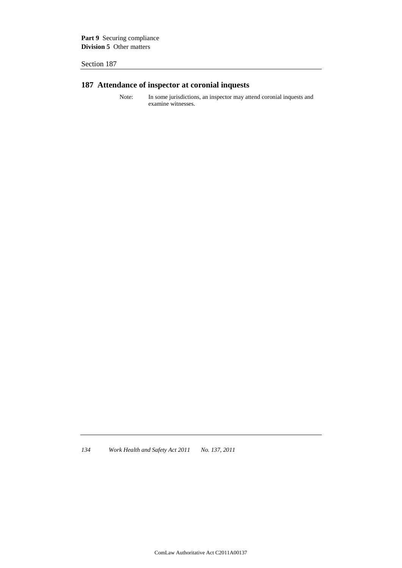Part 9 Securing compliance **Division 5** Other matters

Section 187

# **187 Attendance of inspector at coronial inquests**

Note: In some jurisdictions, an inspector may attend coronial inquests and examine witnesses.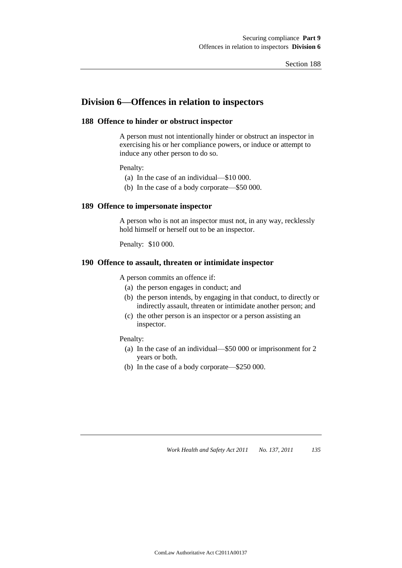# **Division 6—Offences in relation to inspectors**

#### **188 Offence to hinder or obstruct inspector**

A person must not intentionally hinder or obstruct an inspector in exercising his or her compliance powers, or induce or attempt to induce any other person to do so.

Penalty:

- (a) In the case of an individual—\$10 000.
- (b) In the case of a body corporate—\$50 000.

#### **189 Offence to impersonate inspector**

A person who is not an inspector must not, in any way, recklessly hold himself or herself out to be an inspector.

Penalty: \$10 000.

### **190 Offence to assault, threaten or intimidate inspector**

A person commits an offence if:

- (a) the person engages in conduct; and
- (b) the person intends, by engaging in that conduct, to directly or indirectly assault, threaten or intimidate another person; and
- (c) the other person is an inspector or a person assisting an inspector.

#### Penalty:

- (a) In the case of an individual—\$50 000 or imprisonment for 2 years or both.
- (b) In the case of a body corporate—\$250 000.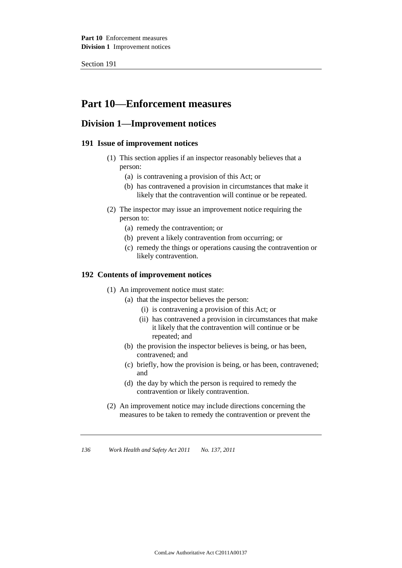# **Part 10—Enforcement measures**

# **Division 1—Improvement notices**

# **191 Issue of improvement notices**

- (1) This section applies if an inspector reasonably believes that a person:
	- (a) is contravening a provision of this Act; or
	- (b) has contravened a provision in circumstances that make it likely that the contravention will continue or be repeated.
- (2) The inspector may issue an improvement notice requiring the person to:
	- (a) remedy the contravention; or
	- (b) prevent a likely contravention from occurring; or
	- (c) remedy the things or operations causing the contravention or likely contravention.

### **192 Contents of improvement notices**

- (1) An improvement notice must state:
	- (a) that the inspector believes the person:
		- (i) is contravening a provision of this Act; or
		- (ii) has contravened a provision in circumstances that make it likely that the contravention will continue or be repeated; and
	- (b) the provision the inspector believes is being, or has been, contravened; and
	- (c) briefly, how the provision is being, or has been, contravened; and
	- (d) the day by which the person is required to remedy the contravention or likely contravention.
- (2) An improvement notice may include directions concerning the measures to be taken to remedy the contravention or prevent the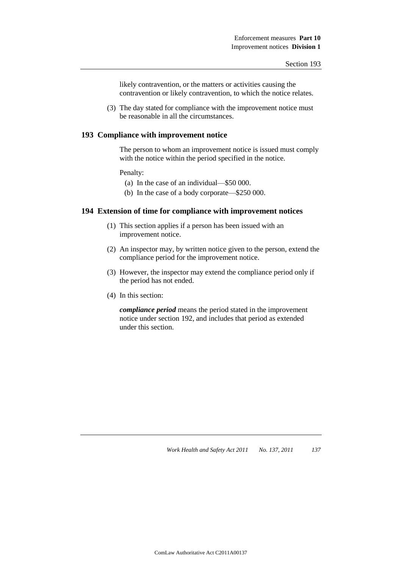likely contravention, or the matters or activities causing the contravention or likely contravention, to which the notice relates.

(3) The day stated for compliance with the improvement notice must be reasonable in all the circumstances.

#### **193 Compliance with improvement notice**

The person to whom an improvement notice is issued must comply with the notice within the period specified in the notice.

#### Penalty:

- (a) In the case of an individual—\$50 000.
- (b) In the case of a body corporate—\$250 000.

# **194 Extension of time for compliance with improvement notices**

- (1) This section applies if a person has been issued with an improvement notice.
- (2) An inspector may, by written notice given to the person, extend the compliance period for the improvement notice.
- (3) However, the inspector may extend the compliance period only if the period has not ended.
- (4) In this section:

*compliance period* means the period stated in the improvement notice under section 192, and includes that period as extended under this section.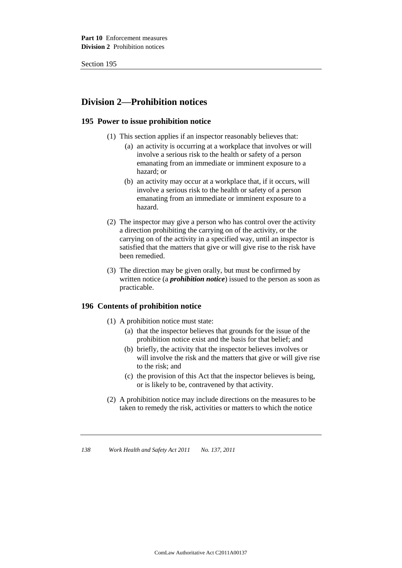# **Division 2—Prohibition notices**

## **195 Power to issue prohibition notice**

- (1) This section applies if an inspector reasonably believes that:
	- (a) an activity is occurring at a workplace that involves or will involve a serious risk to the health or safety of a person emanating from an immediate or imminent exposure to a hazard; or
	- (b) an activity may occur at a workplace that, if it occurs, will involve a serious risk to the health or safety of a person emanating from an immediate or imminent exposure to a hazard.
- (2) The inspector may give a person who has control over the activity a direction prohibiting the carrying on of the activity, or the carrying on of the activity in a specified way, until an inspector is satisfied that the matters that give or will give rise to the risk have been remedied.
- (3) The direction may be given orally, but must be confirmed by written notice (a *prohibition notice*) issued to the person as soon as practicable.

# **196 Contents of prohibition notice**

- (1) A prohibition notice must state:
	- (a) that the inspector believes that grounds for the issue of the prohibition notice exist and the basis for that belief; and
	- (b) briefly, the activity that the inspector believes involves or will involve the risk and the matters that give or will give rise to the risk; and
	- (c) the provision of this Act that the inspector believes is being, or is likely to be, contravened by that activity.
- (2) A prohibition notice may include directions on the measures to be taken to remedy the risk, activities or matters to which the notice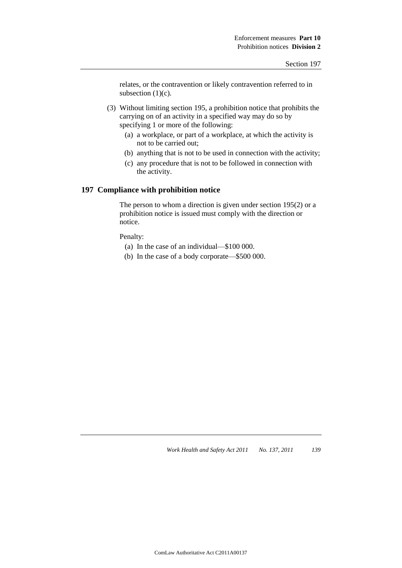relates, or the contravention or likely contravention referred to in subsection  $(1)(c)$ .

- (3) Without limiting section 195, a prohibition notice that prohibits the carrying on of an activity in a specified way may do so by specifying 1 or more of the following:
	- (a) a workplace, or part of a workplace, at which the activity is not to be carried out;
	- (b) anything that is not to be used in connection with the activity;
	- (c) any procedure that is not to be followed in connection with the activity.

## **197 Compliance with prohibition notice**

The person to whom a direction is given under section 195(2) or a prohibition notice is issued must comply with the direction or notice.

Penalty:

- (a) In the case of an individual—\$100 000.
- (b) In the case of a body corporate—\$500 000.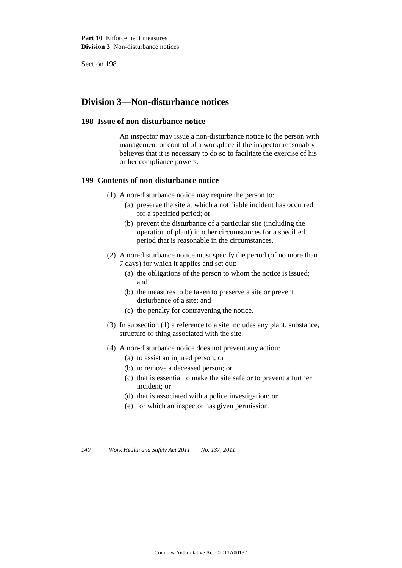# **Division 3—Non-disturbance notices**

#### **198 Issue of non-disturbance notice**

An inspector may issue a non-disturbance notice to the person with management or control of a workplace if the inspector reasonably believes that it is necessary to do so to facilitate the exercise of his or her compliance powers.

#### **199 Contents of non-disturbance notice**

- (1) A non-disturbance notice may require the person to:
	- (a) preserve the site at which a notifiable incident has occurred for a specified period; or
	- (b) prevent the disturbance of a particular site (including the operation of plant) in other circumstances for a specified period that is reasonable in the circumstances.
- (2) A non-disturbance notice must specify the period (of no more than 7 days) for which it applies and set out:
	- (a) the obligations of the person to whom the notice is issued; and
	- (b) the measures to be taken to preserve a site or prevent disturbance of a site; and
	- (c) the penalty for contravening the notice.
- (3) In subsection (1) a reference to a site includes any plant, substance, structure or thing associated with the site.
- (4) A non-disturbance notice does not prevent any action:
	- (a) to assist an injured person; or
	- (b) to remove a deceased person; or
	- (c) that is essential to make the site safe or to prevent a further incident; or
	- (d) that is associated with a police investigation; or
	- (e) for which an inspector has given permission.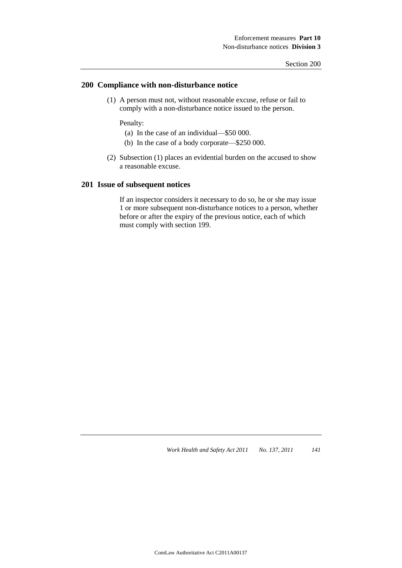#### **200 Compliance with non-disturbance notice**

(1) A person must not, without reasonable excuse, refuse or fail to comply with a non-disturbance notice issued to the person.

Penalty:

- (a) In the case of an individual—\$50 000.
- (b) In the case of a body corporate—\$250 000.
- (2) Subsection (1) places an evidential burden on the accused to show a reasonable excuse.

#### **201 Issue of subsequent notices**

If an inspector considers it necessary to do so, he or she may issue 1 or more subsequent non-disturbance notices to a person, whether before or after the expiry of the previous notice, each of which must comply with section 199.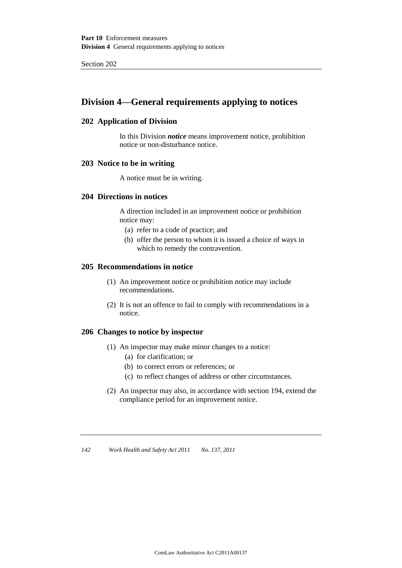# **Division 4—General requirements applying to notices**

# **202 Application of Division**

In this Division *notice* means improvement notice, prohibition notice or non-disturbance notice.

#### **203 Notice to be in writing**

A notice must be in writing.

### **204 Directions in notices**

A direction included in an improvement notice or prohibition notice may:

- (a) refer to a code of practice; and
- (b) offer the person to whom it is issued a choice of ways in which to remedy the contravention.

### **205 Recommendations in notice**

- (1) An improvement notice or prohibition notice may include recommendations.
- (2) It is not an offence to fail to comply with recommendations in a notice.

#### **206 Changes to notice by inspector**

- (1) An inspector may make minor changes to a notice:
	- (a) for clarification; or
	- (b) to correct errors or references; or
	- (c) to reflect changes of address or other circumstances.
- (2) An inspector may also, in accordance with section 194, extend the compliance period for an improvement notice.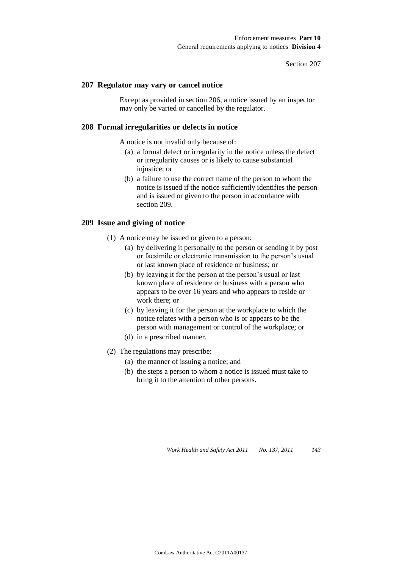#### **207 Regulator may vary or cancel notice**

Except as provided in section 206, a notice issued by an inspector may only be varied or cancelled by the regulator.

### **208 Formal irregularities or defects in notice**

A notice is not invalid only because of:

- (a) a formal defect or irregularity in the notice unless the defect or irregularity causes or is likely to cause substantial injustice; or
- (b) a failure to use the correct name of the person to whom the notice is issued if the notice sufficiently identifies the person and is issued or given to the person in accordance with section 209.

#### **209 Issue and giving of notice**

- (1) A notice may be issued or given to a person:
	- (a) by delivering it personally to the person or sending it by post or facsimile or electronic transmission to the person's usual or last known place of residence or business; or
	- (b) by leaving it for the person at the person's usual or last known place of residence or business with a person who appears to be over 16 years and who appears to reside or work there; or
	- (c) by leaving it for the person at the workplace to which the notice relates with a person who is or appears to be the person with management or control of the workplace; or
	- (d) in a prescribed manner.
- (2) The regulations may prescribe:
	- (a) the manner of issuing a notice; and
	- (b) the steps a person to whom a notice is issued must take to bring it to the attention of other persons.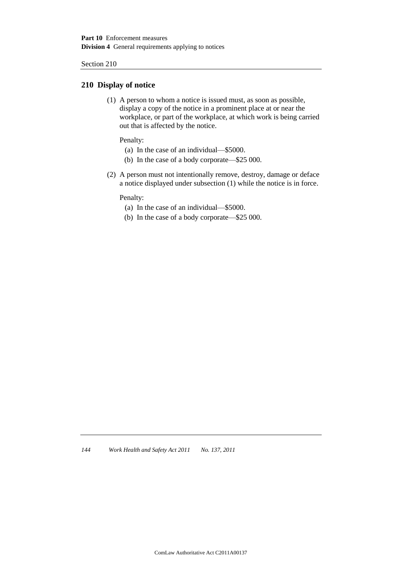### **210 Display of notice**

(1) A person to whom a notice is issued must, as soon as possible, display a copy of the notice in a prominent place at or near the workplace, or part of the workplace, at which work is being carried out that is affected by the notice.

Penalty:

- (a) In the case of an individual—\$5000.
- (b) In the case of a body corporate—\$25 000.
- (2) A person must not intentionally remove, destroy, damage or deface a notice displayed under subsection (1) while the notice is in force.

Penalty:

- (a) In the case of an individual—\$5000.
- (b) In the case of a body corporate—\$25 000.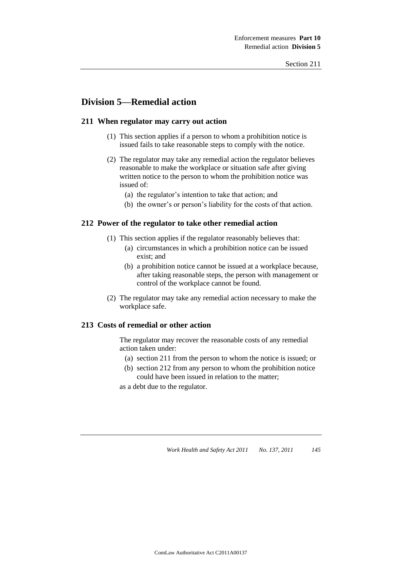# **Division 5—Remedial action**

### **211 When regulator may carry out action**

- (1) This section applies if a person to whom a prohibition notice is issued fails to take reasonable steps to comply with the notice.
- (2) The regulator may take any remedial action the regulator believes reasonable to make the workplace or situation safe after giving written notice to the person to whom the prohibition notice was issued of:
	- (a) the regulator's intention to take that action; and
	- (b) the owner's or person's liability for the costs of that action.

#### **212 Power of the regulator to take other remedial action**

- (1) This section applies if the regulator reasonably believes that:
	- (a) circumstances in which a prohibition notice can be issued exist; and
	- (b) a prohibition notice cannot be issued at a workplace because, after taking reasonable steps, the person with management or control of the workplace cannot be found.
- (2) The regulator may take any remedial action necessary to make the workplace safe.

### **213 Costs of remedial or other action**

The regulator may recover the reasonable costs of any remedial action taken under:

- (a) section 211 from the person to whom the notice is issued; or
- (b) section 212 from any person to whom the prohibition notice could have been issued in relation to the matter;

as a debt due to the regulator.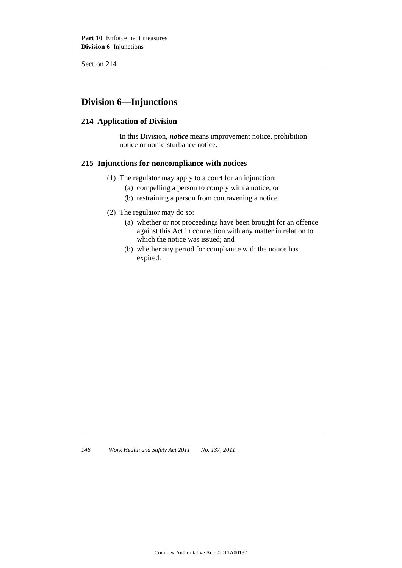# **Division 6—Injunctions**

## **214 Application of Division**

In this Division, *notice* means improvement notice, prohibition notice or non-disturbance notice.

#### **215 Injunctions for noncompliance with notices**

- (1) The regulator may apply to a court for an injunction:
	- (a) compelling a person to comply with a notice; or
	- (b) restraining a person from contravening a notice.
- (2) The regulator may do so:
	- (a) whether or not proceedings have been brought for an offence against this Act in connection with any matter in relation to which the notice was issued; and
	- (b) whether any period for compliance with the notice has expired.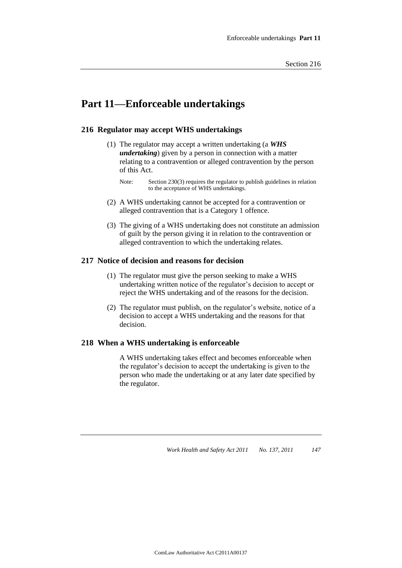# **Part 11—Enforceable undertakings**

### **216 Regulator may accept WHS undertakings**

- (1) The regulator may accept a written undertaking (a *WHS undertaking*) given by a person in connection with a matter relating to a contravention or alleged contravention by the person of this Act.
	- Note: Section 230(3) requires the regulator to publish guidelines in relation to the acceptance of WHS undertakings.
- (2) A WHS undertaking cannot be accepted for a contravention or alleged contravention that is a Category 1 offence.
- (3) The giving of a WHS undertaking does not constitute an admission of guilt by the person giving it in relation to the contravention or alleged contravention to which the undertaking relates.

#### **217 Notice of decision and reasons for decision**

- (1) The regulator must give the person seeking to make a WHS undertaking written notice of the regulator's decision to accept or reject the WHS undertaking and of the reasons for the decision.
- (2) The regulator must publish, on the regulator's website, notice of a decision to accept a WHS undertaking and the reasons for that decision.

#### **218 When a WHS undertaking is enforceable**

A WHS undertaking takes effect and becomes enforceable when the regulator's decision to accept the undertaking is given to the person who made the undertaking or at any later date specified by the regulator.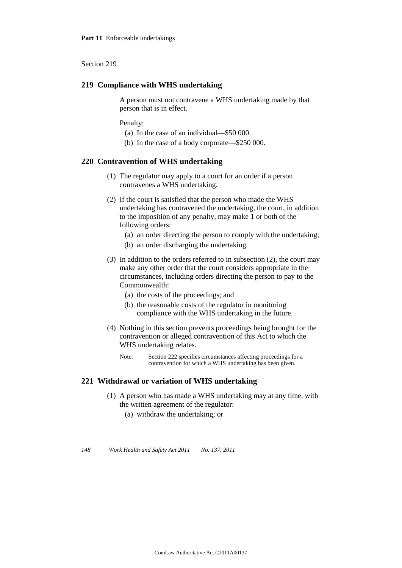#### **219 Compliance with WHS undertaking**

A person must not contravene a WHS undertaking made by that person that is in effect.

Penalty:

- (a) In the case of an individual—\$50 000.
- (b) In the case of a body corporate—\$250 000.

#### **220 Contravention of WHS undertaking**

- (1) The regulator may apply to a court for an order if a person contravenes a WHS undertaking.
- (2) If the court is satisfied that the person who made the WHS undertaking has contravened the undertaking, the court, in addition to the imposition of any penalty, may make 1 or both of the following orders:
	- (a) an order directing the person to comply with the undertaking;
	- (b) an order discharging the undertaking.
- (3) In addition to the orders referred to in subsection (2), the court may make any other order that the court considers appropriate in the circumstances, including orders directing the person to pay to the Commonwealth:
	- (a) the costs of the proceedings; and
	- (b) the reasonable costs of the regulator in monitoring compliance with the WHS undertaking in the future.
- (4) Nothing in this section prevents proceedings being brought for the contravention or alleged contravention of this Act to which the WHS undertaking relates.
	- Note: Section 222 specifies circumstances affecting proceedings for a contravention for which a WHS undertaking has been given.

## **221 Withdrawal or variation of WHS undertaking**

- (1) A person who has made a WHS undertaking may at any time, with the written agreement of the regulator:
	- (a) withdraw the undertaking; or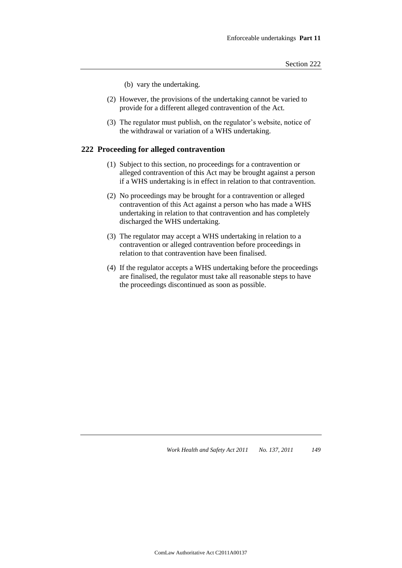- (b) vary the undertaking.
- (2) However, the provisions of the undertaking cannot be varied to provide for a different alleged contravention of the Act.
- (3) The regulator must publish, on the regulator's website, notice of the withdrawal or variation of a WHS undertaking.

#### **222 Proceeding for alleged contravention**

- (1) Subject to this section, no proceedings for a contravention or alleged contravention of this Act may be brought against a person if a WHS undertaking is in effect in relation to that contravention.
- (2) No proceedings may be brought for a contravention or alleged contravention of this Act against a person who has made a WHS undertaking in relation to that contravention and has completely discharged the WHS undertaking.
- (3) The regulator may accept a WHS undertaking in relation to a contravention or alleged contravention before proceedings in relation to that contravention have been finalised.
- (4) If the regulator accepts a WHS undertaking before the proceedings are finalised, the regulator must take all reasonable steps to have the proceedings discontinued as soon as possible.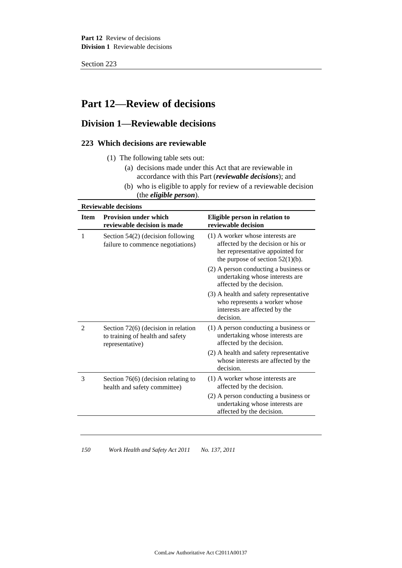# **Part 12—Review of decisions**

# **Division 1—Reviewable decisions**

# **223 Which decisions are reviewable**

- (1) The following table sets out:
	- (a) decisions made under this Act that are reviewable in accordance with this Part (*reviewable decisions*); and
	- (b) who is eligible to apply for review of a reviewable decision (the *eligible person*).

| <b>Item</b> | <b>Provision under which</b><br>reviewable decision is made                                | Eligible person in relation to<br>reviewable decision                                                                                             |
|-------------|--------------------------------------------------------------------------------------------|---------------------------------------------------------------------------------------------------------------------------------------------------|
| 1           | Section 54(2) (decision following<br>failure to commence negotiations)                     | (1) A worker whose interests are<br>affected by the decision or his or<br>her representative appointed for<br>the purpose of section $52(1)(b)$ . |
|             |                                                                                            | (2) A person conducting a business or<br>undertaking whose interests are<br>affected by the decision.                                             |
|             |                                                                                            | (3) A health and safety representative<br>who represents a worker whose<br>interests are affected by the<br>decision.                             |
| 2           | Section 72(6) (decision in relation<br>to training of health and safety<br>representative) | $(1)$ A person conducting a business or<br>undertaking whose interests are<br>affected by the decision.                                           |
|             |                                                                                            | (2) A health and safety representative<br>whose interests are affected by the<br>decision.                                                        |
| 3           | Section 76(6) (decision relating to<br>health and safety committee)                        | $(1)$ A worker whose interests are<br>affected by the decision.                                                                                   |
|             |                                                                                            | (2) A person conducting a business or<br>undertaking whose interests are<br>affected by the decision.                                             |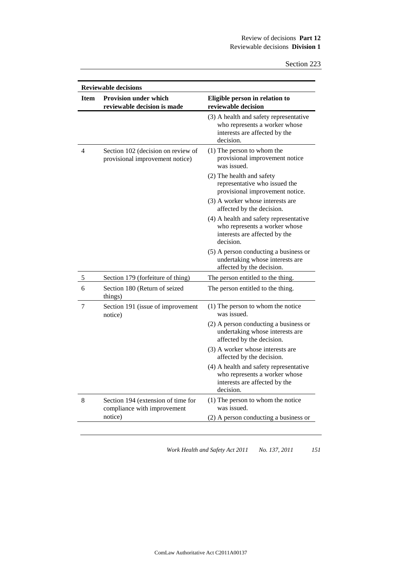|             | <b>Reviewable decisions</b>                                           |                                                                                                                       |  |
|-------------|-----------------------------------------------------------------------|-----------------------------------------------------------------------------------------------------------------------|--|
| <b>Item</b> | <b>Provision under which</b><br>reviewable decision is made           | Eligible person in relation to<br>reviewable decision                                                                 |  |
|             |                                                                       | (3) A health and safety representative<br>who represents a worker whose<br>interests are affected by the<br>decision. |  |
| 4           | Section 102 (decision on review of<br>provisional improvement notice) | $(1)$ The person to whom the<br>provisional improvement notice<br>was issued.                                         |  |
|             |                                                                       | (2) The health and safety<br>representative who issued the<br>provisional improvement notice.                         |  |
|             |                                                                       | (3) A worker whose interests are<br>affected by the decision.                                                         |  |
|             |                                                                       | (4) A health and safety representative<br>who represents a worker whose<br>interests are affected by the<br>decision. |  |
|             |                                                                       | (5) A person conducting a business or<br>undertaking whose interests are<br>affected by the decision.                 |  |
| 5           | Section 179 (forfeiture of thing)                                     | The person entitled to the thing.                                                                                     |  |
| 6           | Section 180 (Return of seized<br>things)                              | The person entitled to the thing.                                                                                     |  |
| 7           | Section 191 (issue of improvement<br>notice)                          | $(1)$ The person to whom the notice<br>was issued.                                                                    |  |
|             |                                                                       | (2) A person conducting a business or<br>undertaking whose interests are<br>affected by the decision.                 |  |
|             |                                                                       | (3) A worker whose interests are<br>affected by the decision.                                                         |  |
|             |                                                                       | (4) A health and safety representative<br>who represents a worker whose<br>interests are affected by the<br>decision. |  |
| 8           | Section 194 (extension of time for<br>compliance with improvement     | $(1)$ The person to whom the notice<br>was issued.                                                                    |  |
|             | notice)                                                               | (2) A person conducting a business or                                                                                 |  |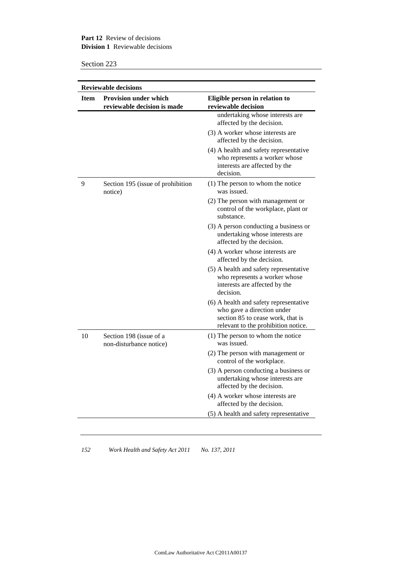### **Part 12** Review of decisions **Division 1** Reviewable decisions

Section 223

| <b>Item</b> | <b>Reviewable decisions</b><br><b>Provision under which</b> | Eligible person in relation to                                                                                                                   |
|-------------|-------------------------------------------------------------|--------------------------------------------------------------------------------------------------------------------------------------------------|
|             | reviewable decision is made                                 | reviewable decision                                                                                                                              |
|             |                                                             | undertaking whose interests are<br>affected by the decision.                                                                                     |
|             |                                                             | (3) A worker whose interests are<br>affected by the decision.                                                                                    |
|             |                                                             | (4) A health and safety representative<br>who represents a worker whose<br>interests are affected by the<br>decision.                            |
| 9           | Section 195 (issue of prohibition<br>notice)                | $(1)$ The person to whom the notice<br>was issued.                                                                                               |
|             |                                                             | (2) The person with management or<br>control of the workplace, plant or<br>substance.                                                            |
|             |                                                             | (3) A person conducting a business or<br>undertaking whose interests are<br>affected by the decision.                                            |
|             |                                                             | (4) A worker whose interests are<br>affected by the decision.                                                                                    |
|             |                                                             | (5) A health and safety representative<br>who represents a worker whose<br>interests are affected by the<br>decision.                            |
|             |                                                             | (6) A health and safety representative<br>who gave a direction under<br>section 85 to cease work, that is<br>relevant to the prohibition notice. |
| 10          | Section 198 (issue of a<br>non-disturbance notice)          | $(1)$ The person to whom the notice<br>was issued.                                                                                               |
|             |                                                             | (2) The person with management or<br>control of the workplace.                                                                                   |
|             |                                                             | (3) A person conducting a business or<br>undertaking whose interests are<br>affected by the decision.                                            |
|             |                                                             | (4) A worker whose interests are<br>affected by the decision.                                                                                    |
|             |                                                             | (5) A health and safety representative                                                                                                           |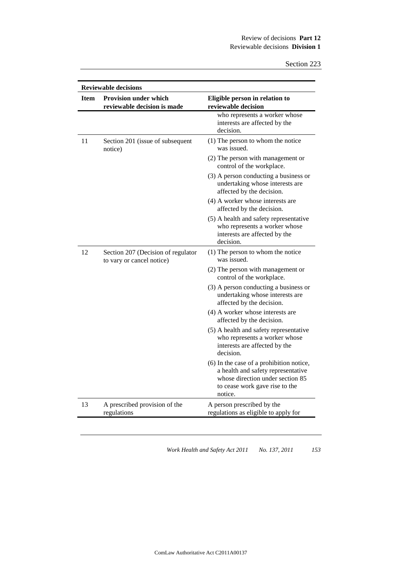| <b>Reviewable decisions</b> |                                                                 |                                                                                                                                                                 |
|-----------------------------|-----------------------------------------------------------------|-----------------------------------------------------------------------------------------------------------------------------------------------------------------|
| <b>Item</b>                 | <b>Provision under which</b><br>reviewable decision is made     | Eligible person in relation to<br>reviewable decision                                                                                                           |
|                             |                                                                 | who represents a worker whose<br>interests are affected by the<br>decision.                                                                                     |
| 11                          | Section 201 (issue of subsequent<br>notice)                     | (1) The person to whom the notice<br>was issued.                                                                                                                |
|                             |                                                                 | (2) The person with management or<br>control of the workplace.                                                                                                  |
|                             |                                                                 | (3) A person conducting a business or<br>undertaking whose interests are<br>affected by the decision.                                                           |
|                             |                                                                 | (4) A worker whose interests are<br>affected by the decision.                                                                                                   |
|                             |                                                                 | (5) A health and safety representative<br>who represents a worker whose<br>interests are affected by the<br>decision.                                           |
| 12                          | Section 207 (Decision of regulator<br>to vary or cancel notice) | (1) The person to whom the notice<br>was issued.                                                                                                                |
|                             |                                                                 | (2) The person with management or<br>control of the workplace.                                                                                                  |
|                             |                                                                 | (3) A person conducting a business or<br>undertaking whose interests are<br>affected by the decision.                                                           |
|                             |                                                                 | (4) A worker whose interests are<br>affected by the decision.                                                                                                   |
|                             |                                                                 | (5) A health and safety representative<br>who represents a worker whose<br>interests are affected by the<br>decision.                                           |
|                             |                                                                 | (6) In the case of a prohibition notice,<br>a health and safety representative<br>whose direction under section 85<br>to cease work gave rise to the<br>notice. |
| 13                          | A prescribed provision of the<br>regulations                    | A person prescribed by the<br>regulations as eligible to apply for                                                                                              |
|                             |                                                                 |                                                                                                                                                                 |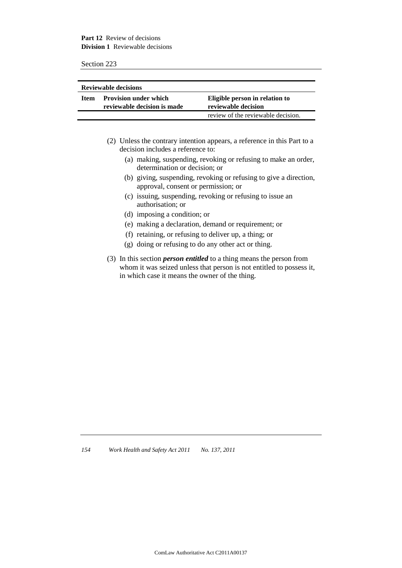**Part 12** Review of decisions **Division 1** Reviewable decisions

Section 223

| <b>Reviewable decisions</b> |                                                             |                                                       |
|-----------------------------|-------------------------------------------------------------|-------------------------------------------------------|
| Item                        | <b>Provision under which</b><br>reviewable decision is made | Eligible person in relation to<br>reviewable decision |
|                             |                                                             | review of the reviewable decision.                    |

- (2) Unless the contrary intention appears, a reference in this Part to a decision includes a reference to:
	- (a) making, suspending, revoking or refusing to make an order, determination or decision; or
	- (b) giving, suspending, revoking or refusing to give a direction, approval, consent or permission; or
	- (c) issuing, suspending, revoking or refusing to issue an authorisation; or
	- (d) imposing a condition; or
	- (e) making a declaration, demand or requirement; or
	- (f) retaining, or refusing to deliver up, a thing; or
	- (g) doing or refusing to do any other act or thing.
- (3) In this section *person entitled* to a thing means the person from whom it was seized unless that person is not entitled to possess it, in which case it means the owner of the thing.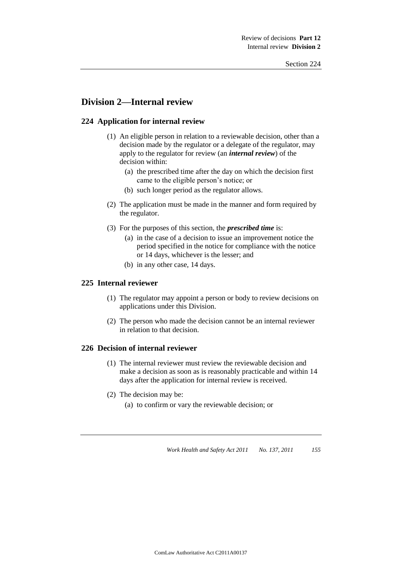# **Division 2—Internal review**

## **224 Application for internal review**

- (1) An eligible person in relation to a reviewable decision, other than a decision made by the regulator or a delegate of the regulator, may apply to the regulator for review (an *internal review*) of the decision within:
	- (a) the prescribed time after the day on which the decision first came to the eligible person's notice; or
	- (b) such longer period as the regulator allows.
- (2) The application must be made in the manner and form required by the regulator.
- (3) For the purposes of this section, the *prescribed time* is:
	- (a) in the case of a decision to issue an improvement notice the period specified in the notice for compliance with the notice or 14 days, whichever is the lesser; and
	- (b) in any other case, 14 days.

### **225 Internal reviewer**

- (1) The regulator may appoint a person or body to review decisions on applications under this Division.
- (2) The person who made the decision cannot be an internal reviewer in relation to that decision.

#### **226 Decision of internal reviewer**

- (1) The internal reviewer must review the reviewable decision and make a decision as soon as is reasonably practicable and within 14 days after the application for internal review is received.
- (2) The decision may be:
	- (a) to confirm or vary the reviewable decision; or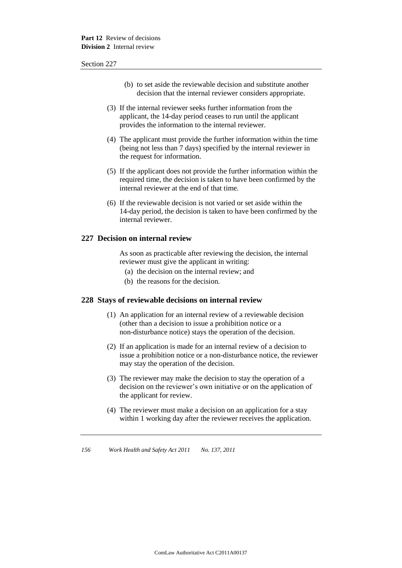- (b) to set aside the reviewable decision and substitute another decision that the internal reviewer considers appropriate.
- (3) If the internal reviewer seeks further information from the applicant, the 14-day period ceases to run until the applicant provides the information to the internal reviewer.
- (4) The applicant must provide the further information within the time (being not less than 7 days) specified by the internal reviewer in the request for information.
- (5) If the applicant does not provide the further information within the required time, the decision is taken to have been confirmed by the internal reviewer at the end of that time.
- (6) If the reviewable decision is not varied or set aside within the 14-day period, the decision is taken to have been confirmed by the internal reviewer.

#### **227 Decision on internal review**

As soon as practicable after reviewing the decision, the internal reviewer must give the applicant in writing:

- (a) the decision on the internal review; and
- (b) the reasons for the decision.

#### **228 Stays of reviewable decisions on internal review**

- (1) An application for an internal review of a reviewable decision (other than a decision to issue a prohibition notice or a non-disturbance notice) stays the operation of the decision.
- (2) If an application is made for an internal review of a decision to issue a prohibition notice or a non-disturbance notice, the reviewer may stay the operation of the decision.
- (3) The reviewer may make the decision to stay the operation of a decision on the reviewer's own initiative or on the application of the applicant for review.
- (4) The reviewer must make a decision on an application for a stay within 1 working day after the reviewer receives the application.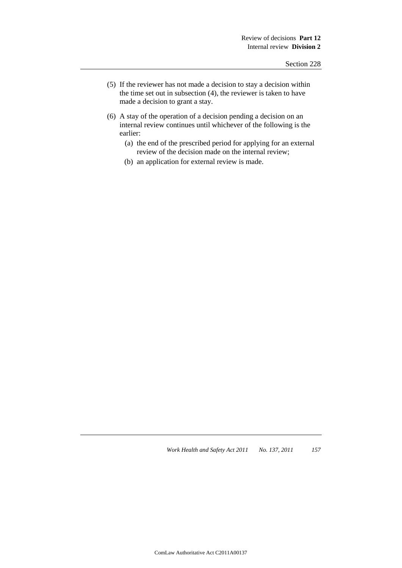- (5) If the reviewer has not made a decision to stay a decision within the time set out in subsection (4), the reviewer is taken to have made a decision to grant a stay.
- (6) A stay of the operation of a decision pending a decision on an internal review continues until whichever of the following is the earlier:
	- (a) the end of the prescribed period for applying for an external review of the decision made on the internal review;
	- (b) an application for external review is made.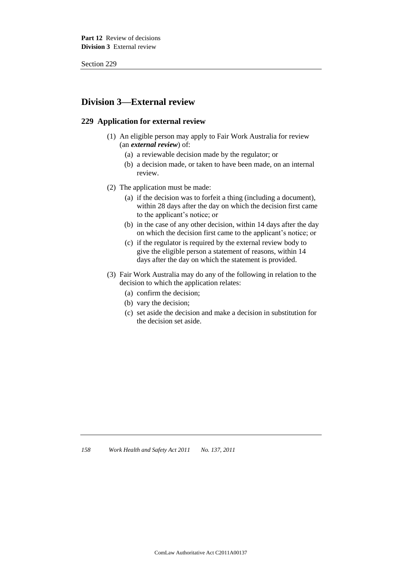# **Division 3—External review**

### **229 Application for external review**

- (1) An eligible person may apply to Fair Work Australia for review (an *external review*) of:
	- (a) a reviewable decision made by the regulator; or
	- (b) a decision made, or taken to have been made, on an internal review.
- (2) The application must be made:
	- (a) if the decision was to forfeit a thing (including a document), within 28 days after the day on which the decision first came to the applicant's notice; or
	- (b) in the case of any other decision, within 14 days after the day on which the decision first came to the applicant's notice; or
	- (c) if the regulator is required by the external review body to give the eligible person a statement of reasons, within 14 days after the day on which the statement is provided.
- (3) Fair Work Australia may do any of the following in relation to the decision to which the application relates:
	- (a) confirm the decision;
	- (b) vary the decision;
	- (c) set aside the decision and make a decision in substitution for the decision set aside.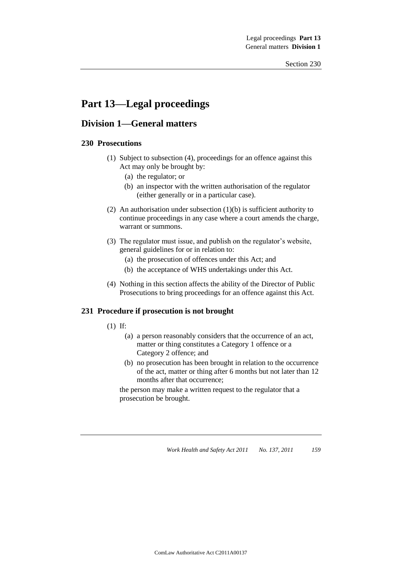# **Part 13—Legal proceedings**

# **Division 1—General matters**

## **230 Prosecutions**

- (1) Subject to subsection (4), proceedings for an offence against this Act may only be brought by:
	- (a) the regulator; or
	- (b) an inspector with the written authorisation of the regulator (either generally or in a particular case).
- (2) An authorisation under subsection (1)(b) is sufficient authority to continue proceedings in any case where a court amends the charge, warrant or summons.
- (3) The regulator must issue, and publish on the regulator's website, general guidelines for or in relation to:
	- (a) the prosecution of offences under this Act; and
	- (b) the acceptance of WHS undertakings under this Act.
- (4) Nothing in this section affects the ability of the Director of Public Prosecutions to bring proceedings for an offence against this Act.

# **231 Procedure if prosecution is not brought**

- (1) If:
	- (a) a person reasonably considers that the occurrence of an act, matter or thing constitutes a Category 1 offence or a Category 2 offence; and
	- (b) no prosecution has been brought in relation to the occurrence of the act, matter or thing after 6 months but not later than 12 months after that occurrence;

the person may make a written request to the regulator that a prosecution be brought.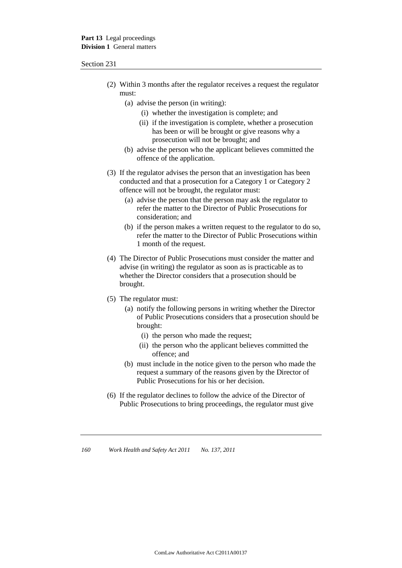- (2) Within 3 months after the regulator receives a request the regulator must:
	- (a) advise the person (in writing):
		- (i) whether the investigation is complete; and
		- (ii) if the investigation is complete, whether a prosecution has been or will be brought or give reasons why a prosecution will not be brought; and
	- (b) advise the person who the applicant believes committed the offence of the application.
- (3) If the regulator advises the person that an investigation has been conducted and that a prosecution for a Category 1 or Category 2 offence will not be brought, the regulator must:
	- (a) advise the person that the person may ask the regulator to refer the matter to the Director of Public Prosecutions for consideration; and
	- (b) if the person makes a written request to the regulator to do so, refer the matter to the Director of Public Prosecutions within 1 month of the request.
- (4) The Director of Public Prosecutions must consider the matter and advise (in writing) the regulator as soon as is practicable as to whether the Director considers that a prosecution should be brought.
- (5) The regulator must:
	- (a) notify the following persons in writing whether the Director of Public Prosecutions considers that a prosecution should be brought:
		- (i) the person who made the request;
		- (ii) the person who the applicant believes committed the offence; and
	- (b) must include in the notice given to the person who made the request a summary of the reasons given by the Director of Public Prosecutions for his or her decision.
- (6) If the regulator declines to follow the advice of the Director of Public Prosecutions to bring proceedings, the regulator must give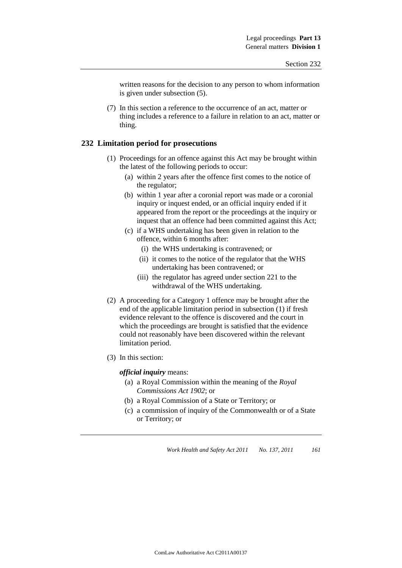written reasons for the decision to any person to whom information is given under subsection (5).

(7) In this section a reference to the occurrence of an act, matter or thing includes a reference to a failure in relation to an act, matter or thing.

#### **232 Limitation period for prosecutions**

- (1) Proceedings for an offence against this Act may be brought within the latest of the following periods to occur:
	- (a) within 2 years after the offence first comes to the notice of the regulator;
	- (b) within 1 year after a coronial report was made or a coronial inquiry or inquest ended, or an official inquiry ended if it appeared from the report or the proceedings at the inquiry or inquest that an offence had been committed against this Act;
	- (c) if a WHS undertaking has been given in relation to the offence, within 6 months after:
		- (i) the WHS undertaking is contravened; or
		- (ii) it comes to the notice of the regulator that the WHS undertaking has been contravened; or
		- (iii) the regulator has agreed under section 221 to the withdrawal of the WHS undertaking.
- (2) A proceeding for a Category 1 offence may be brought after the end of the applicable limitation period in subsection (1) if fresh evidence relevant to the offence is discovered and the court in which the proceedings are brought is satisfied that the evidence could not reasonably have been discovered within the relevant limitation period.
- (3) In this section:

#### *official inquiry* means:

- (a) a Royal Commission within the meaning of the *Royal Commissions Act 1902*; or
- (b) a Royal Commission of a State or Territory; or
- (c) a commission of inquiry of the Commonwealth or of a State or Territory; or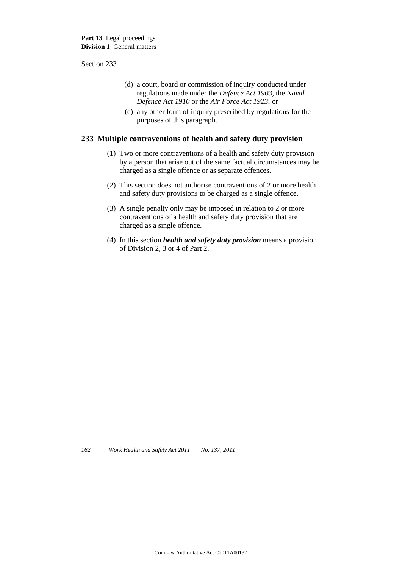- (d) a court, board or commission of inquiry conducted under regulations made under the *Defence Act 1903*, the *Naval Defence Act 1910* or the *Air Force Act 1923*; or
- (e) any other form of inquiry prescribed by regulations for the purposes of this paragraph.

### **233 Multiple contraventions of health and safety duty provision**

- (1) Two or more contraventions of a health and safety duty provision by a person that arise out of the same factual circumstances may be charged as a single offence or as separate offences.
- (2) This section does not authorise contraventions of 2 or more health and safety duty provisions to be charged as a single offence.
- (3) A single penalty only may be imposed in relation to 2 or more contraventions of a health and safety duty provision that are charged as a single offence.
- (4) In this section *health and safety duty provision* means a provision of Division 2, 3 or 4 of Part 2.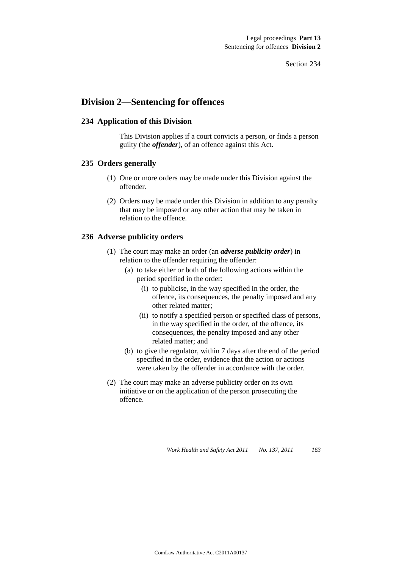# **Division 2—Sentencing for offences**

### **234 Application of this Division**

This Division applies if a court convicts a person, or finds a person guilty (the *offender*), of an offence against this Act.

#### **235 Orders generally**

- (1) One or more orders may be made under this Division against the offender.
- (2) Orders may be made under this Division in addition to any penalty that may be imposed or any other action that may be taken in relation to the offence.

#### **236 Adverse publicity orders**

- (1) The court may make an order (an *adverse publicity order*) in relation to the offender requiring the offender:
	- (a) to take either or both of the following actions within the period specified in the order:
		- (i) to publicise, in the way specified in the order, the offence, its consequences, the penalty imposed and any other related matter;
		- (ii) to notify a specified person or specified class of persons, in the way specified in the order, of the offence, its consequences, the penalty imposed and any other related matter; and
	- (b) to give the regulator, within 7 days after the end of the period specified in the order, evidence that the action or actions were taken by the offender in accordance with the order.
- (2) The court may make an adverse publicity order on its own initiative or on the application of the person prosecuting the offence.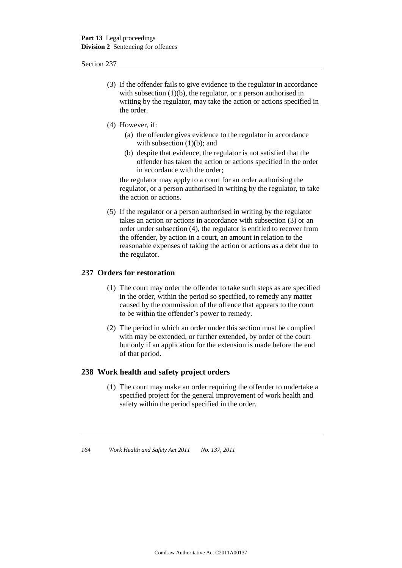- (3) If the offender fails to give evidence to the regulator in accordance with subsection (1)(b), the regulator, or a person authorised in writing by the regulator, may take the action or actions specified in the order.
- (4) However, if:
	- (a) the offender gives evidence to the regulator in accordance with subsection  $(1)(b)$ ; and
	- (b) despite that evidence, the regulator is not satisfied that the offender has taken the action or actions specified in the order in accordance with the order;

the regulator may apply to a court for an order authorising the regulator, or a person authorised in writing by the regulator, to take the action or actions.

(5) If the regulator or a person authorised in writing by the regulator takes an action or actions in accordance with subsection (3) or an order under subsection (4), the regulator is entitled to recover from the offender, by action in a court, an amount in relation to the reasonable expenses of taking the action or actions as a debt due to the regulator.

### **237 Orders for restoration**

- (1) The court may order the offender to take such steps as are specified in the order, within the period so specified, to remedy any matter caused by the commission of the offence that appears to the court to be within the offender's power to remedy.
- (2) The period in which an order under this section must be complied with may be extended, or further extended, by order of the court but only if an application for the extension is made before the end of that period.

#### **238 Work health and safety project orders**

(1) The court may make an order requiring the offender to undertake a specified project for the general improvement of work health and safety within the period specified in the order.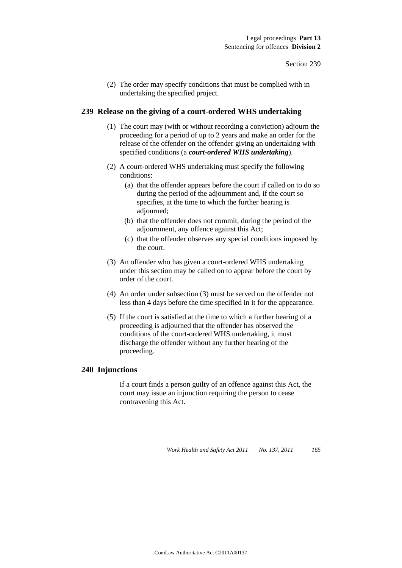(2) The order may specify conditions that must be complied with in undertaking the specified project.

#### **239 Release on the giving of a court-ordered WHS undertaking**

- (1) The court may (with or without recording a conviction) adjourn the proceeding for a period of up to 2 years and make an order for the release of the offender on the offender giving an undertaking with specified conditions (a *court-ordered WHS undertaking*).
- (2) A court-ordered WHS undertaking must specify the following conditions:
	- (a) that the offender appears before the court if called on to do so during the period of the adjournment and, if the court so specifies, at the time to which the further hearing is adjourned;
	- (b) that the offender does not commit, during the period of the adjournment, any offence against this Act;
	- (c) that the offender observes any special conditions imposed by the court.
- (3) An offender who has given a court-ordered WHS undertaking under this section may be called on to appear before the court by order of the court.
- (4) An order under subsection (3) must be served on the offender not less than 4 days before the time specified in it for the appearance.
- (5) If the court is satisfied at the time to which a further hearing of a proceeding is adjourned that the offender has observed the conditions of the court-ordered WHS undertaking, it must discharge the offender without any further hearing of the proceeding.

### **240 Injunctions**

If a court finds a person guilty of an offence against this Act, the court may issue an injunction requiring the person to cease contravening this Act.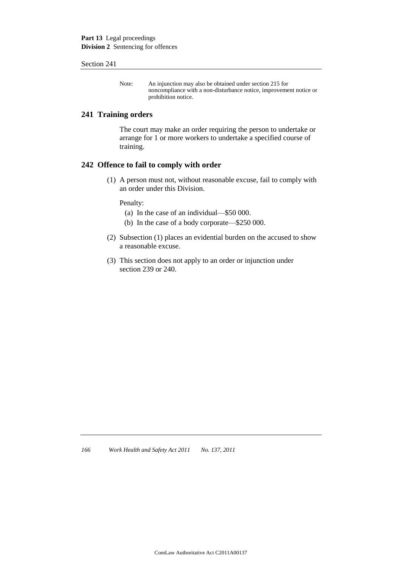**Part 13** Legal proceedings **Division 2** Sentencing for offences

#### Section 241

Note: An injunction may also be obtained under section 215 for noncompliance with a non-disturbance notice, improvement notice or prohibition notice.

#### **241 Training orders**

The court may make an order requiring the person to undertake or arrange for 1 or more workers to undertake a specified course of training.

#### **242 Offence to fail to comply with order**

(1) A person must not, without reasonable excuse, fail to comply with an order under this Division.

Penalty:

- (a) In the case of an individual—\$50 000.
- (b) In the case of a body corporate—\$250 000.
- (2) Subsection (1) places an evidential burden on the accused to show a reasonable excuse.
- (3) This section does not apply to an order or injunction under section 239 or 240.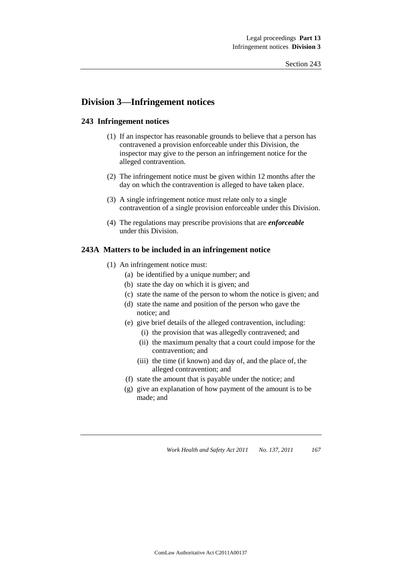## **Division 3—Infringement notices**

#### **243 Infringement notices**

- (1) If an inspector has reasonable grounds to believe that a person has contravened a provision enforceable under this Division, the inspector may give to the person an infringement notice for the alleged contravention.
- (2) The infringement notice must be given within 12 months after the day on which the contravention is alleged to have taken place.
- (3) A single infringement notice must relate only to a single contravention of a single provision enforceable under this Division.
- (4) The regulations may prescribe provisions that are *enforceable* under this Division.

#### **243A Matters to be included in an infringement notice**

- (1) An infringement notice must:
	- (a) be identified by a unique number; and
	- (b) state the day on which it is given; and
	- (c) state the name of the person to whom the notice is given; and
	- (d) state the name and position of the person who gave the notice; and
	- (e) give brief details of the alleged contravention, including:
		- (i) the provision that was allegedly contravened; and
		- (ii) the maximum penalty that a court could impose for the contravention; and
		- (iii) the time (if known) and day of, and the place of, the alleged contravention; and
	- (f) state the amount that is payable under the notice; and
	- (g) give an explanation of how payment of the amount is to be made; and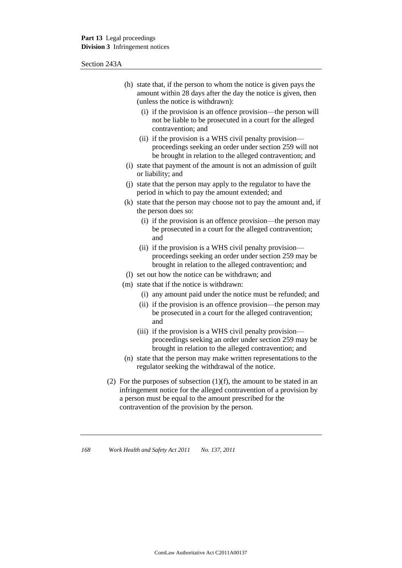Section 243A

- (h) state that, if the person to whom the notice is given pays the amount within 28 days after the day the notice is given, then (unless the notice is withdrawn):
	- (i) if the provision is an offence provision—the person will not be liable to be prosecuted in a court for the alleged contravention; and
	- (ii) if the provision is a WHS civil penalty provision proceedings seeking an order under section 259 will not be brought in relation to the alleged contravention; and
- (i) state that payment of the amount is not an admission of guilt or liability; and
- (j) state that the person may apply to the regulator to have the period in which to pay the amount extended; and
- (k) state that the person may choose not to pay the amount and, if the person does so:
	- (i) if the provision is an offence provision—the person may be prosecuted in a court for the alleged contravention; and
	- (ii) if the provision is a WHS civil penalty provision proceedings seeking an order under section 259 may be brought in relation to the alleged contravention; and
- (l) set out how the notice can be withdrawn; and
- (m) state that if the notice is withdrawn:
	- (i) any amount paid under the notice must be refunded; and
	- (ii) if the provision is an offence provision—the person may be prosecuted in a court for the alleged contravention; and
	- (iii) if the provision is a WHS civil penalty provision proceedings seeking an order under section 259 may be brought in relation to the alleged contravention; and
- (n) state that the person may make written representations to the regulator seeking the withdrawal of the notice.
- (2) For the purposes of subsection  $(1)(f)$ , the amount to be stated in an infringement notice for the alleged contravention of a provision by a person must be equal to the amount prescribed for the contravention of the provision by the person.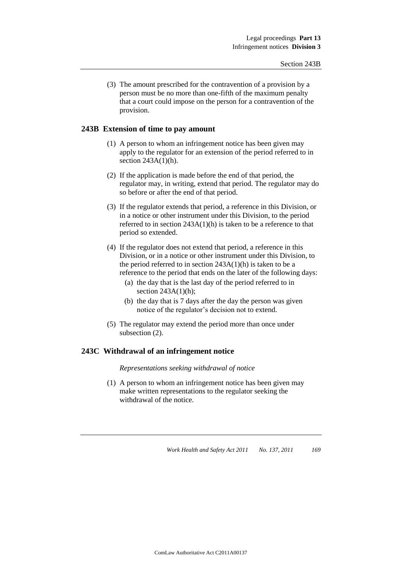(3) The amount prescribed for the contravention of a provision by a person must be no more than one-fifth of the maximum penalty that a court could impose on the person for a contravention of the provision.

#### **243B Extension of time to pay amount**

- (1) A person to whom an infringement notice has been given may apply to the regulator for an extension of the period referred to in section 243A(1)(h).
- (2) If the application is made before the end of that period, the regulator may, in writing, extend that period. The regulator may do so before or after the end of that period.
- (3) If the regulator extends that period, a reference in this Division, or in a notice or other instrument under this Division, to the period referred to in section 243A(1)(h) is taken to be a reference to that period so extended.
- (4) If the regulator does not extend that period, a reference in this Division, or in a notice or other instrument under this Division, to the period referred to in section  $243A(1)(h)$  is taken to be a reference to the period that ends on the later of the following days:
	- (a) the day that is the last day of the period referred to in section  $243A(1)(h)$ ;
	- (b) the day that is 7 days after the day the person was given notice of the regulator's decision not to extend.
- (5) The regulator may extend the period more than once under subsection (2).

#### **243C Withdrawal of an infringement notice**

*Representations seeking withdrawal of notice*

(1) A person to whom an infringement notice has been given may make written representations to the regulator seeking the withdrawal of the notice.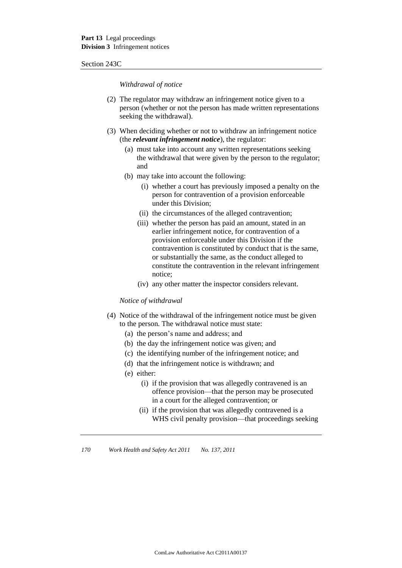#### Section 243C

*Withdrawal of notice*

- (2) The regulator may withdraw an infringement notice given to a person (whether or not the person has made written representations seeking the withdrawal).
- (3) When deciding whether or not to withdraw an infringement notice (the *relevant infringement notice*), the regulator:
	- (a) must take into account any written representations seeking the withdrawal that were given by the person to the regulator; and
	- (b) may take into account the following:
		- (i) whether a court has previously imposed a penalty on the person for contravention of a provision enforceable under this Division;
		- (ii) the circumstances of the alleged contravention;
		- (iii) whether the person has paid an amount, stated in an earlier infringement notice, for contravention of a provision enforceable under this Division if the contravention is constituted by conduct that is the same, or substantially the same, as the conduct alleged to constitute the contravention in the relevant infringement notice;
		- (iv) any other matter the inspector considers relevant.

#### *Notice of withdrawal*

- (4) Notice of the withdrawal of the infringement notice must be given to the person. The withdrawal notice must state:
	- (a) the person's name and address; and
	- (b) the day the infringement notice was given; and
	- (c) the identifying number of the infringement notice; and
	- (d) that the infringement notice is withdrawn; and
	- (e) either:
		- (i) if the provision that was allegedly contravened is an offence provision—that the person may be prosecuted in a court for the alleged contravention; or
		- (ii) if the provision that was allegedly contravened is a WHS civil penalty provision—that proceedings seeking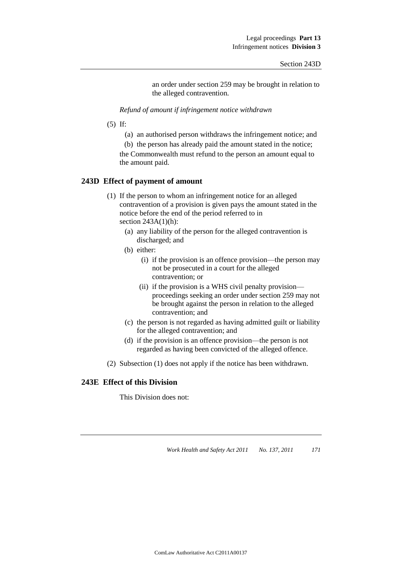an order under section 259 may be brought in relation to the alleged contravention.

*Refund of amount if infringement notice withdrawn*

- (5) If:
	- (a) an authorised person withdraws the infringement notice; and

(b) the person has already paid the amount stated in the notice; the Commonwealth must refund to the person an amount equal to the amount paid.

#### **243D Effect of payment of amount**

- (1) If the person to whom an infringement notice for an alleged contravention of a provision is given pays the amount stated in the notice before the end of the period referred to in section  $243A(1)(h)$ :
	- (a) any liability of the person for the alleged contravention is discharged; and
	- (b) either:
		- (i) if the provision is an offence provision—the person may not be prosecuted in a court for the alleged contravention; or
		- (ii) if the provision is a WHS civil penalty provision proceedings seeking an order under section 259 may not be brought against the person in relation to the alleged contravention; and
	- (c) the person is not regarded as having admitted guilt or liability for the alleged contravention; and
	- (d) if the provision is an offence provision—the person is not regarded as having been convicted of the alleged offence.
- (2) Subsection (1) does not apply if the notice has been withdrawn.

#### **243E Effect of this Division**

This Division does not: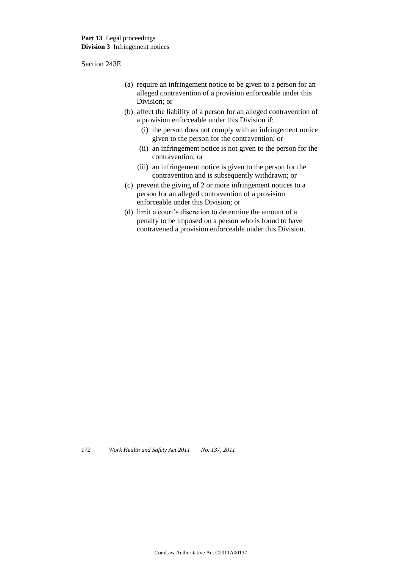Section 243E

- (a) require an infringement notice to be given to a person for an alleged contravention of a provision enforceable under this Division; or
- (b) affect the liability of a person for an alleged contravention of a provision enforceable under this Division if:
	- (i) the person does not comply with an infringement notice given to the person for the contravention; or
	- (ii) an infringement notice is not given to the person for the contravention; or
	- (iii) an infringement notice is given to the person for the contravention and is subsequently withdrawn; or
- (c) prevent the giving of 2 or more infringement notices to a person for an alleged contravention of a provision enforceable under this Division; or
- (d) limit a court's discretion to determine the amount of a penalty to be imposed on a person who is found to have contravened a provision enforceable under this Division.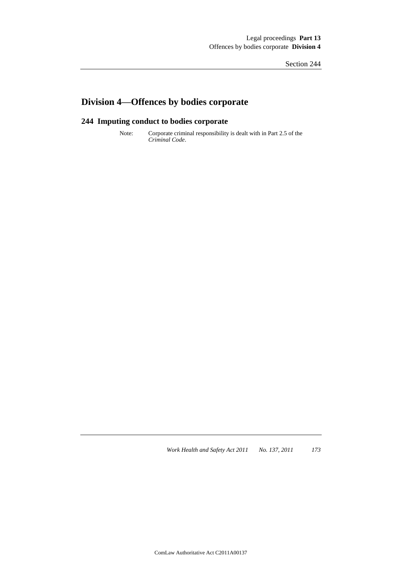## **Division 4—Offences by bodies corporate**

### **244 Imputing conduct to bodies corporate**

Note: Corporate criminal responsibility is dealt with in Part 2.5 of the *Criminal Code*.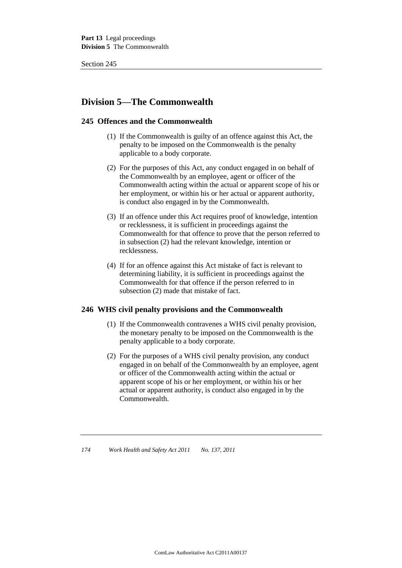## **Division 5—The Commonwealth**

#### **245 Offences and the Commonwealth**

- (1) If the Commonwealth is guilty of an offence against this Act, the penalty to be imposed on the Commonwealth is the penalty applicable to a body corporate.
- (2) For the purposes of this Act, any conduct engaged in on behalf of the Commonwealth by an employee, agent or officer of the Commonwealth acting within the actual or apparent scope of his or her employment, or within his or her actual or apparent authority, is conduct also engaged in by the Commonwealth.
- (3) If an offence under this Act requires proof of knowledge, intention or recklessness, it is sufficient in proceedings against the Commonwealth for that offence to prove that the person referred to in subsection (2) had the relevant knowledge, intention or recklessness.
- (4) If for an offence against this Act mistake of fact is relevant to determining liability, it is sufficient in proceedings against the Commonwealth for that offence if the person referred to in subsection (2) made that mistake of fact.

#### **246 WHS civil penalty provisions and the Commonwealth**

- (1) If the Commonwealth contravenes a WHS civil penalty provision, the monetary penalty to be imposed on the Commonwealth is the penalty applicable to a body corporate.
- (2) For the purposes of a WHS civil penalty provision, any conduct engaged in on behalf of the Commonwealth by an employee, agent or officer of the Commonwealth acting within the actual or apparent scope of his or her employment, or within his or her actual or apparent authority, is conduct also engaged in by the Commonwealth.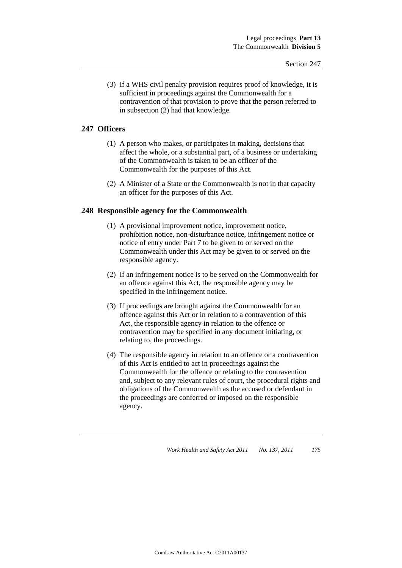(3) If a WHS civil penalty provision requires proof of knowledge, it is sufficient in proceedings against the Commonwealth for a contravention of that provision to prove that the person referred to in subsection (2) had that knowledge.

#### **247 Officers**

- (1) A person who makes, or participates in making, decisions that affect the whole, or a substantial part, of a business or undertaking of the Commonwealth is taken to be an officer of the Commonwealth for the purposes of this Act.
- (2) A Minister of a State or the Commonwealth is not in that capacity an officer for the purposes of this Act.

#### **248 Responsible agency for the Commonwealth**

- (1) A provisional improvement notice, improvement notice, prohibition notice, non-disturbance notice, infringement notice or notice of entry under Part 7 to be given to or served on the Commonwealth under this Act may be given to or served on the responsible agency.
- (2) If an infringement notice is to be served on the Commonwealth for an offence against this Act, the responsible agency may be specified in the infringement notice.
- (3) If proceedings are brought against the Commonwealth for an offence against this Act or in relation to a contravention of this Act, the responsible agency in relation to the offence or contravention may be specified in any document initiating, or relating to, the proceedings.
- (4) The responsible agency in relation to an offence or a contravention of this Act is entitled to act in proceedings against the Commonwealth for the offence or relating to the contravention and, subject to any relevant rules of court, the procedural rights and obligations of the Commonwealth as the accused or defendant in the proceedings are conferred or imposed on the responsible agency.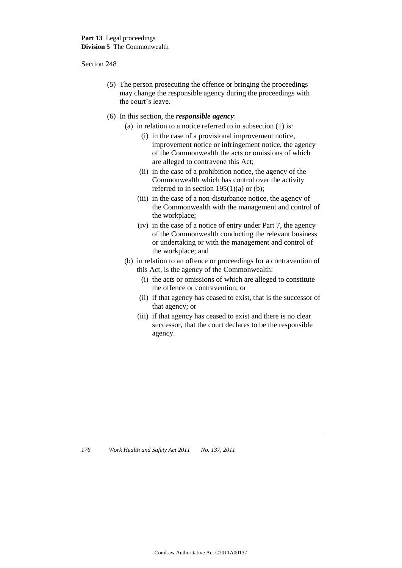- (5) The person prosecuting the offence or bringing the proceedings may change the responsible agency during the proceedings with the court's leave.
- (6) In this section, the *responsible agency*:
	- (a) in relation to a notice referred to in subsection (1) is:
		- (i) in the case of a provisional improvement notice, improvement notice or infringement notice, the agency of the Commonwealth the acts or omissions of which are alleged to contravene this Act;
		- (ii) in the case of a prohibition notice, the agency of the Commonwealth which has control over the activity referred to in section  $195(1)(a)$  or (b);
		- (iii) in the case of a non-disturbance notice, the agency of the Commonwealth with the management and control of the workplace;
		- (iv) in the case of a notice of entry under Part 7, the agency of the Commonwealth conducting the relevant business or undertaking or with the management and control of the workplace; and
	- (b) in relation to an offence or proceedings for a contravention of this Act, is the agency of the Commonwealth:
		- (i) the acts or omissions of which are alleged to constitute the offence or contravention; or
		- (ii) if that agency has ceased to exist, that is the successor of that agency; or
		- (iii) if that agency has ceased to exist and there is no clear successor, that the court declares to be the responsible agency.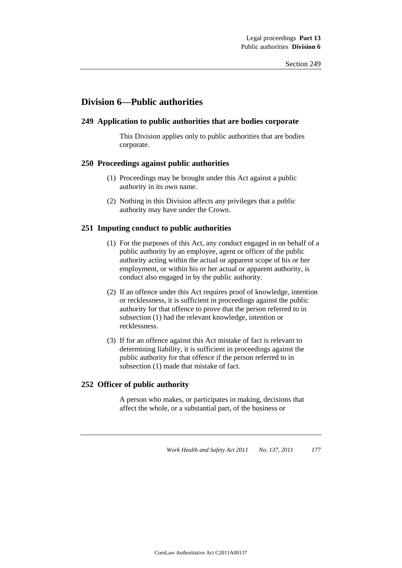## **Division 6—Public authorities**

#### **249 Application to public authorities that are bodies corporate**

This Division applies only to public authorities that are bodies corporate.

#### **250 Proceedings against public authorities**

- (1) Proceedings may be brought under this Act against a public authority in its own name.
- (2) Nothing in this Division affects any privileges that a public authority may have under the Crown.

#### **251 Imputing conduct to public authorities**

- (1) For the purposes of this Act, any conduct engaged in on behalf of a public authority by an employee, agent or officer of the public authority acting within the actual or apparent scope of his or her employment, or within his or her actual or apparent authority, is conduct also engaged in by the public authority.
- (2) If an offence under this Act requires proof of knowledge, intention or recklessness, it is sufficient in proceedings against the public authority for that offence to prove that the person referred to in subsection (1) had the relevant knowledge, intention or recklessness.
- (3) If for an offence against this Act mistake of fact is relevant to determining liability, it is sufficient in proceedings against the public authority for that offence if the person referred to in subsection (1) made that mistake of fact.

#### **252 Officer of public authority**

A person who makes, or participates in making, decisions that affect the whole, or a substantial part, of the business or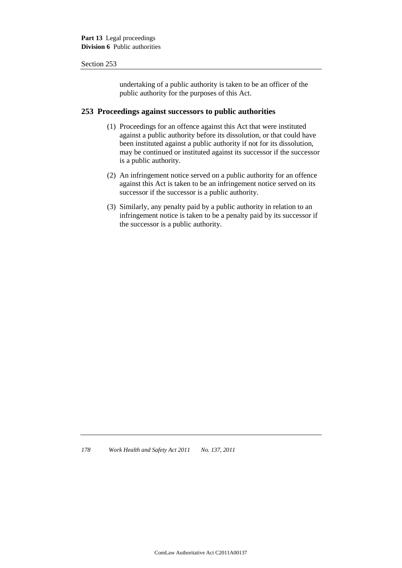undertaking of a public authority is taken to be an officer of the public authority for the purposes of this Act.

#### **253 Proceedings against successors to public authorities**

- (1) Proceedings for an offence against this Act that were instituted against a public authority before its dissolution, or that could have been instituted against a public authority if not for its dissolution, may be continued or instituted against its successor if the successor is a public authority.
- (2) An infringement notice served on a public authority for an offence against this Act is taken to be an infringement notice served on its successor if the successor is a public authority.
- (3) Similarly, any penalty paid by a public authority in relation to an infringement notice is taken to be a penalty paid by its successor if the successor is a public authority.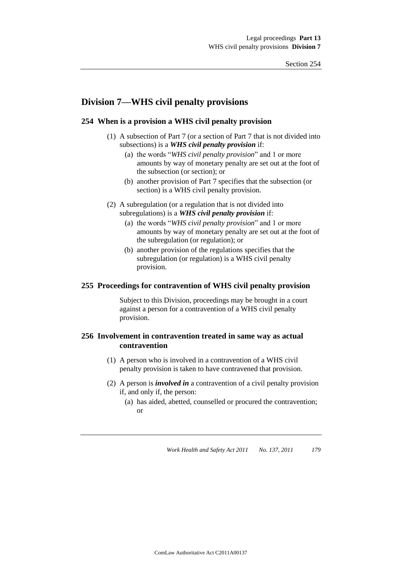### **Division 7—WHS civil penalty provisions**

#### **254 When is a provision a WHS civil penalty provision**

- (1) A subsection of Part 7 (or a section of Part 7 that is not divided into subsections) is a *WHS civil penalty provision* if:
	- (a) the words "*WHS civil penalty provision*" and 1 or more amounts by way of monetary penalty are set out at the foot of the subsection (or section); or
	- (b) another provision of Part 7 specifies that the subsection (or section) is a WHS civil penalty provision.
- (2) A subregulation (or a regulation that is not divided into subregulations) is a *WHS civil penalty provision* if:
	- (a) the words "*WHS civil penalty provision*" and 1 or more amounts by way of monetary penalty are set out at the foot of the subregulation (or regulation); or
	- (b) another provision of the regulations specifies that the subregulation (or regulation) is a WHS civil penalty provision.

#### **255 Proceedings for contravention of WHS civil penalty provision**

Subject to this Division, proceedings may be brought in a court against a person for a contravention of a WHS civil penalty provision.

#### **256 Involvement in contravention treated in same way as actual contravention**

- (1) A person who is involved in a contravention of a WHS civil penalty provision is taken to have contravened that provision.
- (2) A person is *involved in* a contravention of a civil penalty provision if, and only if, the person:
	- (a) has aided, abetted, counselled or procured the contravention; or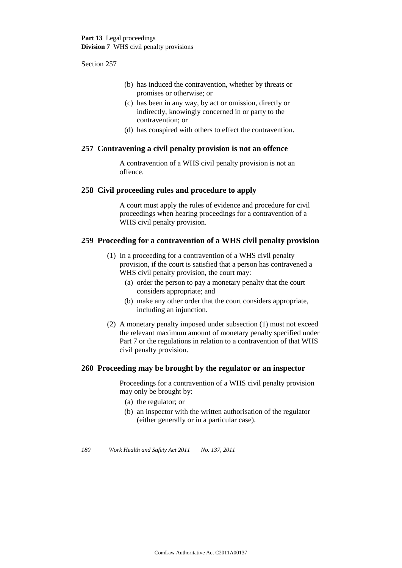- (b) has induced the contravention, whether by threats or promises or otherwise; or
- (c) has been in any way, by act or omission, directly or indirectly, knowingly concerned in or party to the contravention; or
- (d) has conspired with others to effect the contravention.

#### **257 Contravening a civil penalty provision is not an offence**

A contravention of a WHS civil penalty provision is not an offence.

#### **258 Civil proceeding rules and procedure to apply**

A court must apply the rules of evidence and procedure for civil proceedings when hearing proceedings for a contravention of a WHS civil penalty provision.

#### **259 Proceeding for a contravention of a WHS civil penalty provision**

- (1) In a proceeding for a contravention of a WHS civil penalty provision, if the court is satisfied that a person has contravened a WHS civil penalty provision, the court may:
	- (a) order the person to pay a monetary penalty that the court considers appropriate; and
	- (b) make any other order that the court considers appropriate, including an injunction.
- (2) A monetary penalty imposed under subsection (1) must not exceed the relevant maximum amount of monetary penalty specified under Part 7 or the regulations in relation to a contravention of that WHS civil penalty provision.

#### **260 Proceeding may be brought by the regulator or an inspector**

Proceedings for a contravention of a WHS civil penalty provision may only be brought by:

- (a) the regulator; or
- (b) an inspector with the written authorisation of the regulator (either generally or in a particular case).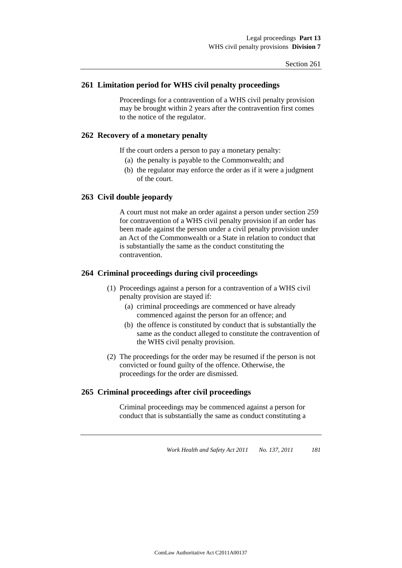#### **261 Limitation period for WHS civil penalty proceedings**

Proceedings for a contravention of a WHS civil penalty provision may be brought within 2 years after the contravention first comes to the notice of the regulator.

#### **262 Recovery of a monetary penalty**

If the court orders a person to pay a monetary penalty:

- (a) the penalty is payable to the Commonwealth; and
- (b) the regulator may enforce the order as if it were a judgment of the court.

#### **263 Civil double jeopardy**

A court must not make an order against a person under section 259 for contravention of a WHS civil penalty provision if an order has been made against the person under a civil penalty provision under an Act of the Commonwealth or a State in relation to conduct that is substantially the same as the conduct constituting the contravention.

#### **264 Criminal proceedings during civil proceedings**

- (1) Proceedings against a person for a contravention of a WHS civil penalty provision are stayed if:
	- (a) criminal proceedings are commenced or have already commenced against the person for an offence; and
	- (b) the offence is constituted by conduct that is substantially the same as the conduct alleged to constitute the contravention of the WHS civil penalty provision.
- (2) The proceedings for the order may be resumed if the person is not convicted or found guilty of the offence. Otherwise, the proceedings for the order are dismissed.

#### **265 Criminal proceedings after civil proceedings**

Criminal proceedings may be commenced against a person for conduct that is substantially the same as conduct constituting a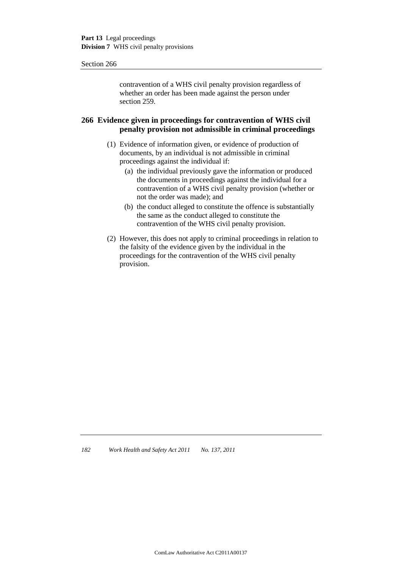contravention of a WHS civil penalty provision regardless of whether an order has been made against the person under section 259.

#### **266 Evidence given in proceedings for contravention of WHS civil penalty provision not admissible in criminal proceedings**

- (1) Evidence of information given, or evidence of production of documents, by an individual is not admissible in criminal proceedings against the individual if:
	- (a) the individual previously gave the information or produced the documents in proceedings against the individual for a contravention of a WHS civil penalty provision (whether or not the order was made); and
	- (b) the conduct alleged to constitute the offence is substantially the same as the conduct alleged to constitute the contravention of the WHS civil penalty provision.
- (2) However, this does not apply to criminal proceedings in relation to the falsity of the evidence given by the individual in the proceedings for the contravention of the WHS civil penalty provision.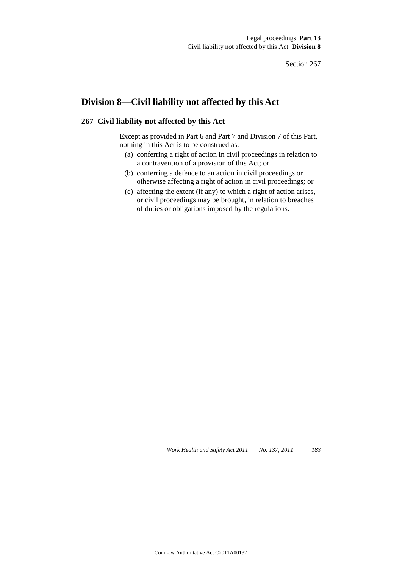## **Division 8—Civil liability not affected by this Act**

#### **267 Civil liability not affected by this Act**

Except as provided in Part 6 and Part 7 and Division 7 of this Part, nothing in this Act is to be construed as:

- (a) conferring a right of action in civil proceedings in relation to a contravention of a provision of this Act; or
- (b) conferring a defence to an action in civil proceedings or otherwise affecting a right of action in civil proceedings; or
- (c) affecting the extent (if any) to which a right of action arises, or civil proceedings may be brought, in relation to breaches of duties or obligations imposed by the regulations.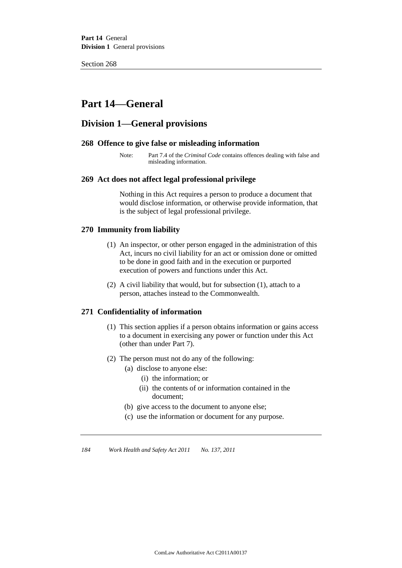## **Part 14—General**

## **Division 1—General provisions**

#### **268 Offence to give false or misleading information**

Note: Part 7.4 of the *Criminal Code* contains offences dealing with false and misleading information.

#### **269 Act does not affect legal professional privilege**

Nothing in this Act requires a person to produce a document that would disclose information, or otherwise provide information, that is the subject of legal professional privilege.

#### **270 Immunity from liability**

- (1) An inspector, or other person engaged in the administration of this Act, incurs no civil liability for an act or omission done or omitted to be done in good faith and in the execution or purported execution of powers and functions under this Act.
- (2) A civil liability that would, but for subsection (1), attach to a person, attaches instead to the Commonwealth.

#### **271 Confidentiality of information**

- (1) This section applies if a person obtains information or gains access to a document in exercising any power or function under this Act (other than under Part 7).
- (2) The person must not do any of the following:
	- (a) disclose to anyone else:
		- (i) the information; or
		- (ii) the contents of or information contained in the document;
	- (b) give access to the document to anyone else;
	- (c) use the information or document for any purpose.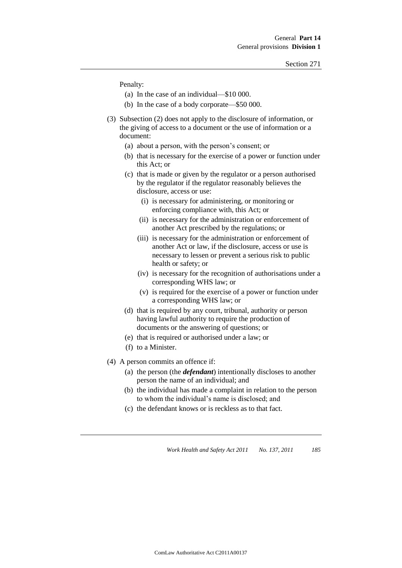Penalty:

- (a) In the case of an individual—\$10 000.
- (b) In the case of a body corporate—\$50 000.
- (3) Subsection (2) does not apply to the disclosure of information, or the giving of access to a document or the use of information or a document:
	- (a) about a person, with the person's consent; or
	- (b) that is necessary for the exercise of a power or function under this Act; or
	- (c) that is made or given by the regulator or a person authorised by the regulator if the regulator reasonably believes the disclosure, access or use:
		- (i) is necessary for administering, or monitoring or enforcing compliance with, this Act; or
		- (ii) is necessary for the administration or enforcement of another Act prescribed by the regulations; or
		- (iii) is necessary for the administration or enforcement of another Act or law, if the disclosure, access or use is necessary to lessen or prevent a serious risk to public health or safety; or
		- (iv) is necessary for the recognition of authorisations under a corresponding WHS law; or
		- (v) is required for the exercise of a power or function under a corresponding WHS law; or
	- (d) that is required by any court, tribunal, authority or person having lawful authority to require the production of documents or the answering of questions; or
	- (e) that is required or authorised under a law; or
	- (f) to a Minister.
- (4) A person commits an offence if:
	- (a) the person (the *defendant*) intentionally discloses to another person the name of an individual; and
	- (b) the individual has made a complaint in relation to the person to whom the individual's name is disclosed; and
	- (c) the defendant knows or is reckless as to that fact.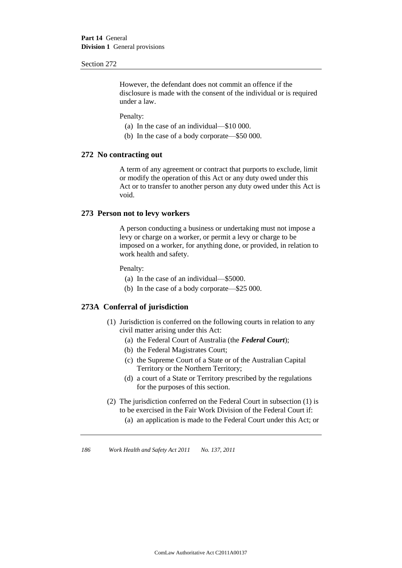However, the defendant does not commit an offence if the disclosure is made with the consent of the individual or is required under a law.

#### Penalty:

- (a) In the case of an individual—\$10 000.
- (b) In the case of a body corporate—\$50 000.

#### **272 No contracting out**

A term of any agreement or contract that purports to exclude, limit or modify the operation of this Act or any duty owed under this Act or to transfer to another person any duty owed under this Act is void.

#### **273 Person not to levy workers**

A person conducting a business or undertaking must not impose a levy or charge on a worker, or permit a levy or charge to be imposed on a worker, for anything done, or provided, in relation to work health and safety.

Penalty:

- (a) In the case of an individual—\$5000.
- (b) In the case of a body corporate—\$25 000.

#### **273A Conferral of jurisdiction**

- (1) Jurisdiction is conferred on the following courts in relation to any civil matter arising under this Act:
	- (a) the Federal Court of Australia (the *Federal Court*);
	- (b) the Federal Magistrates Court;
	- (c) the Supreme Court of a State or of the Australian Capital Territory or the Northern Territory;
	- (d) a court of a State or Territory prescribed by the regulations for the purposes of this section.
- (2) The jurisdiction conferred on the Federal Court in subsection (1) is to be exercised in the Fair Work Division of the Federal Court if:
	- (a) an application is made to the Federal Court under this Act; or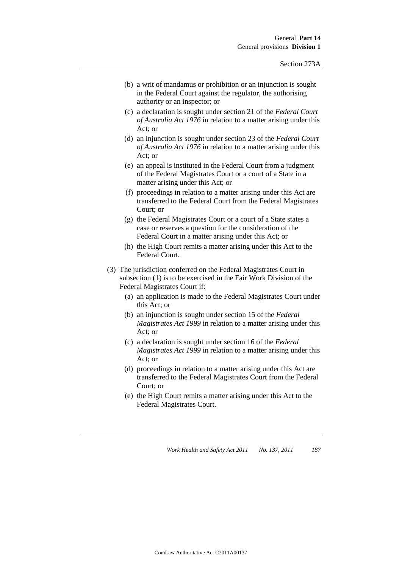- (b) a writ of mandamus or prohibition or an injunction is sought in the Federal Court against the regulator, the authorising authority or an inspector; or
- (c) a declaration is sought under section 21 of the *Federal Court of Australia Act 1976* in relation to a matter arising under this Act; or
- (d) an injunction is sought under section 23 of the *Federal Court of Australia Act 1976* in relation to a matter arising under this Act; or
- (e) an appeal is instituted in the Federal Court from a judgment of the Federal Magistrates Court or a court of a State in a matter arising under this Act; or
- (f) proceedings in relation to a matter arising under this Act are transferred to the Federal Court from the Federal Magistrates Court; or
- (g) the Federal Magistrates Court or a court of a State states a case or reserves a question for the consideration of the Federal Court in a matter arising under this Act; or
- (h) the High Court remits a matter arising under this Act to the Federal Court.
- (3) The jurisdiction conferred on the Federal Magistrates Court in subsection (1) is to be exercised in the Fair Work Division of the Federal Magistrates Court if:
	- (a) an application is made to the Federal Magistrates Court under this Act; or
	- (b) an injunction is sought under section 15 of the *Federal Magistrates Act 1999* in relation to a matter arising under this Act; or
	- (c) a declaration is sought under section 16 of the *Federal Magistrates Act 1999* in relation to a matter arising under this Act; or
	- (d) proceedings in relation to a matter arising under this Act are transferred to the Federal Magistrates Court from the Federal Court; or
	- (e) the High Court remits a matter arising under this Act to the Federal Magistrates Court.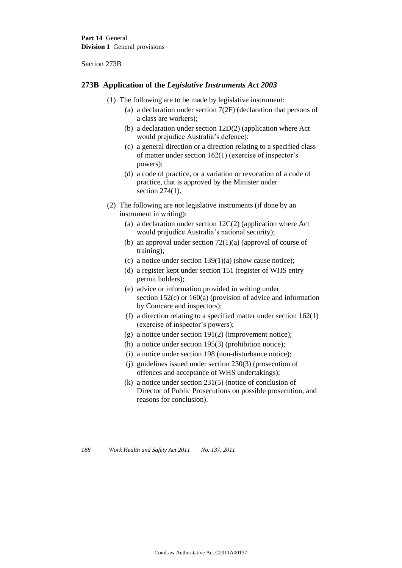Section 273B

#### **273B Application of the** *Legislative Instruments Act 2003*

- (1) The following are to be made by legislative instrument:
	- (a) a declaration under section 7(2F) (declaration that persons of a class are workers);
	- (b) a declaration under section 12D(2) (application where Act would prejudice Australia's defence);
	- (c) a general direction or a direction relating to a specified class of matter under section 162(1) (exercise of inspector's powers);
	- (d) a code of practice, or a variation or revocation of a code of practice, that is approved by the Minister under section 274(1).
- (2) The following are not legislative instruments (if done by an instrument in writing):
	- (a) a declaration under section  $12C(2)$  (application where Act would prejudice Australia's national security);
	- (b) an approval under section 72(1)(a) (approval of course of training);
	- (c) a notice under section  $139(1)(a)$  (show cause notice);
	- (d) a register kept under section 151 (register of WHS entry permit holders);
	- (e) advice or information provided in writing under section 152(c) or 160(a) (provision of advice and information by Comcare and inspectors);
	- (f) a direction relating to a specified matter under section 162(1) (exercise of inspector's powers);
	- (g) a notice under section 191(2) (improvement notice);
	- (h) a notice under section 195(3) (prohibition notice);
	- (i) a notice under section 198 (non-disturbance notice);
	- (j) guidelines issued under section 230(3) (prosecution of offences and acceptance of WHS undertakings);
	- (k) a notice under section 231(5) (notice of conclusion of Director of Public Prosecutions on possible prosecution, and reasons for conclusion).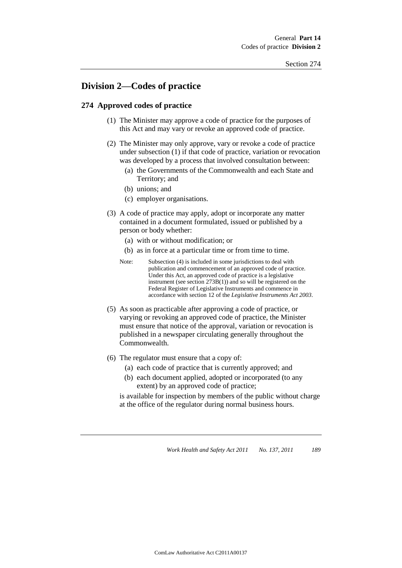## **Division 2—Codes of practice**

#### **274 Approved codes of practice**

- (1) The Minister may approve a code of practice for the purposes of this Act and may vary or revoke an approved code of practice.
- (2) The Minister may only approve, vary or revoke a code of practice under subsection (1) if that code of practice, variation or revocation was developed by a process that involved consultation between:
	- (a) the Governments of the Commonwealth and each State and Territory; and
	- (b) unions; and
	- (c) employer organisations.
- (3) A code of practice may apply, adopt or incorporate any matter contained in a document formulated, issued or published by a person or body whether:
	- (a) with or without modification; or
	- (b) as in force at a particular time or from time to time.
	- Note: Subsection (4) is included in some jurisdictions to deal with publication and commencement of an approved code of practice. Under this Act, an approved code of practice is a legislative instrument (see section 273B(1)) and so will be registered on the Federal Register of Legislative Instruments and commence in accordance with section 12 of the *Legislative Instruments Act 2003*.
- (5) As soon as practicable after approving a code of practice, or varying or revoking an approved code of practice, the Minister must ensure that notice of the approval, variation or revocation is published in a newspaper circulating generally throughout the Commonwealth.
- (6) The regulator must ensure that a copy of:
	- (a) each code of practice that is currently approved; and
	- (b) each document applied, adopted or incorporated (to any extent) by an approved code of practice;

is available for inspection by members of the public without charge at the office of the regulator during normal business hours.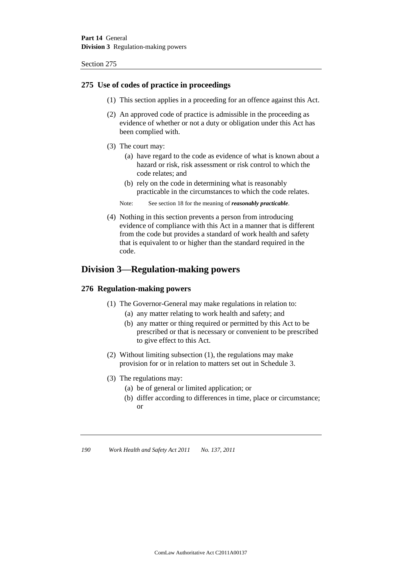#### **275 Use of codes of practice in proceedings**

- (1) This section applies in a proceeding for an offence against this Act.
- (2) An approved code of practice is admissible in the proceeding as evidence of whether or not a duty or obligation under this Act has been complied with.
- (3) The court may:
	- (a) have regard to the code as evidence of what is known about a hazard or risk, risk assessment or risk control to which the code relates; and
	- (b) rely on the code in determining what is reasonably practicable in the circumstances to which the code relates.
	- Note: See section 18 for the meaning of *reasonably practicable*.
- (4) Nothing in this section prevents a person from introducing evidence of compliance with this Act in a manner that is different from the code but provides a standard of work health and safety that is equivalent to or higher than the standard required in the code.

### **Division 3—Regulation-making powers**

#### **276 Regulation-making powers**

- (1) The Governor-General may make regulations in relation to:
	- (a) any matter relating to work health and safety; and
	- (b) any matter or thing required or permitted by this Act to be prescribed or that is necessary or convenient to be prescribed to give effect to this Act.
- (2) Without limiting subsection (1), the regulations may make provision for or in relation to matters set out in Schedule 3.
- (3) The regulations may:
	- (a) be of general or limited application; or
	- (b) differ according to differences in time, place or circumstance; or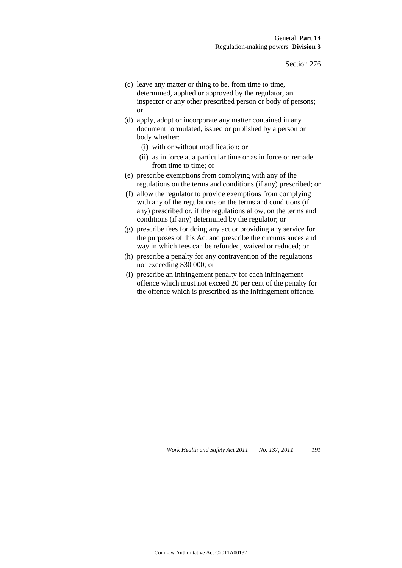- (c) leave any matter or thing to be, from time to time, determined, applied or approved by the regulator, an inspector or any other prescribed person or body of persons; or
- (d) apply, adopt or incorporate any matter contained in any document formulated, issued or published by a person or body whether:
	- (i) with or without modification; or
	- (ii) as in force at a particular time or as in force or remade from time to time; or
- (e) prescribe exemptions from complying with any of the regulations on the terms and conditions (if any) prescribed; or
- (f) allow the regulator to provide exemptions from complying with any of the regulations on the terms and conditions (if any) prescribed or, if the regulations allow, on the terms and conditions (if any) determined by the regulator; or
- (g) prescribe fees for doing any act or providing any service for the purposes of this Act and prescribe the circumstances and way in which fees can be refunded, waived or reduced; or
- (h) prescribe a penalty for any contravention of the regulations not exceeding \$30 000; or
- (i) prescribe an infringement penalty for each infringement offence which must not exceed 20 per cent of the penalty for the offence which is prescribed as the infringement offence.

*Work Health and Safety Act 2011* No. 137, 2011 191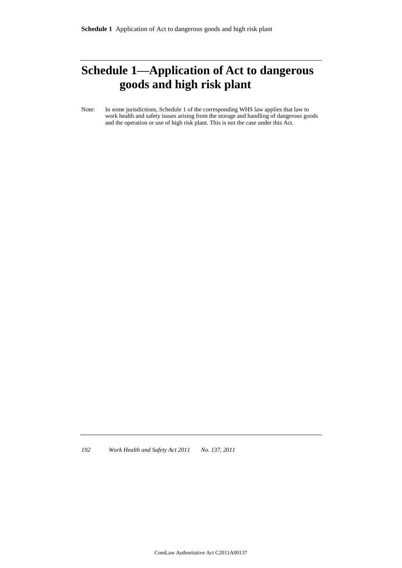# **Schedule 1—Application of Act to dangerous goods and high risk plant**

Note: In some jurisdictions, Schedule 1 of the corresponding WHS law applies that law to work health and safety issues arising from the storage and handling of dangerous goods and the operation or use of high risk plant. This is not the case under this Act.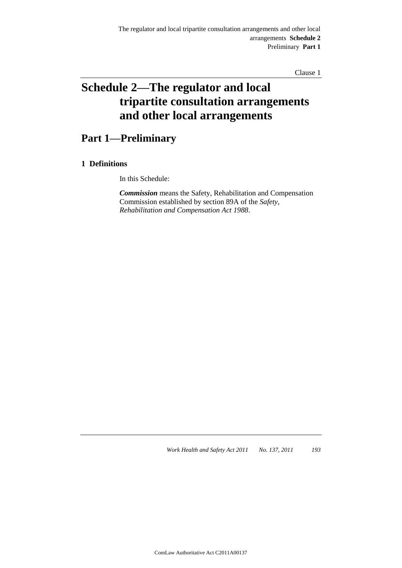Clause 1

# **Schedule 2—The regulator and local tripartite consultation arrangements and other local arrangements**

## **Part 1—Preliminary**

### **1 Definitions**

In this Schedule:

*Commission* means the Safety, Rehabilitation and Compensation Commission established by section 89A of the *Safety, Rehabilitation and Compensation Act 1988*.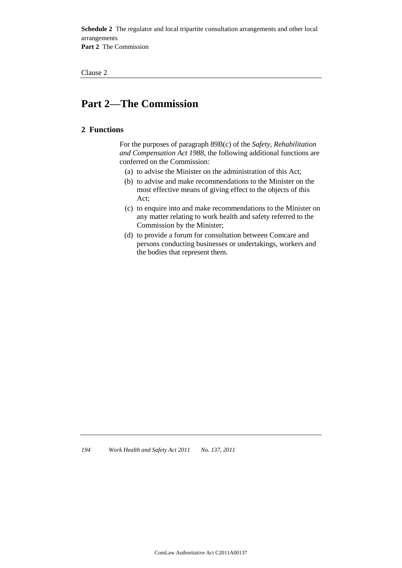**Schedule 2** The regulator and local tripartite consultation arrangements and other local arrangements **Part 2** The Commission

Clause 2

# **Part 2—The Commission**

#### **2 Functions**

For the purposes of paragraph 89B(c) of the *Safety, Rehabilitation and Compensation Act 1988*, the following additional functions are conferred on the Commission:

- (a) to advise the Minister on the administration of this Act;
- (b) to advise and make recommendations to the Minister on the most effective means of giving effect to the objects of this Act;
- (c) to enquire into and make recommendations to the Minister on any matter relating to work health and safety referred to the Commission by the Minister;
- (d) to provide a forum for consultation between Comcare and persons conducting businesses or undertakings, workers and the bodies that represent them.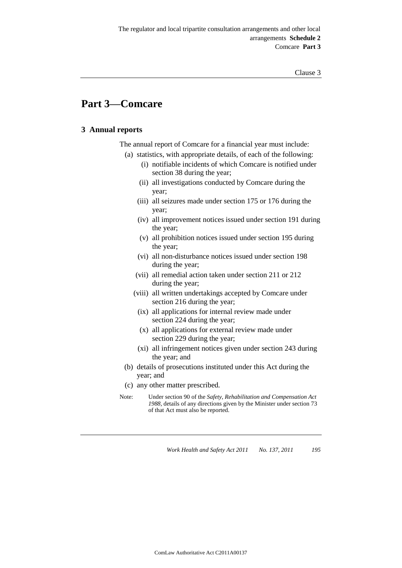## **Part 3—Comcare**

#### **3 Annual reports**

The annual report of Comcare for a financial year must include:

- (a) statistics, with appropriate details, of each of the following:
	- (i) notifiable incidents of which Comcare is notified under section 38 during the year;
	- (ii) all investigations conducted by Comcare during the year;
	- (iii) all seizures made under section 175 or 176 during the year;
	- (iv) all improvement notices issued under section 191 during the year;
	- (v) all prohibition notices issued under section 195 during the year;
	- (vi) all non-disturbance notices issued under section 198 during the year;
	- (vii) all remedial action taken under section 211 or 212 during the year;
	- (viii) all written undertakings accepted by Comcare under section 216 during the year;
	- (ix) all applications for internal review made under section 224 during the year;
	- (x) all applications for external review made under section 229 during the year;
	- (xi) all infringement notices given under section 243 during the year; and
	- (b) details of prosecutions instituted under this Act during the year; and
	- (c) any other matter prescribed.
- Note: Under section 90 of the *Safety, Rehabilitation and Compensation Act 1988*, details of any directions given by the Minister under section 73 of that Act must also be reported.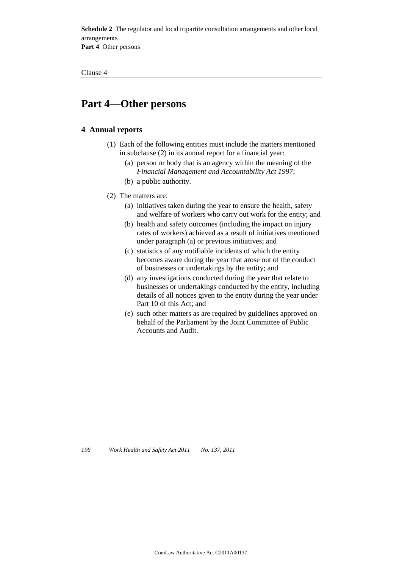**Schedule 2** The regulator and local tripartite consultation arrangements and other local arrangements **Part 4** Other persons

Clause 4

## **Part 4—Other persons**

#### **4 Annual reports**

- (1) Each of the following entities must include the matters mentioned in subclause (2) in its annual report for a financial year:
	- (a) person or body that is an agency within the meaning of the *Financial Management and Accountability Act 1997*;
	- (b) a public authority.
- (2) The matters are:
	- (a) initiatives taken during the year to ensure the health, safety and welfare of workers who carry out work for the entity; and
	- (b) health and safety outcomes (including the impact on injury rates of workers) achieved as a result of initiatives mentioned under paragraph (a) or previous initiatives; and
	- (c) statistics of any notifiable incidents of which the entity becomes aware during the year that arose out of the conduct of businesses or undertakings by the entity; and
	- (d) any investigations conducted during the year that relate to businesses or undertakings conducted by the entity, including details of all notices given to the entity during the year under Part 10 of this Act; and
	- (e) such other matters as are required by guidelines approved on behalf of the Parliament by the Joint Committee of Public Accounts and Audit.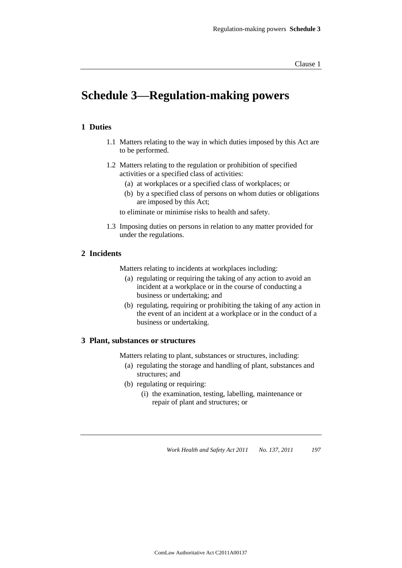# **Schedule 3—Regulation-making powers**

#### **1 Duties**

- 1.1 Matters relating to the way in which duties imposed by this Act are to be performed.
- 1.2 Matters relating to the regulation or prohibition of specified activities or a specified class of activities:
	- (a) at workplaces or a specified class of workplaces; or
	- (b) by a specified class of persons on whom duties or obligations are imposed by this Act;

to eliminate or minimise risks to health and safety.

1.3 Imposing duties on persons in relation to any matter provided for under the regulations.

#### **2 Incidents**

Matters relating to incidents at workplaces including:

- (a) regulating or requiring the taking of any action to avoid an incident at a workplace or in the course of conducting a business or undertaking; and
- (b) regulating, requiring or prohibiting the taking of any action in the event of an incident at a workplace or in the conduct of a business or undertaking.

#### **3 Plant, substances or structures**

Matters relating to plant, substances or structures, including:

- (a) regulating the storage and handling of plant, substances and structures; and
- (b) regulating or requiring:
	- (i) the examination, testing, labelling, maintenance or repair of plant and structures; or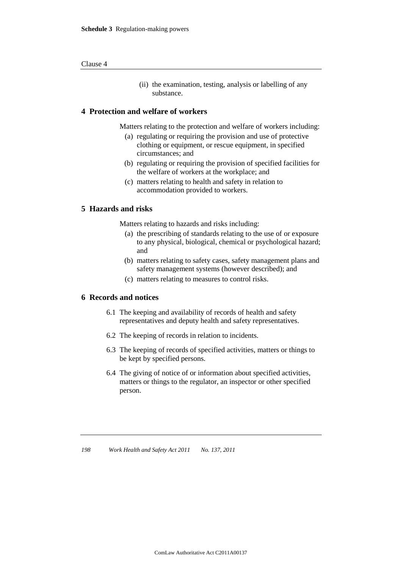(ii) the examination, testing, analysis or labelling of any substance.

#### **4 Protection and welfare of workers**

Matters relating to the protection and welfare of workers including:

- (a) regulating or requiring the provision and use of protective clothing or equipment, or rescue equipment, in specified circumstances; and
- (b) regulating or requiring the provision of specified facilities for the welfare of workers at the workplace; and
- (c) matters relating to health and safety in relation to accommodation provided to workers.

#### **5 Hazards and risks**

Matters relating to hazards and risks including:

- (a) the prescribing of standards relating to the use of or exposure to any physical, biological, chemical or psychological hazard; and
- (b) matters relating to safety cases, safety management plans and safety management systems (however described); and
- (c) matters relating to measures to control risks.

#### **6 Records and notices**

- 6.1 The keeping and availability of records of health and safety representatives and deputy health and safety representatives.
- 6.2 The keeping of records in relation to incidents.
- 6.3 The keeping of records of specified activities, matters or things to be kept by specified persons.
- 6.4 The giving of notice of or information about specified activities, matters or things to the regulator, an inspector or other specified person.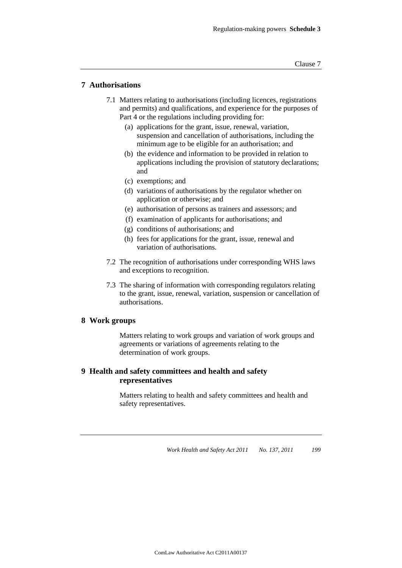#### **7 Authorisations**

- 7.1 Matters relating to authorisations (including licences, registrations and permits) and qualifications, and experience for the purposes of Part 4 or the regulations including providing for:
	- (a) applications for the grant, issue, renewal, variation, suspension and cancellation of authorisations, including the minimum age to be eligible for an authorisation; and
	- (b) the evidence and information to be provided in relation to applications including the provision of statutory declarations; and
	- (c) exemptions; and
	- (d) variations of authorisations by the regulator whether on application or otherwise; and
	- (e) authorisation of persons as trainers and assessors; and
	- (f) examination of applicants for authorisations; and
	- (g) conditions of authorisations; and
	- (h) fees for applications for the grant, issue, renewal and variation of authorisations.
- 7.2 The recognition of authorisations under corresponding WHS laws and exceptions to recognition.
- 7.3 The sharing of information with corresponding regulators relating to the grant, issue, renewal, variation, suspension or cancellation of authorisations.

#### **8 Work groups**

Matters relating to work groups and variation of work groups and agreements or variations of agreements relating to the determination of work groups.

#### **9 Health and safety committees and health and safety representatives**

Matters relating to health and safety committees and health and safety representatives.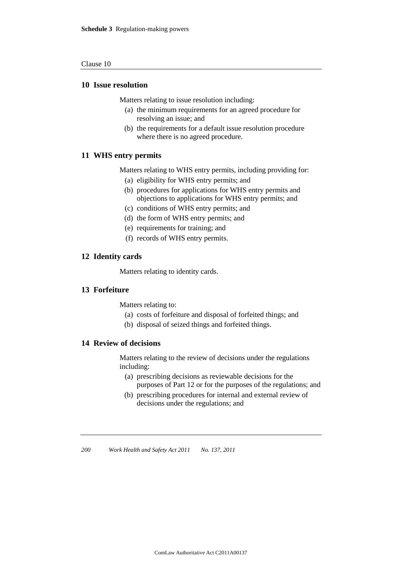#### Clause 10

#### **10 Issue resolution**

Matters relating to issue resolution including:

- (a) the minimum requirements for an agreed procedure for resolving an issue; and
- (b) the requirements for a default issue resolution procedure where there is no agreed procedure.

#### **11 WHS entry permits**

Matters relating to WHS entry permits, including providing for:

- (a) eligibility for WHS entry permits; and
- (b) procedures for applications for WHS entry permits and objections to applications for WHS entry permits; and
- (c) conditions of WHS entry permits; and
- (d) the form of WHS entry permits; and
- (e) requirements for training; and
- (f) records of WHS entry permits.

#### **12 Identity cards**

Matters relating to identity cards.

#### **13 Forfeiture**

Matters relating to:

- (a) costs of forfeiture and disposal of forfeited things; and
- (b) disposal of seized things and forfeited things.

#### **14 Review of decisions**

Matters relating to the review of decisions under the regulations including:

- (a) prescribing decisions as reviewable decisions for the purposes of Part 12 or for the purposes of the regulations; and
- (b) prescribing procedures for internal and external review of decisions under the regulations; and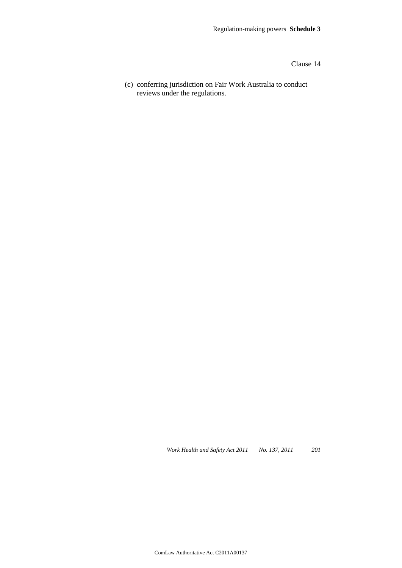Clause 14

(c) conferring jurisdiction on Fair Work Australia to conduct reviews under the regulations.